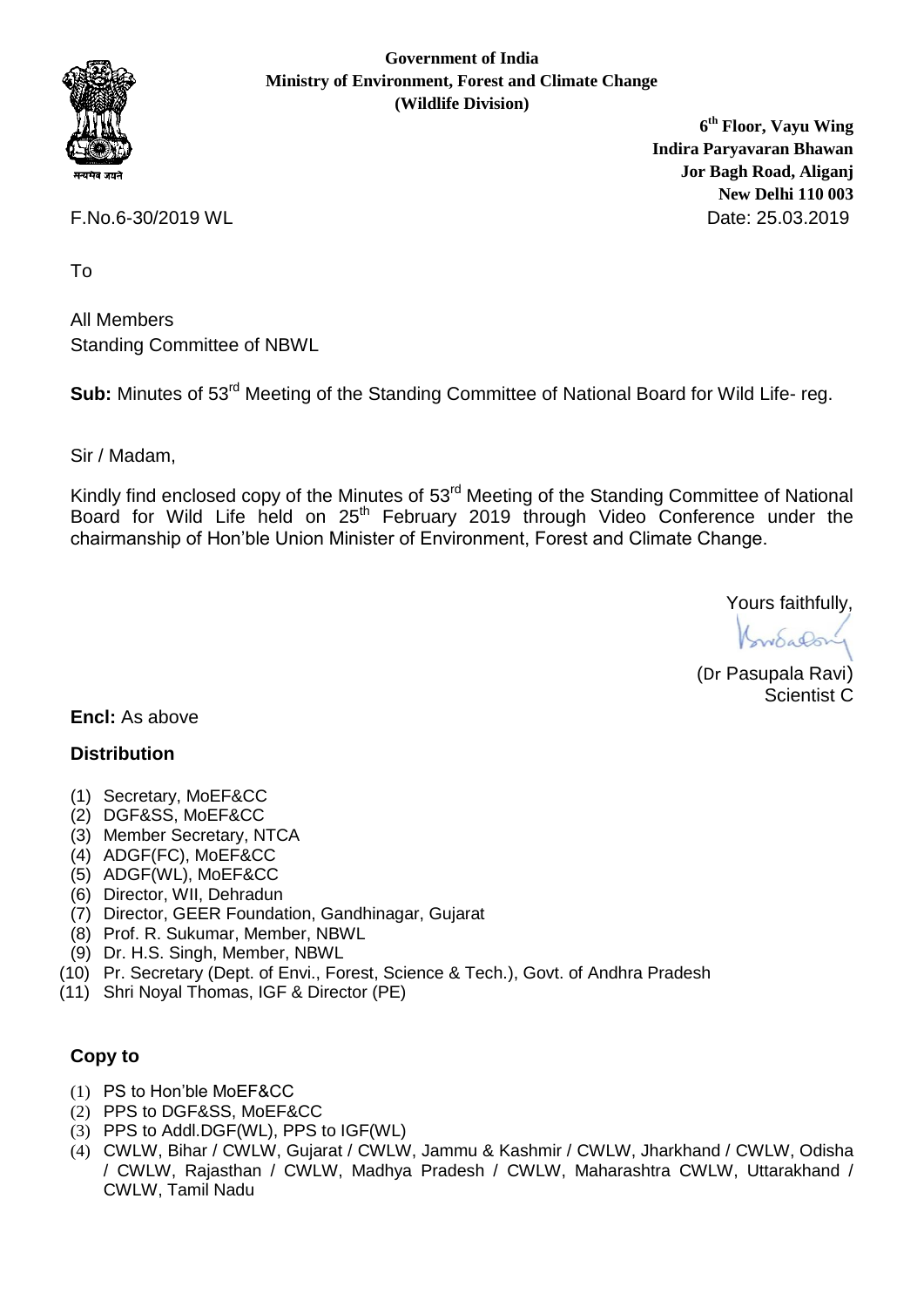

**Government of India Ministry of Environment, Forest and Climate Change (Wildlife Division)**

**6 th Floor, Vayu Wing Indira Paryavaran Bhawan Jor Bagh Road, Aliganj New Delhi 110 003** F.No.6-30/2019 WL Date: 25.03.2019

To

All Members Standing Committee of NBWL

Sub: Minutes of 53<sup>rd</sup> Meeting of the Standing Committee of National Board for Wild Life- reg.

Sir / Madam,

Kindly find enclosed copy of the Minutes of 53<sup>rd</sup> Meeting of the Standing Committee of National Board for Wild Life held on 25th February 2019 through Video Conference under the chairmanship of Hon'ble Union Minister of Environment, Forest and Climate Change.

Yours faithfully,

(Dr Pasupala Ravi) Scientist C

**Encl:** As above

#### **Distribution**

- (1) Secretary, MoEF&CC
- (2) DGF&SS, MoEF&CC
- (3) Member Secretary, NTCA
- (4) ADGF(FC), MoEF&CC
- (5) ADGF(WL), MoEF&CC
- (6) Director, WII, Dehradun
- (7) Director, GEER Foundation, Gandhinagar, Gujarat
- (8) Prof. R. Sukumar, Member, NBWL
- (9) Dr. H.S. Singh, Member, NBWL
- (10) Pr. Secretary (Dept. of Envi., Forest, Science & Tech.), Govt. of Andhra Pradesh
- (11) Shri Noyal Thomas, IGF & Director (PE)

#### **Copy to**

- (1) PS to Hon'ble MoEF&CC
- (2) PPS to DGF&SS, MoEF&CC
- (3) PPS to Addl.DGF(WL), PPS to IGF(WL)
- (4) CWLW, Bihar / CWLW, Gujarat / CWLW, Jammu & Kashmir / CWLW, Jharkhand / CWLW, Odisha / CWLW, Rajasthan / CWLW, Madhya Pradesh / CWLW, Maharashtra CWLW, Uttarakhand / CWLW, Tamil Nadu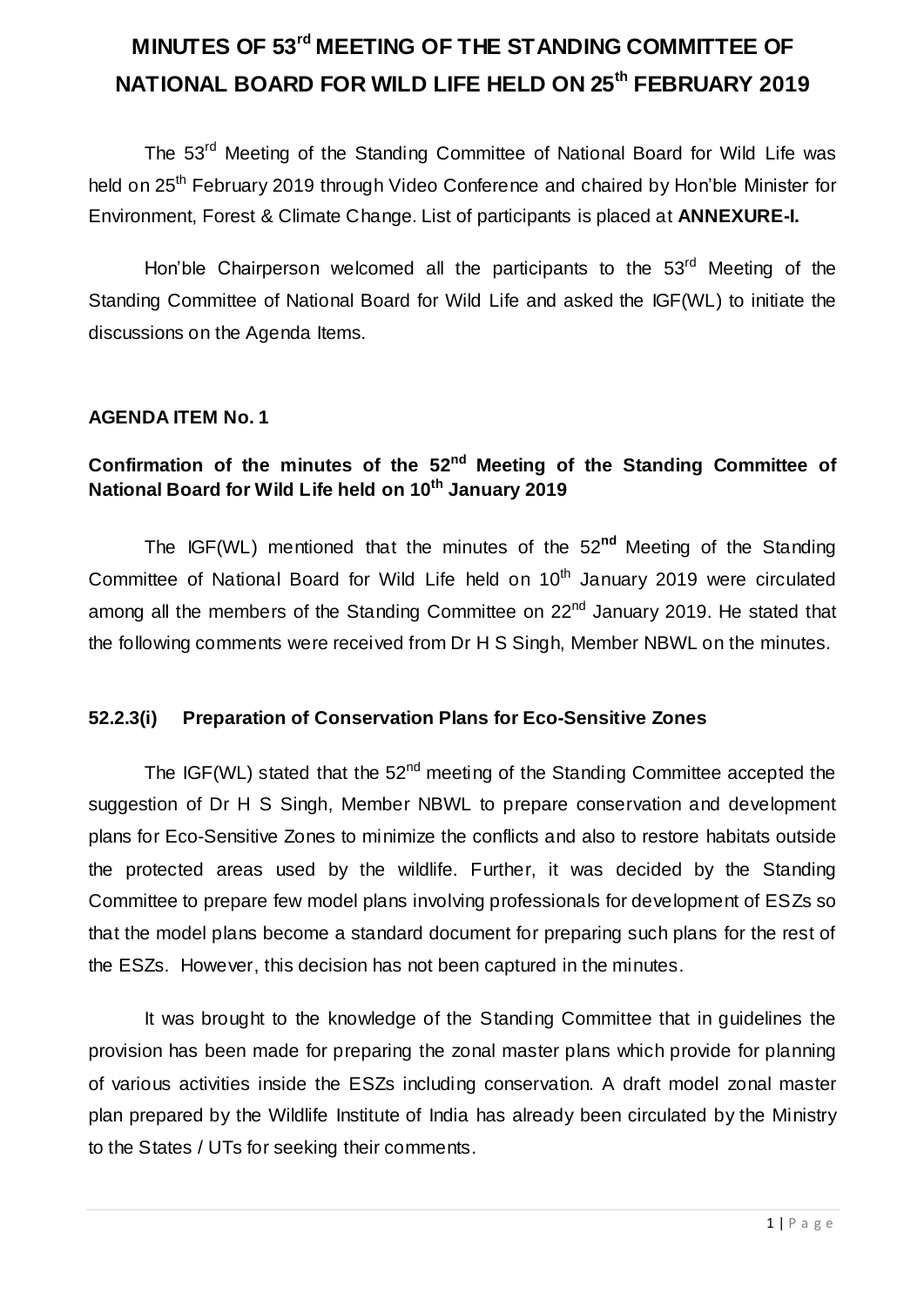# **MINUTES OF 53 rd MEETING OF THE STANDING COMMITTEE OF NATIONAL BOARD FOR WILD LIFE HELD ON 25th FEBRUARY 2019**

The 53<sup>rd</sup> Meeting of the Standing Committee of National Board for Wild Life was held on 25<sup>th</sup> February 2019 through Video Conference and chaired by Hon'ble Minister for Environment, Forest & Climate Change. List of participants is placed at **ANNEXURE-I.**

Hon'ble Chairperson welcomed all the participants to the 53<sup>rd</sup> Meeting of the Standing Committee of National Board for Wild Life and asked the IGF(WL) to initiate the discussions on the Agenda Items.

#### **AGENDA ITEM No. 1**

#### Confirmation of the minutes of the 52<sup>nd</sup> Meeting of the Standing Committee of **National Board for Wild Life held on 10th January 2019**

The IGF(WL) mentioned that the minutes of the 52**nd** Meeting of the Standing Committee of National Board for Wild Life held on  $10<sup>th</sup>$  January 2019 were circulated among all the members of the Standing Committee on 22<sup>nd</sup> January 2019. He stated that the following comments were received from Dr H S Singh, Member NBWL on the minutes.

#### **52.2.3(i) Preparation of Conservation Plans for Eco-Sensitive Zones**

The IGF(WL) stated that the  $52<sup>nd</sup>$  meeting of the Standing Committee accepted the suggestion of Dr H S Singh, Member NBWL to prepare conservation and development plans for Eco-Sensitive Zones to minimize the conflicts and also to restore habitats outside the protected areas used by the wildlife. Further, it was decided by the Standing Committee to prepare few model plans involving professionals for development of ESZs so that the model plans become a standard document for preparing such plans for the rest of the ESZs. However, this decision has not been captured in the minutes.

It was brought to the knowledge of the Standing Committee that in guidelines the provision has been made for preparing the zonal master plans which provide for planning of various activities inside the ESZs including conservation. A draft model zonal master plan prepared by the Wildlife Institute of India has already been circulated by the Ministry to the States / UTs for seeking their comments.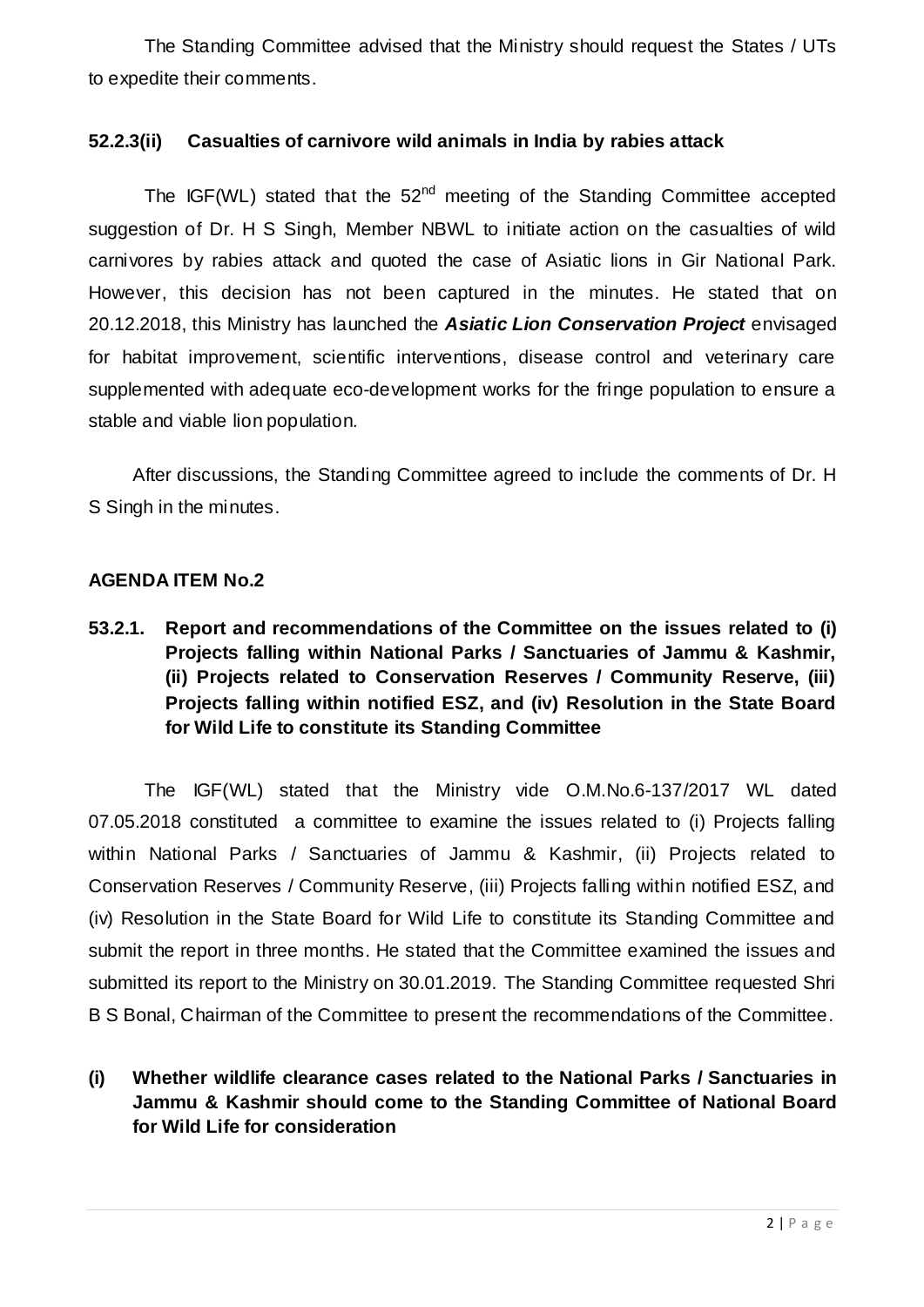The Standing Committee advised that the Ministry should request the States / UTs to expedite their comments.

#### **52.2.3(ii) Casualties of carnivore wild animals in India by rabies attack**

The IGF(WL) stated that the 52<sup>nd</sup> meeting of the Standing Committee accepted suggestion of Dr. H S Singh, Member NBWL to initiate action on the casualties of wild carnivores by rabies attack and quoted the case of Asiatic lions in Gir National Park. However, this decision has not been captured in the minutes. He stated that on 20.12.2018, this Ministry has launched the *Asiatic Lion Conservation Project* envisaged for habitat improvement, scientific interventions, disease control and veterinary care supplemented with adequate eco-development works for the fringe population to ensure a stable and viable lion population.

After discussions, the Standing Committee agreed to include the comments of Dr. H S Singh in the minutes.

#### **AGENDA ITEM No.2**

**53.2.1. Report and recommendations of the Committee on the issues related to (i) Projects falling within National Parks / Sanctuaries of Jammu & Kashmir, (ii) Projects related to Conservation Reserves / Community Reserve, (iii) Projects falling within notified ESZ, and (iv) Resolution in the State Board for Wild Life to constitute its Standing Committee**

The IGF(WL) stated that the Ministry vide O.M.No.6-137/2017 WL dated 07.05.2018 constituted a committee to examine the issues related to (i) Projects falling within National Parks / Sanctuaries of Jammu & Kashmir, (ii) Projects related to Conservation Reserves / Community Reserve, (iii) Projects falling within notified ESZ, and (iv) Resolution in the State Board for Wild Life to constitute its Standing Committee and submit the report in three months. He stated that the Committee examined the issues and submitted its report to the Ministry on 30.01.2019. The Standing Committee requested Shri B S Bonal, Chairman of the Committee to present the recommendations of the Committee.

**(i) Whether wildlife clearance cases related to the National Parks / Sanctuaries in Jammu & Kashmir should come to the Standing Committee of National Board for Wild Life for consideration**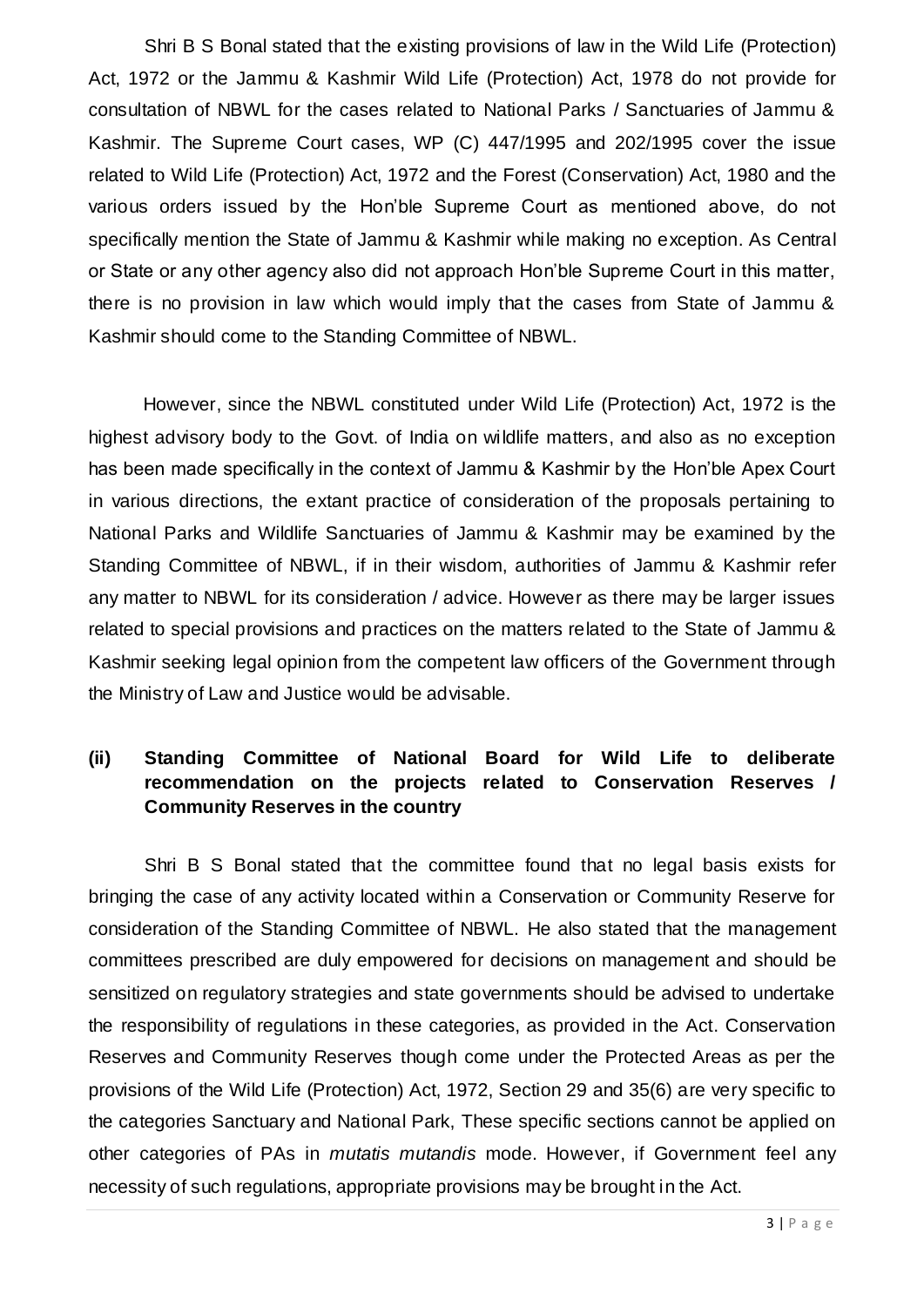Shri B S Bonal stated that the existing provisions of law in the Wild Life (Protection) Act, 1972 or the Jammu & Kashmir Wild Life (Protection) Act, 1978 do not provide for consultation of NBWL for the cases related to National Parks / Sanctuaries of Jammu & Kashmir. The Supreme Court cases, WP (C) 447/1995 and 202/1995 cover the issue related to Wild Life (Protection) Act, 1972 and the Forest (Conservation) Act, 1980 and the various orders issued by the Hon'ble Supreme Court as mentioned above, do not specifically mention the State of Jammu & Kashmir while making no exception. As Central or State or any other agency also did not approach Hon'ble Supreme Court in this matter, there is no provision in law which would imply that the cases from State of Jammu & Kashmir should come to the Standing Committee of NBWL.

However, since the NBWL constituted under Wild Life (Protection) Act, 1972 is the highest advisory body to the Govt. of India on wildlife matters, and also as no exception has been made specifically in the context of Jammu & Kashmir by the Hon'ble Apex Court in various directions, the extant practice of consideration of the proposals pertaining to National Parks and Wildlife Sanctuaries of Jammu & Kashmir may be examined by the Standing Committee of NBWL, if in their wisdom, authorities of Jammu & Kashmir refer any matter to NBWL for its consideration / advice. However as there may be larger issues related to special provisions and practices on the matters related to the State of Jammu & Kashmir seeking legal opinion from the competent law officers of the Government through the Ministry of Law and Justice would be advisable.

### **(ii) Standing Committee of National Board for Wild Life to deliberate recommendation on the projects related to Conservation Reserves / Community Reserves in the country**

Shri B S Bonal stated that the committee found that no legal basis exists for bringing the case of any activity located within a Conservation or Community Reserve for consideration of the Standing Committee of NBWL. He also stated that the management committees prescribed are duly empowered for decisions on management and should be sensitized on regulatory strategies and state governments should be advised to undertake the responsibility of regulations in these categories, as provided in the Act. Conservation Reserves and Community Reserves though come under the Protected Areas as per the provisions of the Wild Life (Protection) Act, 1972, Section 29 and 35(6) are very specific to the categories Sanctuary and National Park, These specific sections cannot be applied on other categories of PAs in *mutatis mutandis* mode. However, if Government feel any necessity of such regulations, appropriate provisions may be brought in the Act.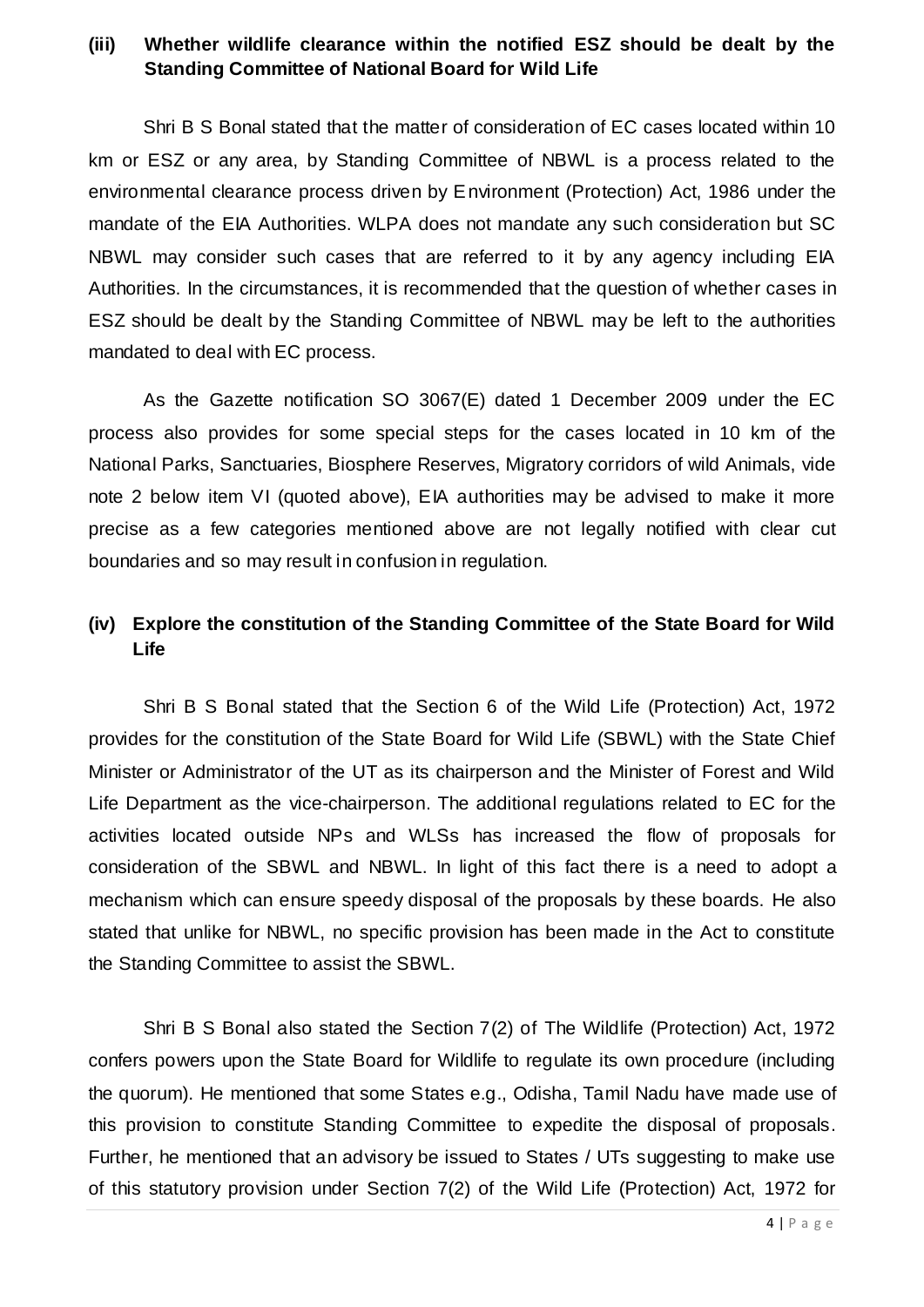#### **(iii) Whether wildlife clearance within the notified ESZ should be dealt by the Standing Committee of National Board for Wild Life**

Shri B S Bonal stated that the matter of consideration of EC cases located within 10 km or ESZ or any area, by Standing Committee of NBWL is a process related to the environmental clearance process driven by Environment (Protection) Act, 1986 under the mandate of the EIA Authorities. WLPA does not mandate any such consideration but SC NBWL may consider such cases that are referred to it by any agency including EIA Authorities. In the circumstances, it is recommended that the question of whether cases in ESZ should be dealt by the Standing Committee of NBWL may be left to the authorities mandated to deal with EC process.

As the Gazette notification SO 3067(E) dated 1 December 2009 under the EC process also provides for some special steps for the cases located in 10 km of the National Parks, Sanctuaries, Biosphere Reserves, Migratory corridors of wild Animals, vide note 2 below item VI (quoted above), EIA authorities may be advised to make it more precise as a few categories mentioned above are not legally notified with clear cut boundaries and so may result in confusion in regulation.

#### **(iv) Explore the constitution of the Standing Committee of the State Board for Wild Life**

Shri B S Bonal stated that the Section 6 of the Wild Life (Protection) Act, 1972 provides for the constitution of the State Board for Wild Life (SBWL) with the State Chief Minister or Administrator of the UT as its chairperson and the Minister of Forest and Wild Life Department as the vice-chairperson. The additional regulations related to EC for the activities located outside NPs and WLSs has increased the flow of proposals for consideration of the SBWL and NBWL. In light of this fact there is a need to adopt a mechanism which can ensure speedy disposal of the proposals by these boards. He also stated that unlike for NBWL, no specific provision has been made in the Act to constitute the Standing Committee to assist the SBWL.

Shri B S Bonal also stated the Section 7(2) of The Wildlife (Protection) Act, 1972 confers powers upon the State Board for Wildlife to regulate its own procedure (including the quorum). He mentioned that some States e.g., Odisha, Tamil Nadu have made use of this provision to constitute Standing Committee to expedite the disposal of proposals. Further, he mentioned that an advisory be issued to States / UTs suggesting to make use of this statutory provision under Section 7(2) of the Wild Life (Protection) Act, 1972 for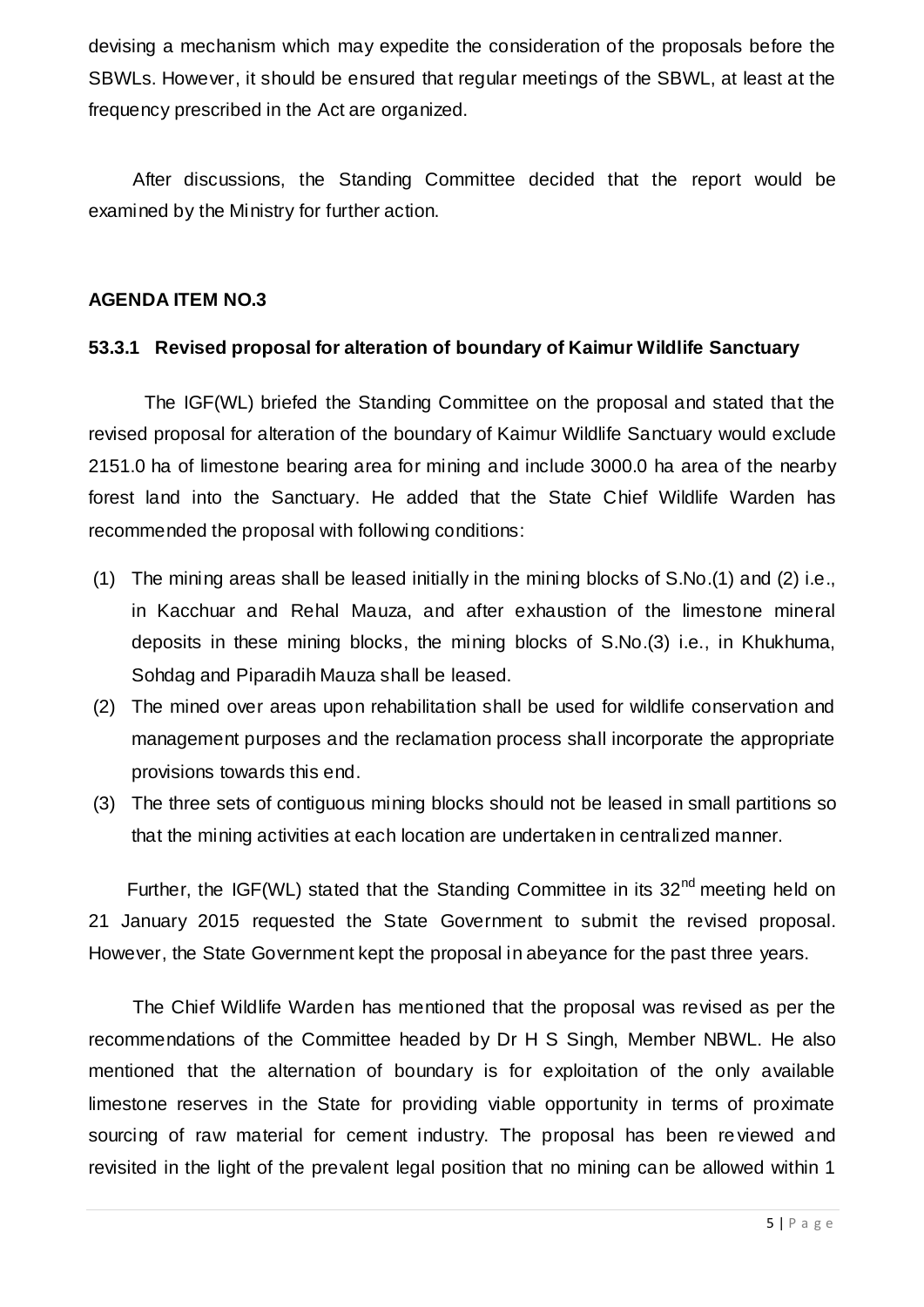devising a mechanism which may expedite the consideration of the proposals before the SBWLs. However, it should be ensured that regular meetings of the SBWL, at least at the frequency prescribed in the Act are organized.

After discussions, the Standing Committee decided that the report would be examined by the Ministry for further action.

#### **AGENDA ITEM NO.3**

#### **53.3.1 Revised proposal for alteration of boundary of Kaimur Wildlife Sanctuary**

The IGF(WL) briefed the Standing Committee on the proposal and stated that the revised proposal for alteration of the boundary of Kaimur Wildlife Sanctuary would exclude 2151.0 ha of limestone bearing area for mining and include 3000.0 ha area of the nearby forest land into the Sanctuary. He added that the State Chief Wildlife Warden has recommended the proposal with following conditions:

- (1) The mining areas shall be leased initially in the mining blocks of S.No.(1) and (2) i.e., in Kacchuar and Rehal Mauza, and after exhaustion of the limestone mineral deposits in these mining blocks, the mining blocks of S.No.(3) i.e., in Khukhuma, Sohdag and Piparadih Mauza shall be leased.
- (2) The mined over areas upon rehabilitation shall be used for wildlife conservation and management purposes and the reclamation process shall incorporate the appropriate provisions towards this end.
- (3) The three sets of contiguous mining blocks should not be leased in small partitions so that the mining activities at each location are undertaken in centralized manner.

Further, the IGF(WL) stated that the Standing Committee in its  $32<sup>nd</sup>$  meeting held on 21 January 2015 requested the State Government to submit the revised proposal. However, the State Government kept the proposal in abeyance for the past three years.

The Chief Wildlife Warden has mentioned that the proposal was revised as per the recommendations of the Committee headed by Dr H S Singh, Member NBWL. He also mentioned that the alternation of boundary is for exploitation of the only available limestone reserves in the State for providing viable opportunity in terms of proximate sourcing of raw material for cement industry. The proposal has been re viewed and revisited in the light of the prevalent legal position that no mining can be allowed within 1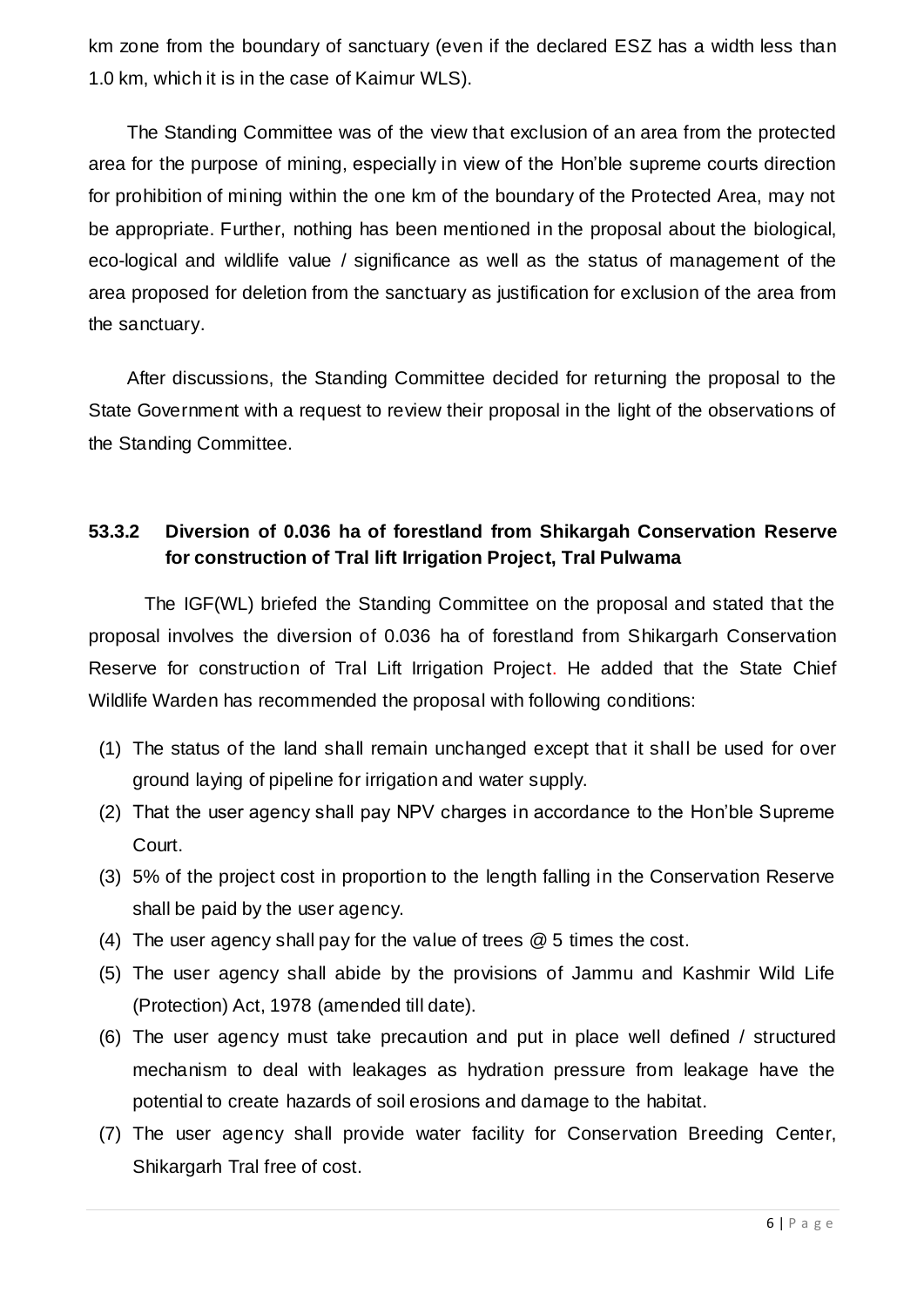km zone from the boundary of sanctuary (even if the declared ESZ has a width less than 1.0 km, which it is in the case of Kaimur WLS).

The Standing Committee was of the view that exclusion of an area from the protected area for the purpose of mining, especially in view of the Hon'ble supreme courts direction for prohibition of mining within the one km of the boundary of the Protected Area, may not be appropriate. Further, nothing has been mentioned in the proposal about the biological, eco-logical and wildlife value / significance as well as the status of management of the area proposed for deletion from the sanctuary as justification for exclusion of the area from the sanctuary.

After discussions, the Standing Committee decided for returning the proposal to the State Government with a request to review their proposal in the light of the observations of the Standing Committee.

### **53.3.2 Diversion of 0.036 ha of forestland from Shikargah Conservation Reserve for construction of Tral lift Irrigation Project, Tral Pulwama**

The IGF(WL) briefed the Standing Committee on the proposal and stated that the proposal involves the diversion of 0.036 ha of forestland from Shikargarh Conservation Reserve for construction of Tral Lift Irrigation Project. He added that the State Chief Wildlife Warden has recommended the proposal with following conditions:

- (1) The status of the land shall remain unchanged except that it shall be used for over ground laying of pipeline for irrigation and water supply.
- (2) That the user agency shall pay NPV charges in accordance to the Hon'ble Supreme Court.
- (3) 5% of the project cost in proportion to the length falling in the Conservation Reserve shall be paid by the user agency.
- (4) The user agency shall pay for the value of trees @ 5 times the cost.
- (5) The user agency shall abide by the provisions of Jammu and Kashmir Wild Life (Protection) Act, 1978 (amended till date).
- (6) The user agency must take precaution and put in place well defined / structured mechanism to deal with leakages as hydration pressure from leakage have the potential to create hazards of soil erosions and damage to the habitat.
- (7) The user agency shall provide water facility for Conservation Breeding Center, Shikargarh Tral free of cost.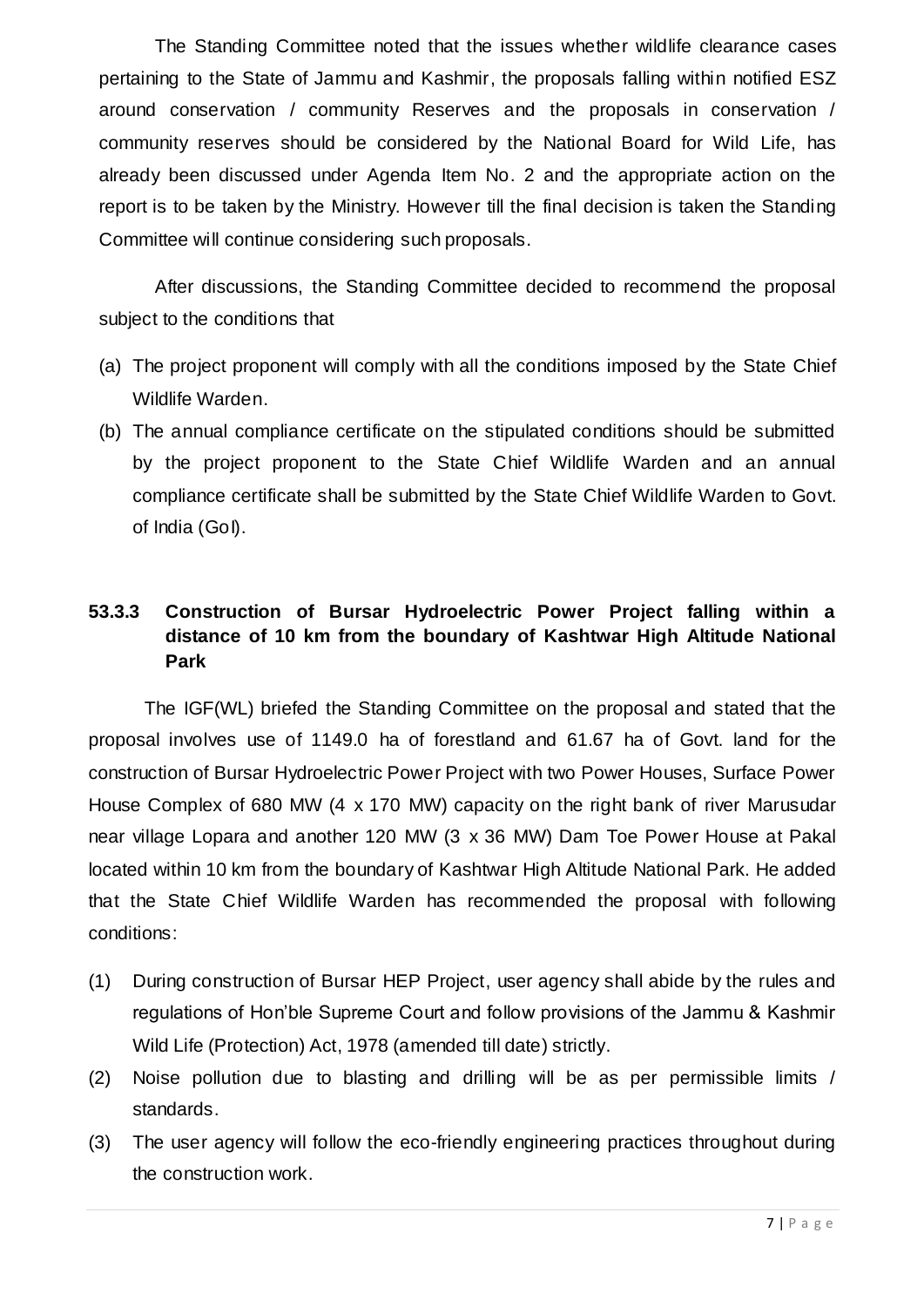The Standing Committee noted that the issues whether wildlife clearance cases pertaining to the State of Jammu and Kashmir, the proposals falling within notified ESZ around conservation / community Reserves and the proposals in conservation / community reserves should be considered by the National Board for Wild Life, has already been discussed under Agenda Item No. 2 and the appropriate action on the report is to be taken by the Ministry. However till the final decision is taken the Standing Committee will continue considering such proposals.

After discussions, the Standing Committee decided to recommend the proposal subject to the conditions that

- (a) The project proponent will comply with all the conditions imposed by the State Chief Wildlife Warden.
- (b) The annual compliance certificate on the stipulated conditions should be submitted by the project proponent to the State Chief Wildlife Warden and an annual compliance certificate shall be submitted by the State Chief Wildlife Warden to Govt. of India (GoI).

### **53.3.3 Construction of Bursar Hydroelectric Power Project falling within a distance of 10 km from the boundary of Kashtwar High Altitude National Park**

The IGF(WL) briefed the Standing Committee on the proposal and stated that the proposal involves use of 1149.0 ha of forestland and 61.67 ha of Govt. land for the construction of Bursar Hydroelectric Power Project with two Power Houses, Surface Power House Complex of 680 MW (4 x 170 MW) capacity on the right bank of river Marusudar near village Lopara and another 120 MW (3 x 36 MW) Dam Toe Power House at Pakal located within 10 km from the boundary of Kashtwar High Altitude National Park. He added that the State Chief Wildlife Warden has recommended the proposal with following conditions:

- (1) During construction of Bursar HEP Project, user agency shall abide by the rules and regulations of Hon'ble Supreme Court and follow provisions of the Jammu & Kashmir Wild Life (Protection) Act, 1978 (amended till date) strictly.
- (2) Noise pollution due to blasting and drilling will be as per permissible limits / standards.
- (3) The user agency will follow the eco-friendly engineering practices throughout during the construction work.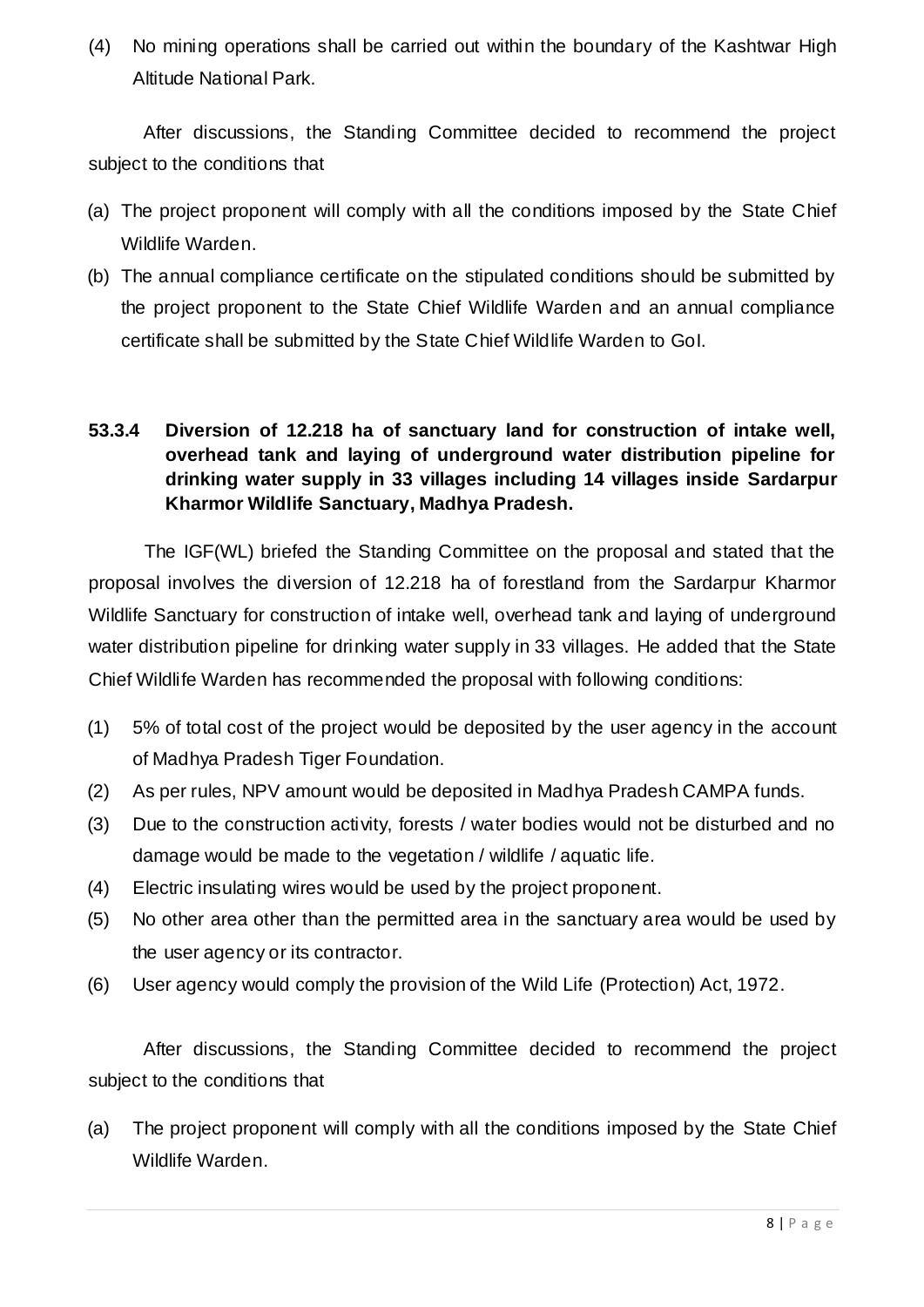(4) No mining operations shall be carried out within the boundary of the Kashtwar High Altitude National Park.

After discussions, the Standing Committee decided to recommend the project subject to the conditions that

- (a) The project proponent will comply with all the conditions imposed by the State Chief Wildlife Warden.
- (b) The annual compliance certificate on the stipulated conditions should be submitted by the project proponent to the State Chief Wildlife Warden and an annual compliance certificate shall be submitted by the State Chief Wildlife Warden to GoI.

#### **53.3.4 Diversion of 12.218 ha of sanctuary land for construction of intake well, overhead tank and laying of underground water distribution pipeline for drinking water supply in 33 villages including 14 villages inside Sardarpur Kharmor Wildlife Sanctuary, Madhya Pradesh.**

The IGF(WL) briefed the Standing Committee on the proposal and stated that the proposal involves the diversion of 12.218 ha of forestland from the Sardarpur Kharmor Wildlife Sanctuary for construction of intake well, overhead tank and laying of underground water distribution pipeline for drinking water supply in 33 villages. He added that the State Chief Wildlife Warden has recommended the proposal with following conditions:

- (1) 5% of total cost of the project would be deposited by the user agency in the account of Madhya Pradesh Tiger Foundation.
- (2) As per rules, NPV amount would be deposited in Madhya Pradesh CAMPA funds.
- (3) Due to the construction activity, forests / water bodies would not be disturbed and no damage would be made to the vegetation / wildlife / aquatic life.
- (4) Electric insulating wires would be used by the project proponent.
- (5) No other area other than the permitted area in the sanctuary area would be used by the user agency or its contractor.
- (6) User agency would comply the provision of the Wild Life (Protection) Act, 1972.

After discussions, the Standing Committee decided to recommend the project subject to the conditions that

(a) The project proponent will comply with all the conditions imposed by the State Chief Wildlife Warden.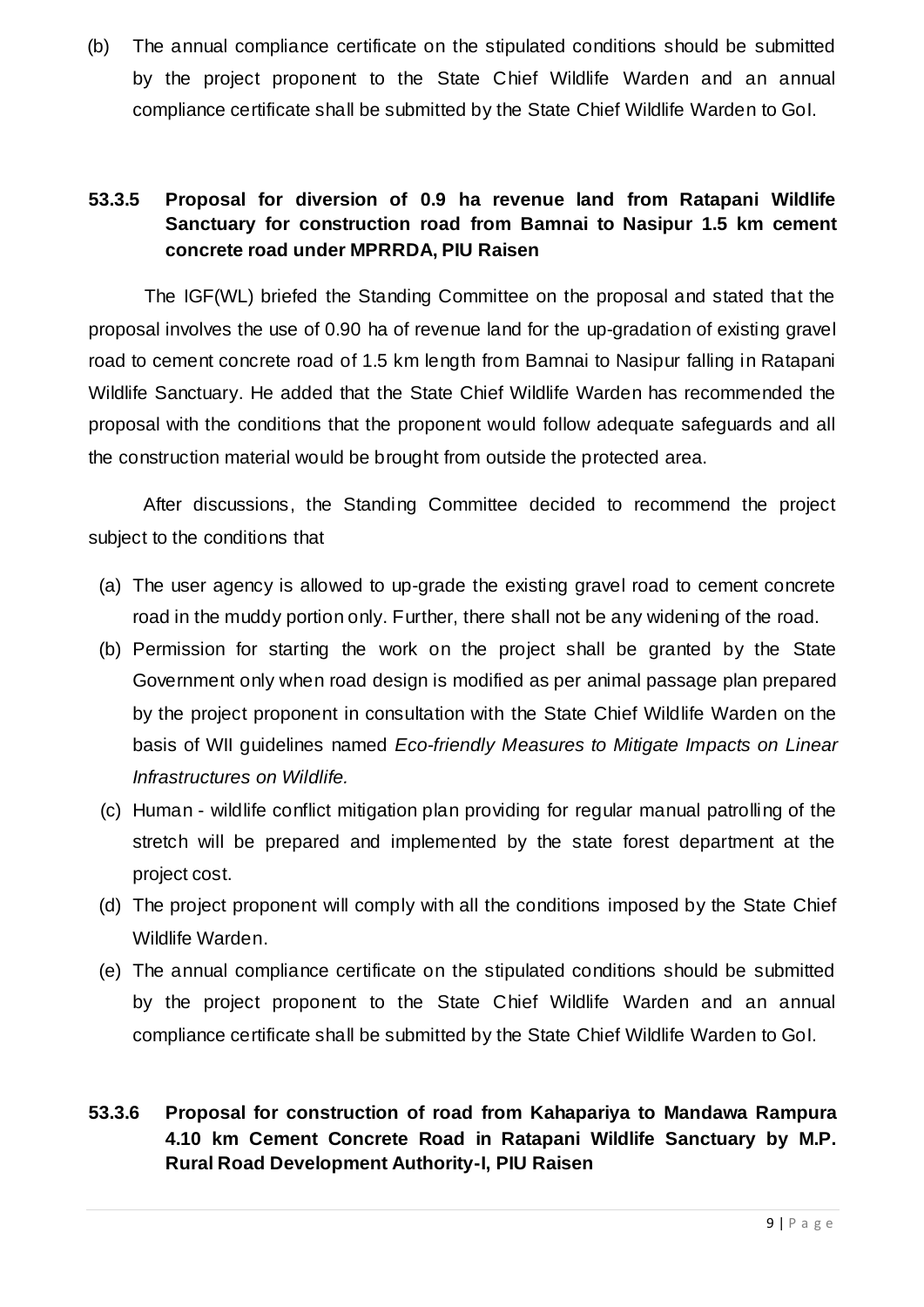(b) The annual compliance certificate on the stipulated conditions should be submitted by the project proponent to the State Chief Wildlife Warden and an annual compliance certificate shall be submitted by the State Chief Wildlife Warden to GoI.

### **53.3.5 Proposal for diversion of 0.9 ha revenue land from Ratapani Wildlife Sanctuary for construction road from Bamnai to Nasipur 1.5 km cement concrete road under MPRRDA, PIU Raisen**

The IGF(WL) briefed the Standing Committee on the proposal and stated that the proposal involves the use of 0.90 ha of revenue land for the up-gradation of existing gravel road to cement concrete road of 1.5 km length from Bamnai to Nasipur falling in Ratapani Wildlife Sanctuary. He added that the State Chief Wildlife Warden has recommended the proposal with the conditions that the proponent would follow adequate safeguards and all the construction material would be brought from outside the protected area.

After discussions, the Standing Committee decided to recommend the project subject to the conditions that

- (a) The user agency is allowed to up-grade the existing gravel road to cement concrete road in the muddy portion only. Further, there shall not be any widening of the road.
- (b) Permission for starting the work on the project shall be granted by the State Government only when road design is modified as per animal passage plan prepared by the project proponent in consultation with the State Chief Wildlife Warden on the basis of WII guidelines named *Eco-friendly Measures to Mitigate Impacts on Linear Infrastructures on Wildlife.*
- (c) Human wildlife conflict mitigation plan providing for regular manual patrolling of the stretch will be prepared and implemented by the state forest department at the project cost.
- (d) The project proponent will comply with all the conditions imposed by the State Chief Wildlife Warden.
- (e) The annual compliance certificate on the stipulated conditions should be submitted by the project proponent to the State Chief Wildlife Warden and an annual compliance certificate shall be submitted by the State Chief Wildlife Warden to GoI.

### **53.3.6 Proposal for construction of road from Kahapariya to Mandawa Rampura 4.10 km Cement Concrete Road in Ratapani Wildlife Sanctuary by M.P. Rural Road Development Authority-I, PIU Raisen**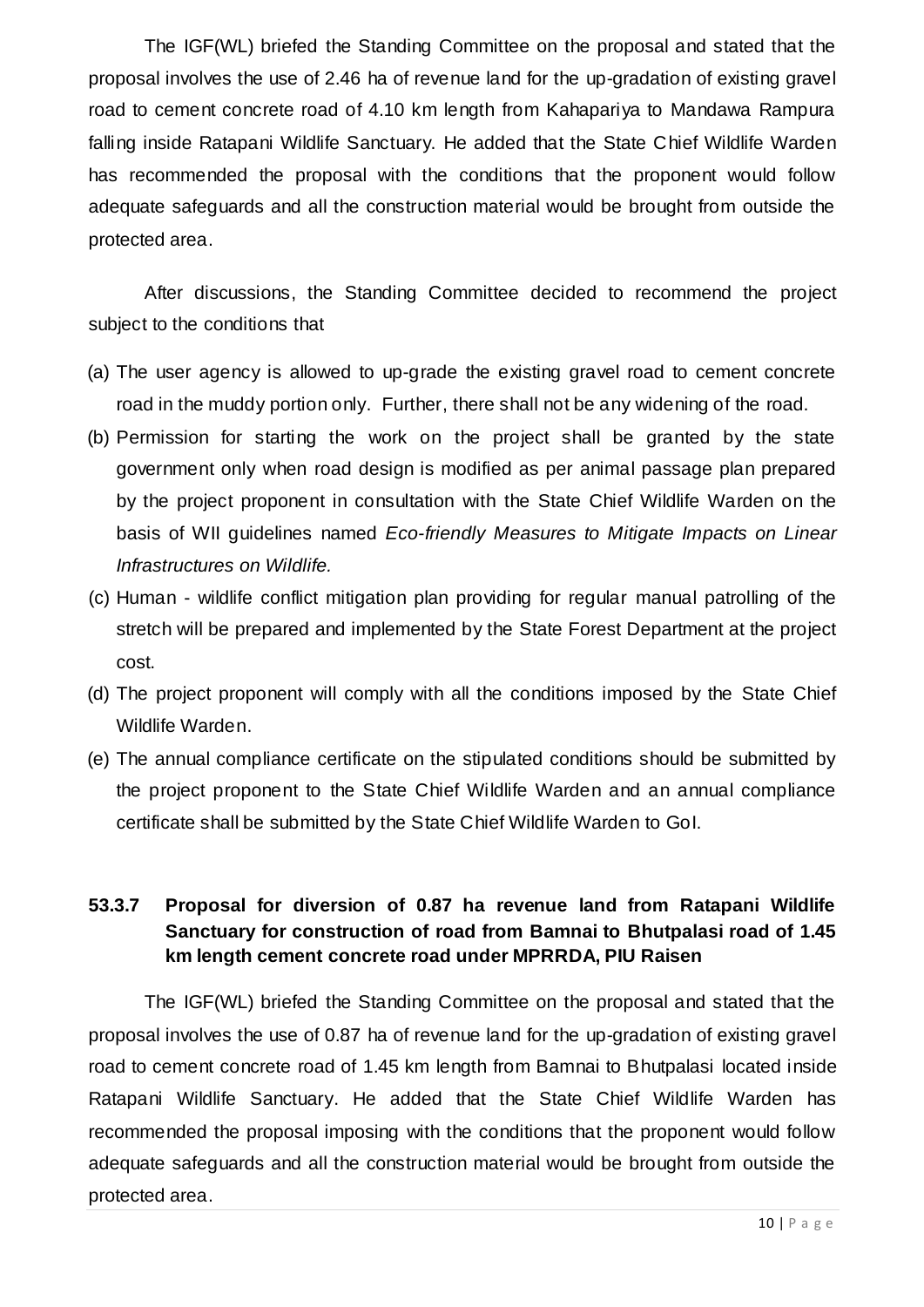The IGF(WL) briefed the Standing Committee on the proposal and stated that the proposal involves the use of 2.46 ha of revenue land for the up-gradation of existing gravel road to cement concrete road of 4.10 km length from Kahapariya to Mandawa Rampura falling inside Ratapani Wildlife Sanctuary. He added that the State Chief Wildlife Warden has recommended the proposal with the conditions that the proponent would follow adequate safeguards and all the construction material would be brought from outside the protected area.

After discussions, the Standing Committee decided to recommend the project subject to the conditions that

- (a) The user agency is allowed to up-grade the existing gravel road to cement concrete road in the muddy portion only. Further, there shall not be any widening of the road.
- (b) Permission for starting the work on the project shall be granted by the state government only when road design is modified as per animal passage plan prepared by the project proponent in consultation with the State Chief Wildlife Warden on the basis of WII guidelines named *Eco-friendly Measures to Mitigate Impacts on Linear Infrastructures on Wildlife.*
- (c) Human wildlife conflict mitigation plan providing for regular manual patrolling of the stretch will be prepared and implemented by the State Forest Department at the project cost.
- (d) The project proponent will comply with all the conditions imposed by the State Chief Wildlife Warden.
- (e) The annual compliance certificate on the stipulated conditions should be submitted by the project proponent to the State Chief Wildlife Warden and an annual compliance certificate shall be submitted by the State Chief Wildlife Warden to GoI.

#### **53.3.7 Proposal for diversion of 0.87 ha revenue land from Ratapani Wildlife Sanctuary for construction of road from Bamnai to Bhutpalasi road of 1.45 km length cement concrete road under MPRRDA, PIU Raisen**

The IGF(WL) briefed the Standing Committee on the proposal and stated that the proposal involves the use of 0.87 ha of revenue land for the up-gradation of existing gravel road to cement concrete road of 1.45 km length from Bamnai to Bhutpalasi located inside Ratapani Wildlife Sanctuary. He added that the State Chief Wildlife Warden has recommended the proposal imposing with the conditions that the proponent would follow adequate safeguards and all the construction material would be brought from outside the protected area.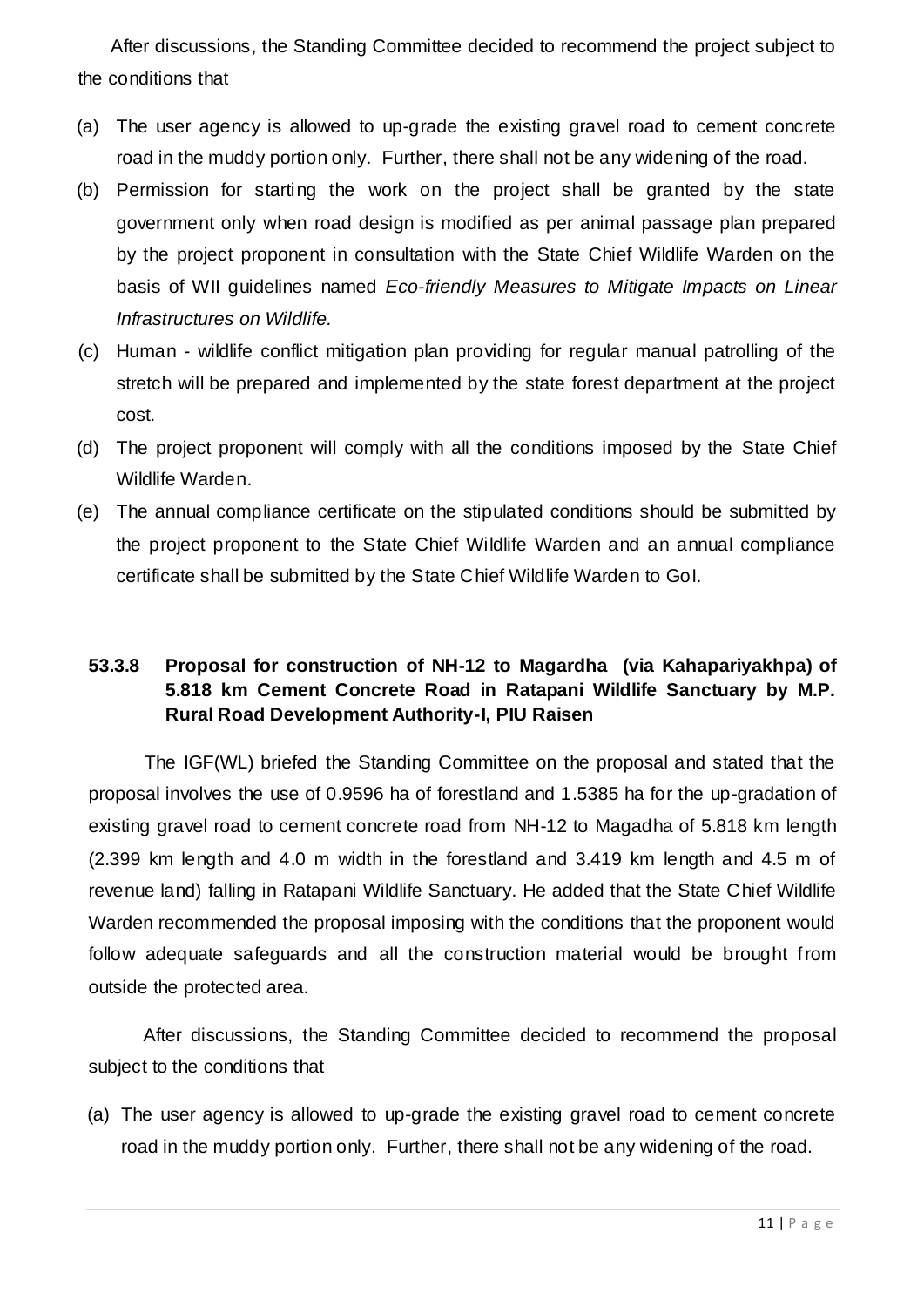After discussions, the Standing Committee decided to recommend the project subject to the conditions that

- (a) The user agency is allowed to up-grade the existing gravel road to cement concrete road in the muddy portion only. Further, there shall not be any widening of the road.
- (b) Permission for starting the work on the project shall be granted by the state government only when road design is modified as per animal passage plan prepared by the project proponent in consultation with the State Chief Wildlife Warden on the basis of WII guidelines named *Eco-friendly Measures to Mitigate Impacts on Linear Infrastructures on Wildlife.*
- (c) Human wildlife conflict mitigation plan providing for regular manual patrolling of the stretch will be prepared and implemented by the state forest department at the project cost.
- (d) The project proponent will comply with all the conditions imposed by the State Chief Wildlife Warden.
- (e) The annual compliance certificate on the stipulated conditions should be submitted by the project proponent to the State Chief Wildlife Warden and an annual compliance certificate shall be submitted by the State Chief Wildlife Warden to GoI.

### **53.3.8 Proposal for construction of NH-12 to Magardha (via Kahapariyakhpa) of 5.818 km Cement Concrete Road in Ratapani Wildlife Sanctuary by M.P. Rural Road Development Authority-I, PIU Raisen**

The IGF(WL) briefed the Standing Committee on the proposal and stated that the proposal involves the use of 0.9596 ha of forestland and 1.5385 ha for the up-gradation of existing gravel road to cement concrete road from NH-12 to Magadha of 5.818 km length (2.399 km length and 4.0 m width in the forestland and 3.419 km length and 4.5 m of revenue land) falling in Ratapani Wildlife Sanctuary. He added that the State Chief Wildlife Warden recommended the proposal imposing with the conditions that the proponent would follow adequate safeguards and all the construction material would be brought from outside the protected area.

After discussions, the Standing Committee decided to recommend the proposal subject to the conditions that

(a) The user agency is allowed to up-grade the existing gravel road to cement concrete road in the muddy portion only. Further, there shall not be any widening of the road.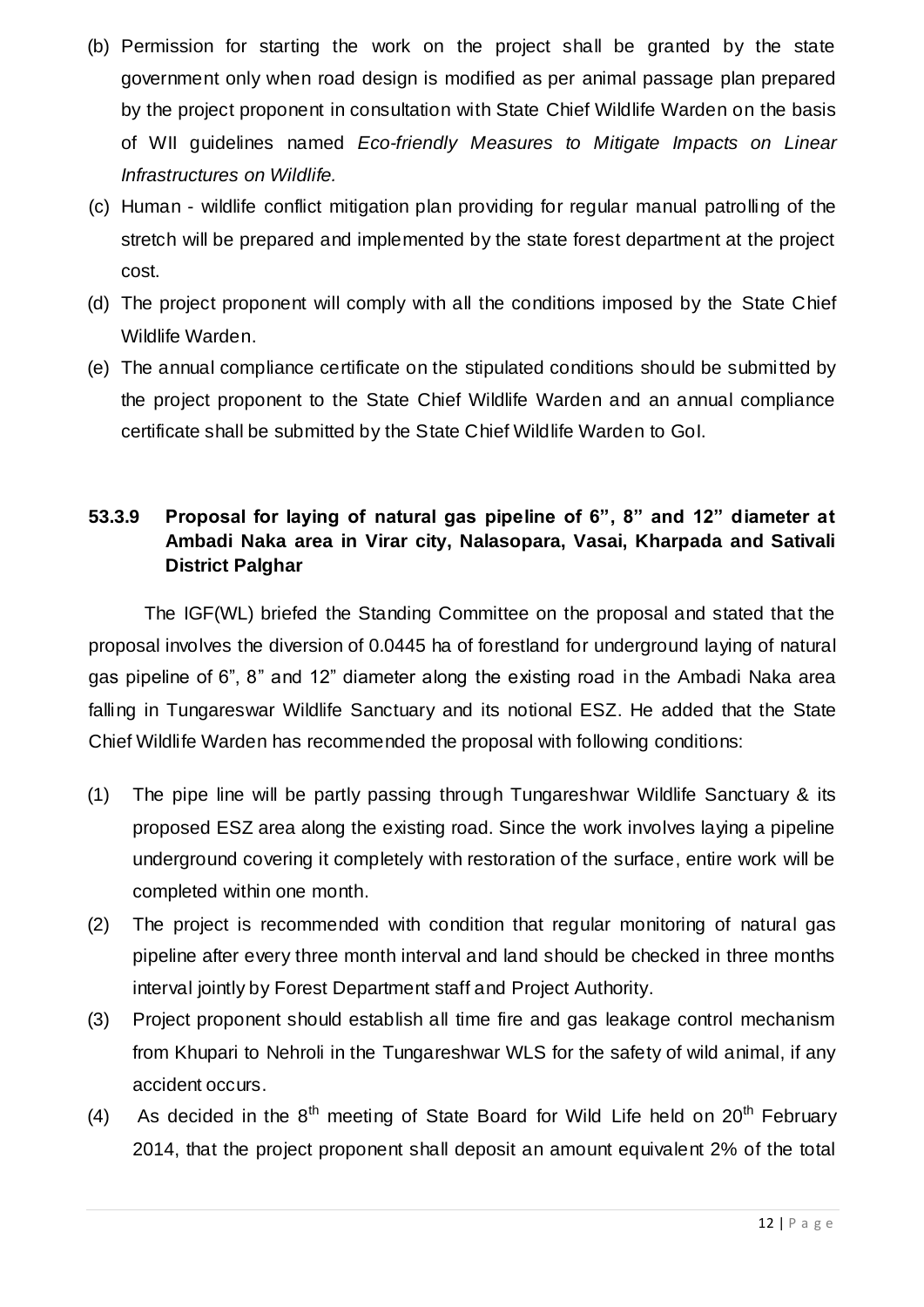- (b) Permission for starting the work on the project shall be granted by the state government only when road design is modified as per animal passage plan prepared by the project proponent in consultation with State Chief Wildlife Warden on the basis of WII guidelines named *Eco-friendly Measures to Mitigate Impacts on Linear Infrastructures on Wildlife.*
- (c) Human wildlife conflict mitigation plan providing for regular manual patrolling of the stretch will be prepared and implemented by the state forest department at the project cost.
- (d) The project proponent will comply with all the conditions imposed by the State Chief Wildlife Warden.
- (e) The annual compliance certificate on the stipulated conditions should be submitted by the project proponent to the State Chief Wildlife Warden and an annual compliance certificate shall be submitted by the State Chief Wildlife Warden to GoI.

### **53.3.9 Proposal for laying of natural gas pipeline of 6", 8" and 12" diameter at Ambadi Naka area in Virar city, Nalasopara, Vasai, Kharpada and Sativali District Palghar**

The IGF(WL) briefed the Standing Committee on the proposal and stated that the proposal involves the diversion of 0.0445 ha of forestland for underground laying of natural gas pipeline of 6", 8" and 12" diameter along the existing road in the Ambadi Naka area falling in Tungareswar Wildlife Sanctuary and its notional ESZ. He added that the State Chief Wildlife Warden has recommended the proposal with following conditions:

- (1) The pipe line will be partly passing through Tungareshwar Wildlife Sanctuary & its proposed ESZ area along the existing road. Since the work involves laying a pipeline underground covering it completely with restoration of the surface, entire work will be completed within one month.
- (2) The project is recommended with condition that regular monitoring of natural gas pipeline after every three month interval and land should be checked in three months interval jointly by Forest Department staff and Project Authority.
- (3) Project proponent should establish all time fire and gas leakage control mechanism from Khupari to Nehroli in the Tungareshwar WLS for the safety of wild animal, if any accident occurs.
- (4) As decided in the  $8<sup>th</sup>$  meeting of State Board for Wild Life held on  $20<sup>th</sup>$  February 2014, that the project proponent shall deposit an amount equivalent 2% of the total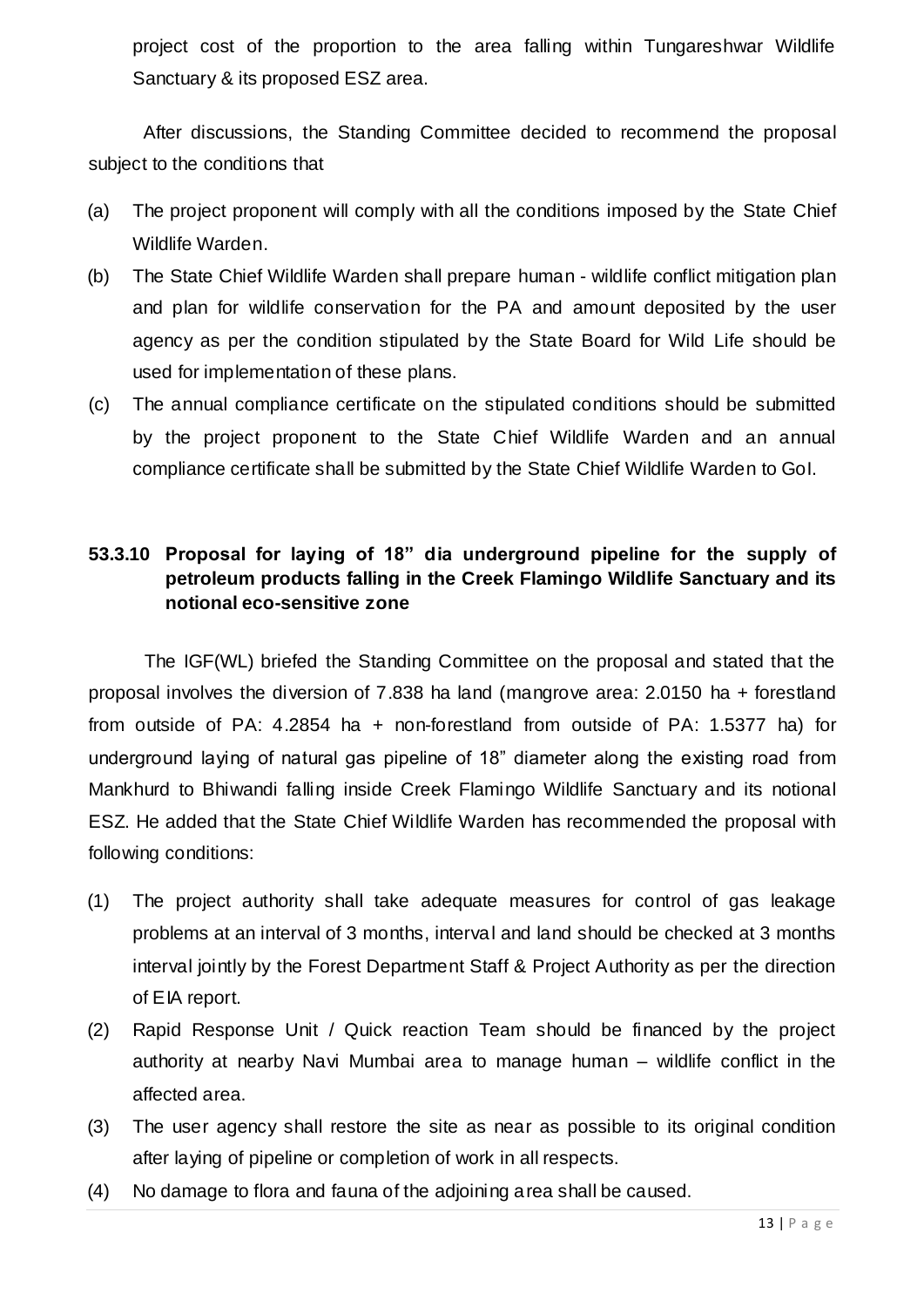project cost of the proportion to the area falling within Tungareshwar Wildlife Sanctuary & its proposed ESZ area.

After discussions, the Standing Committee decided to recommend the proposal subject to the conditions that

- (a) The project proponent will comply with all the conditions imposed by the State Chief Wildlife Warden.
- (b) The State Chief Wildlife Warden shall prepare human wildlife conflict mitigation plan and plan for wildlife conservation for the PA and amount deposited by the user agency as per the condition stipulated by the State Board for Wild Life should be used for implementation of these plans.
- (c) The annual compliance certificate on the stipulated conditions should be submitted by the project proponent to the State Chief Wildlife Warden and an annual compliance certificate shall be submitted by the State Chief Wildlife Warden to GoI.

#### **53.3.10 Proposal for laying of 18" dia underground pipeline for the supply of petroleum products falling in the Creek Flamingo Wildlife Sanctuary and its notional eco-sensitive zone**

The IGF(WL) briefed the Standing Committee on the proposal and stated that the proposal involves the diversion of 7.838 ha land (mangrove area: 2.0150 ha + forestland from outside of PA: 4.2854 ha + non-forestland from outside of PA: 1.5377 ha) for underground laying of natural gas pipeline of 18" diameter along the existing road from Mankhurd to Bhiwandi falling inside Creek Flamingo Wildlife Sanctuary and its notional ESZ. He added that the State Chief Wildlife Warden has recommended the proposal with following conditions:

- (1) The project authority shall take adequate measures for control of gas leakage problems at an interval of 3 months, interval and land should be checked at 3 months interval jointly by the Forest Department Staff & Project Authority as per the direction of EIA report.
- (2) Rapid Response Unit / Quick reaction Team should be financed by the project authority at nearby Navi Mumbai area to manage human – wildlife conflict in the affected area.
- (3) The user agency shall restore the site as near as possible to its original condition after laying of pipeline or completion of work in all respects.
- (4) No damage to flora and fauna of the adjoining area shall be caused.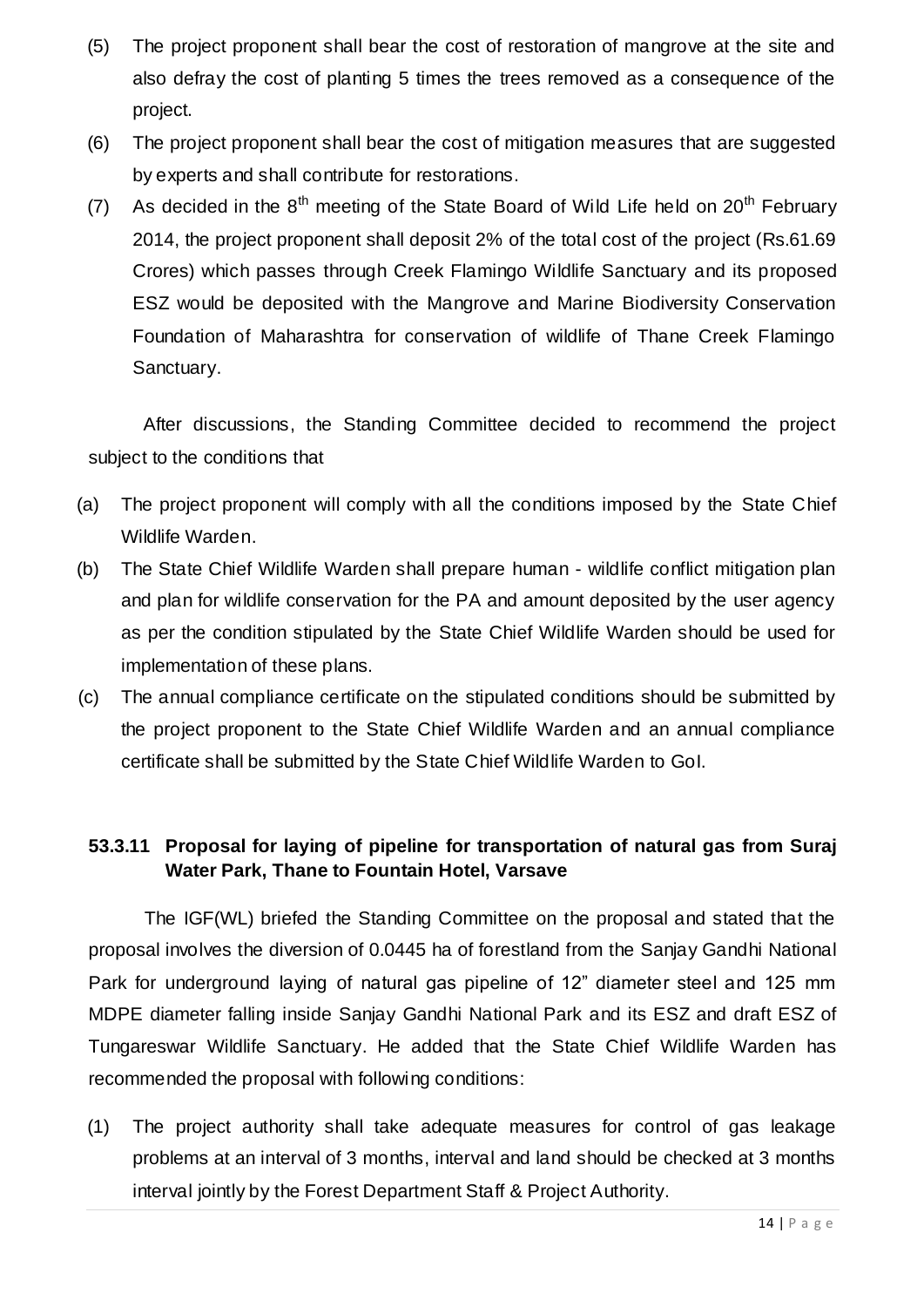- (5) The project proponent shall bear the cost of restoration of mangrove at the site and also defray the cost of planting 5 times the trees removed as a consequence of the project.
- (6) The project proponent shall bear the cost of mitigation measures that are suggested by experts and shall contribute for restorations.
- (7) As decided in the  $8<sup>th</sup>$  meeting of the State Board of Wild Life held on  $20<sup>th</sup>$  February 2014, the project proponent shall deposit 2% of the total cost of the project (Rs.61.69 Crores) which passes through Creek Flamingo Wildlife Sanctuary and its proposed ESZ would be deposited with the Mangrove and Marine Biodiversity Conservation Foundation of Maharashtra for conservation of wildlife of Thane Creek Flamingo Sanctuary.

After discussions, the Standing Committee decided to recommend the project subject to the conditions that

- (a) The project proponent will comply with all the conditions imposed by the State Chief Wildlife Warden.
- (b) The State Chief Wildlife Warden shall prepare human wildlife conflict mitigation plan and plan for wildlife conservation for the PA and amount deposited by the user agency as per the condition stipulated by the State Chief Wildlife Warden should be used for implementation of these plans.
- (c) The annual compliance certificate on the stipulated conditions should be submitted by the project proponent to the State Chief Wildlife Warden and an annual compliance certificate shall be submitted by the State Chief Wildlife Warden to GoI.

### **53.3.11 Proposal for laying of pipeline for transportation of natural gas from Suraj Water Park, Thane to Fountain Hotel, Varsave**

The IGF(WL) briefed the Standing Committee on the proposal and stated that the proposal involves the diversion of 0.0445 ha of forestland from the Sanjay Gandhi National Park for underground laying of natural gas pipeline of 12" diameter steel and 125 mm MDPE diameter falling inside Sanjay Gandhi National Park and its ESZ and draft ESZ of Tungareswar Wildlife Sanctuary. He added that the State Chief Wildlife Warden has recommended the proposal with following conditions:

(1) The project authority shall take adequate measures for control of gas leakage problems at an interval of 3 months, interval and land should be checked at 3 months interval jointly by the Forest Department Staff & Project Authority.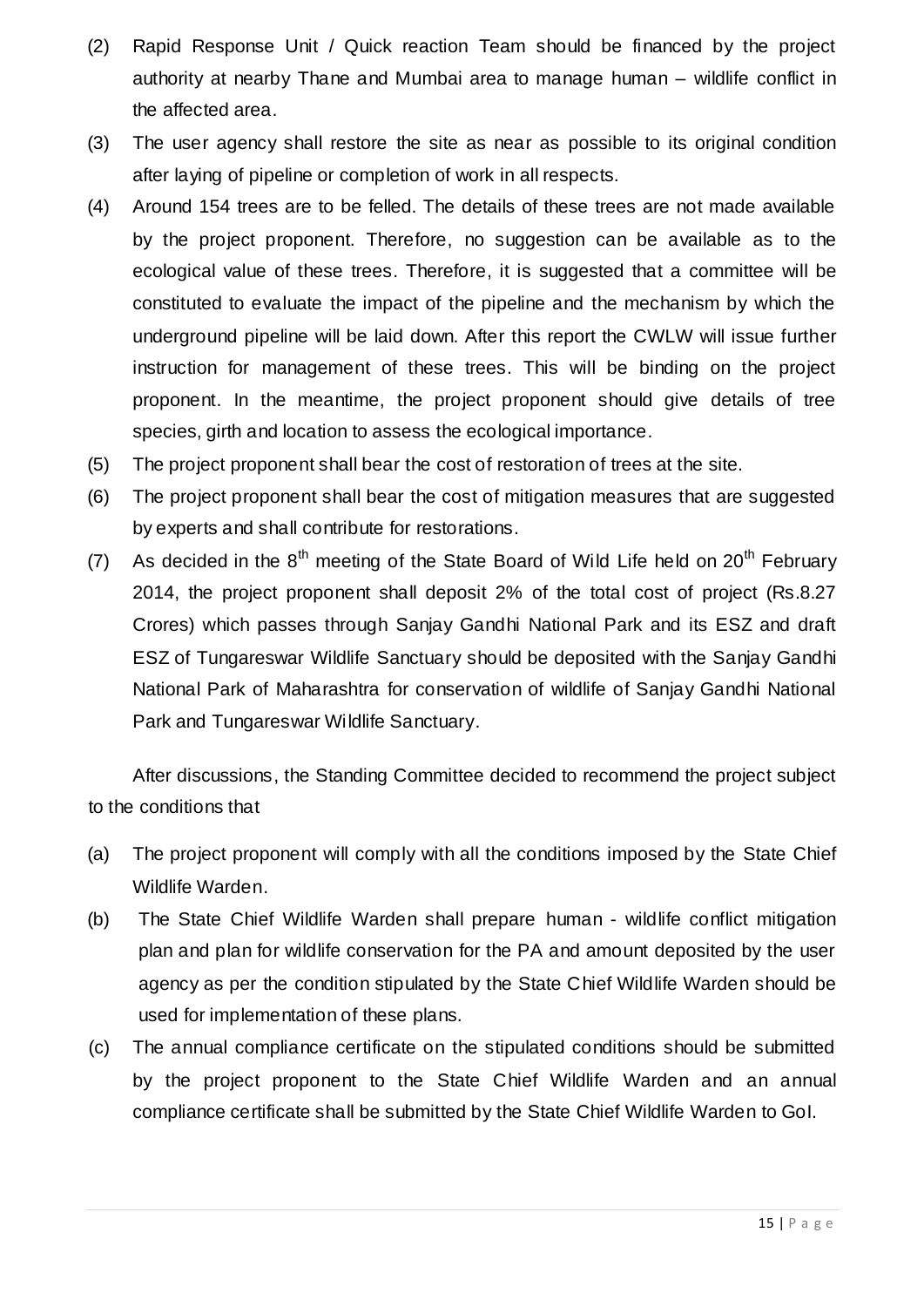- (2) Rapid Response Unit / Quick reaction Team should be financed by the project authority at nearby Thane and Mumbai area to manage human – wildlife conflict in the affected area.
- (3) The user agency shall restore the site as near as possible to its original condition after laying of pipeline or completion of work in all respects.
- (4) Around 154 trees are to be felled. The details of these trees are not made available by the project proponent. Therefore, no suggestion can be available as to the ecological value of these trees. Therefore, it is suggested that a committee will be constituted to evaluate the impact of the pipeline and the mechanism by which the underground pipeline will be laid down. After this report the CWLW will issue further instruction for management of these trees. This will be binding on the project proponent. In the meantime, the project proponent should give details of tree species, girth and location to assess the ecological importance.
- (5) The project proponent shall bear the cost of restoration of trees at the site.
- (6) The project proponent shall bear the cost of mitigation measures that are suggested by experts and shall contribute for restorations.
- (7) As decided in the  $8<sup>th</sup>$  meeting of the State Board of Wild Life held on 20<sup>th</sup> February 2014, the project proponent shall deposit 2% of the total cost of project (Rs.8.27 Crores) which passes through Sanjay Gandhi National Park and its ESZ and draft ESZ of Tungareswar Wildlife Sanctuary should be deposited with the Sanjay Gandhi National Park of Maharashtra for conservation of wildlife of Sanjay Gandhi National Park and Tungareswar Wildlife Sanctuary.

After discussions, the Standing Committee decided to recommend the project subject to the conditions that

- (a) The project proponent will comply with all the conditions imposed by the State Chief Wildlife Warden.
- (b) The State Chief Wildlife Warden shall prepare human wildlife conflict mitigation plan and plan for wildlife conservation for the PA and amount deposited by the user agency as per the condition stipulated by the State Chief Wildlife Warden should be used for implementation of these plans.
- (c) The annual compliance certificate on the stipulated conditions should be submitted by the project proponent to the State Chief Wildlife Warden and an annual compliance certificate shall be submitted by the State Chief Wildlife Warden to GoI.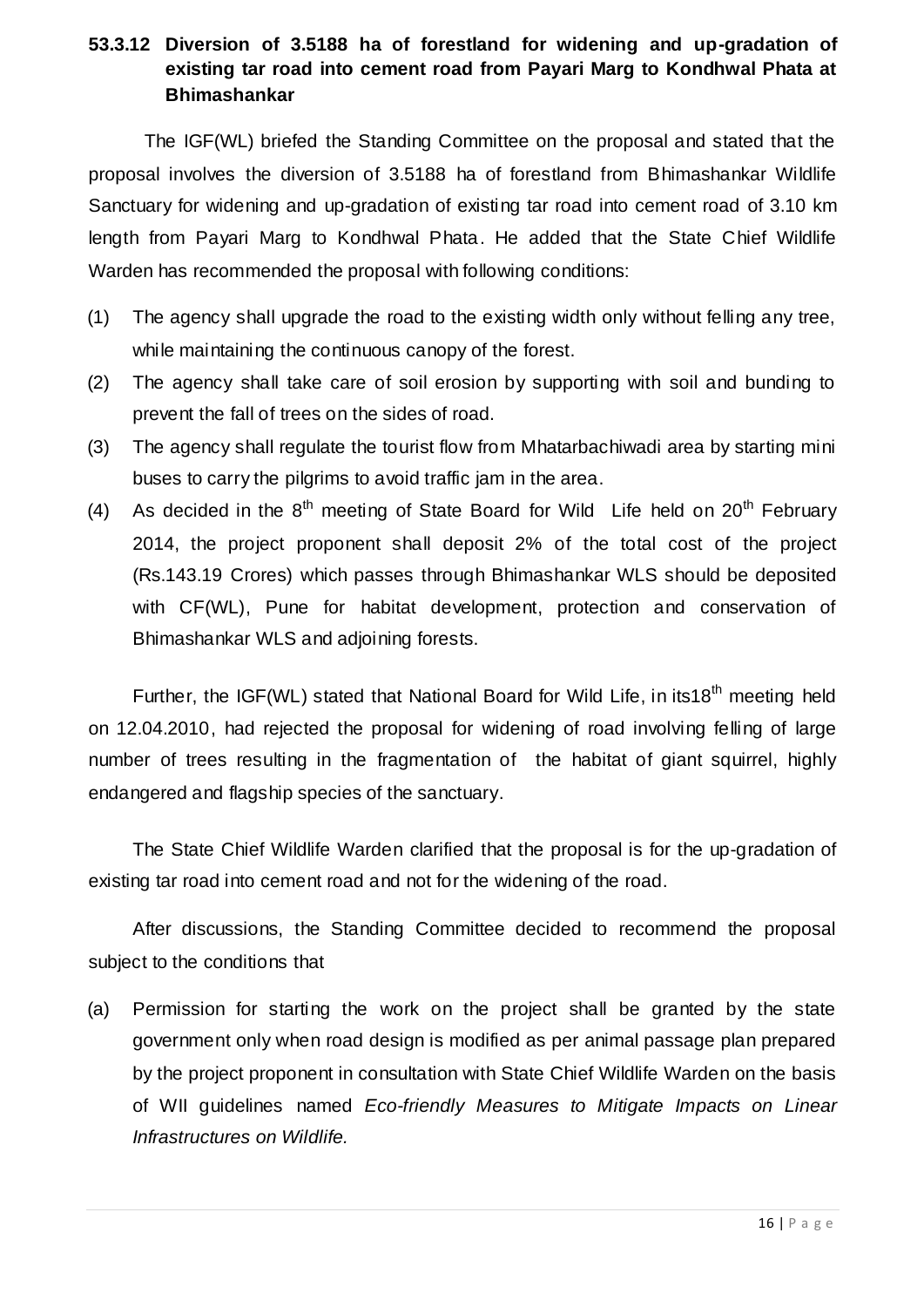#### **53.3.12 Diversion of 3.5188 ha of forestland for widening and up-gradation of existing tar road into cement road from Payari Marg to Kondhwal Phata at Bhimashankar**

The IGF(WL) briefed the Standing Committee on the proposal and stated that the proposal involves the diversion of 3.5188 ha of forestland from Bhimashankar Wildlife Sanctuary for widening and up-gradation of existing tar road into cement road of 3.10 km length from Payari Marg to Kondhwal Phata. He added that the State Chief Wildlife Warden has recommended the proposal with following conditions:

- (1) The agency shall upgrade the road to the existing width only without felling any tree, while maintaining the continuous canopy of the forest.
- (2) The agency shall take care of soil erosion by supporting with soil and bunding to prevent the fall of trees on the sides of road.
- (3) The agency shall regulate the tourist flow from Mhatarbachiwadi area by starting mini buses to carry the pilgrims to avoid traffic jam in the area.
- (4) As decided in the  $8<sup>th</sup>$  meeting of State Board for Wild Life held on  $20<sup>th</sup>$  February 2014, the project proponent shall deposit 2% of the total cost of the project (Rs.143.19 Crores) which passes through Bhimashankar WLS should be deposited with CF(WL), Pune for habitat development, protection and conservation of Bhimashankar WLS and adjoining forests.

Further, the IGF(WL) stated that National Board for Wild Life, in its18<sup>th</sup> meeting held on 12.04.2010, had rejected the proposal for widening of road involving felling of large number of trees resulting in the fragmentation of the habitat of giant squirrel, highly endangered and flagship species of the sanctuary.

The State Chief Wildlife Warden clarified that the proposal is for the up-gradation of existing tar road into cement road and not for the widening of the road.

After discussions, the Standing Committee decided to recommend the proposal subject to the conditions that

(a) Permission for starting the work on the project shall be granted by the state government only when road design is modified as per animal passage plan prepared by the project proponent in consultation with State Chief Wildlife Warden on the basis of WII guidelines named *Eco-friendly Measures to Mitigate Impacts on Linear Infrastructures on Wildlife.*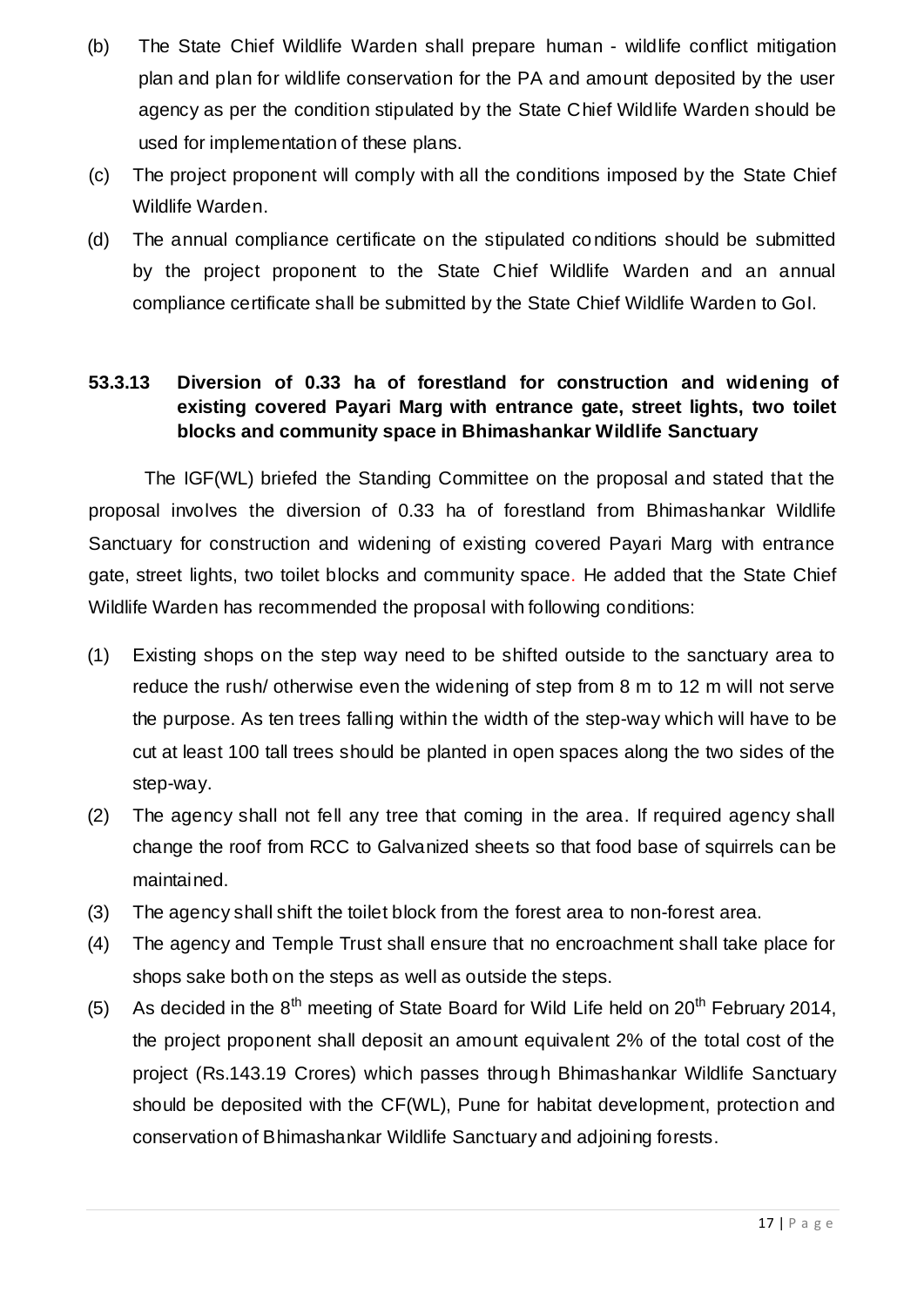- (b) The State Chief Wildlife Warden shall prepare human wildlife conflict mitigation plan and plan for wildlife conservation for the PA and amount deposited by the user agency as per the condition stipulated by the State Chief Wildlife Warden should be used for implementation of these plans.
- (c) The project proponent will comply with all the conditions imposed by the State Chief Wildlife Warden.
- (d) The annual compliance certificate on the stipulated conditions should be submitted by the project proponent to the State Chief Wildlife Warden and an annual compliance certificate shall be submitted by the State Chief Wildlife Warden to GoI.

#### **53.3.13 Diversion of 0.33 ha of forestland for construction and widening of existing covered Payari Marg with entrance gate, street lights, two toilet blocks and community space in Bhimashankar Wildlife Sanctuary**

The IGF(WL) briefed the Standing Committee on the proposal and stated that the proposal involves the diversion of 0.33 ha of forestland from Bhimashankar Wildlife Sanctuary for construction and widening of existing covered Payari Marg with entrance gate, street lights, two toilet blocks and community space. He added that the State Chief Wildlife Warden has recommended the proposal with following conditions:

- (1) Existing shops on the step way need to be shifted outside to the sanctuary area to reduce the rush/ otherwise even the widening of step from 8 m to 12 m will not serve the purpose. As ten trees falling within the width of the step-way which will have to be cut at least 100 tall trees should be planted in open spaces along the two sides of the step-way.
- (2) The agency shall not fell any tree that coming in the area. If required agency shall change the roof from RCC to Galvanized sheets so that food base of squirrels can be maintained.
- (3) The agency shall shift the toilet block from the forest area to non-forest area.
- (4) The agency and Temple Trust shall ensure that no encroachment shall take place for shops sake both on the steps as well as outside the steps.
- (5) As decided in the  $8<sup>th</sup>$  meeting of State Board for Wild Life held on  $20<sup>th</sup>$  February 2014, the project proponent shall deposit an amount equivalent 2% of the total cost of the project (Rs.143.19 Crores) which passes through Bhimashankar Wildlife Sanctuary should be deposited with the CF(WL), Pune for habitat development, protection and conservation of Bhimashankar Wildlife Sanctuary and adjoining forests.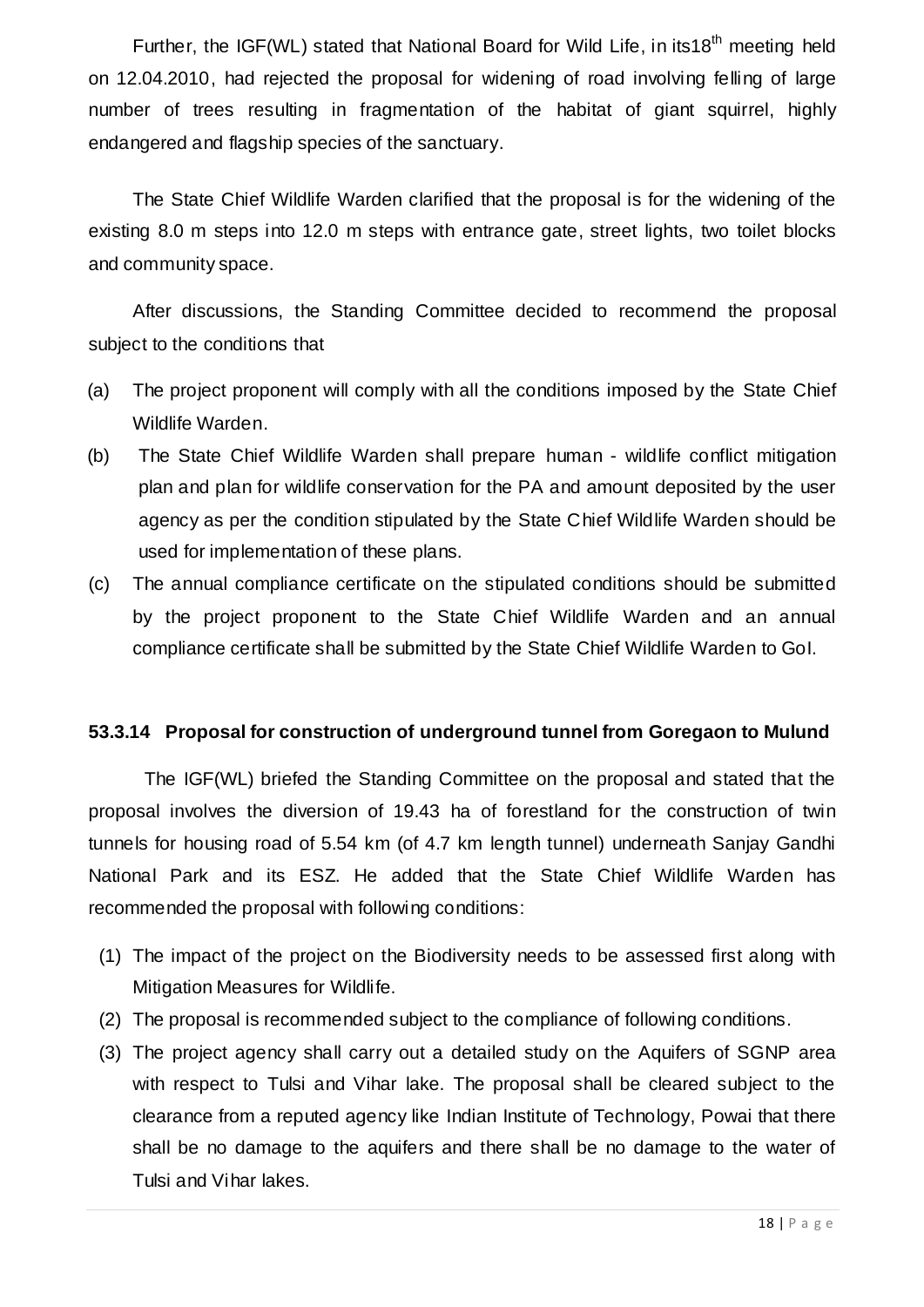Further, the IGF(WL) stated that National Board for Wild Life, in its18<sup>th</sup> meeting held on 12.04.2010, had rejected the proposal for widening of road involving felling of large number of trees resulting in fragmentation of the habitat of giant squirrel, highly endangered and flagship species of the sanctuary.

The State Chief Wildlife Warden clarified that the proposal is for the widening of the existing 8.0 m steps into 12.0 m steps with entrance gate, street lights, two toilet blocks and community space.

After discussions, the Standing Committee decided to recommend the proposal subject to the conditions that

- (a) The project proponent will comply with all the conditions imposed by the State Chief Wildlife Warden.
- (b) The State Chief Wildlife Warden shall prepare human wildlife conflict mitigation plan and plan for wildlife conservation for the PA and amount deposited by the user agency as per the condition stipulated by the State Chief Wildlife Warden should be used for implementation of these plans.
- (c) The annual compliance certificate on the stipulated conditions should be submitted by the project proponent to the State Chief Wildlife Warden and an annual compliance certificate shall be submitted by the State Chief Wildlife Warden to GoI.

#### **53.3.14 Proposal for construction of underground tunnel from Goregaon to Mulund**

The IGF(WL) briefed the Standing Committee on the proposal and stated that the proposal involves the diversion of 19.43 ha of forestland for the construction of twin tunnels for housing road of 5.54 km (of 4.7 km length tunnel) underneath Sanjay Gandhi National Park and its ESZ. He added that the State Chief Wildlife Warden has recommended the proposal with following conditions:

- (1) The impact of the project on the Biodiversity needs to be assessed first along with Mitigation Measures for Wildlife.
- (2) The proposal is recommended subject to the compliance of following conditions.
- (3) The project agency shall carry out a detailed study on the Aquifers of SGNP area with respect to Tulsi and Vihar lake. The proposal shall be cleared subject to the clearance from a reputed agency like Indian Institute of Technology, Powai that there shall be no damage to the aquifers and there shall be no damage to the water of Tulsi and Vihar lakes.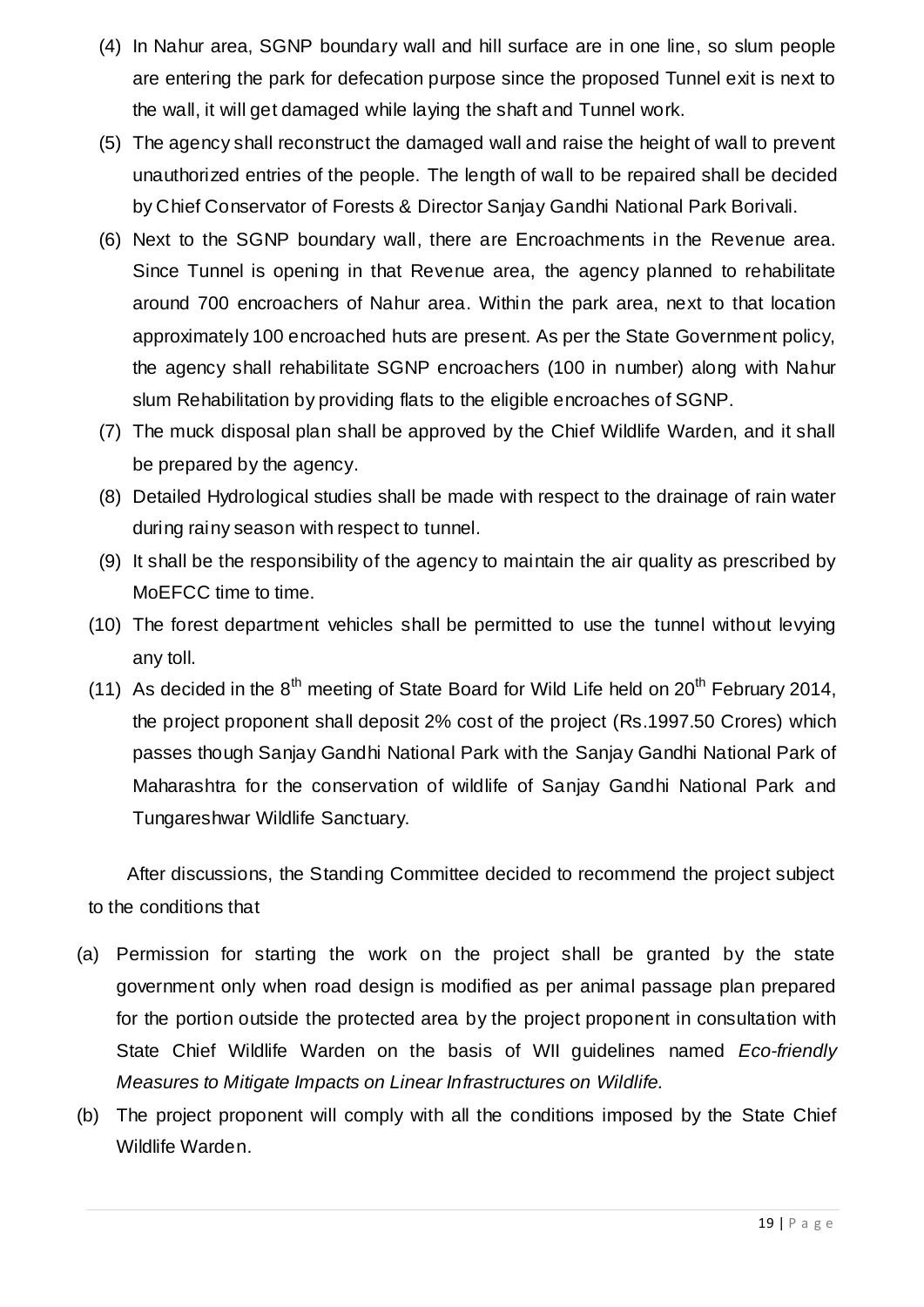- (4) In Nahur area, SGNP boundary wall and hill surface are in one line, so slum people are entering the park for defecation purpose since the proposed Tunnel exit is next to the wall, it will get damaged while laying the shaft and Tunnel work.
- (5) The agency shall reconstruct the damaged wall and raise the height of wall to prevent unauthorized entries of the people. The length of wall to be repaired shall be decided by Chief Conservator of Forests & Director Sanjay Gandhi National Park Borivali.
- (6) Next to the SGNP boundary wall, there are Encroachments in the Revenue area. Since Tunnel is opening in that Revenue area, the agency planned to rehabilitate around 700 encroachers of Nahur area. Within the park area, next to that location approximately 100 encroached huts are present. As per the State Government policy, the agency shall rehabilitate SGNP encroachers (100 in number) along with Nahur slum Rehabilitation by providing flats to the eligible encroaches of SGNP.
- (7) The muck disposal plan shall be approved by the Chief Wildlife Warden, and it shall be prepared by the agency.
- (8) Detailed Hydrological studies shall be made with respect to the drainage of rain water during rainy season with respect to tunnel.
- (9) It shall be the responsibility of the agency to maintain the air quality as prescribed by MoEFCC time to time.
- (10) The forest department vehicles shall be permitted to use the tunnel without levying any toll.
- (11) As decided in the  $8<sup>th</sup>$  meeting of State Board for Wild Life held on  $20<sup>th</sup>$  February 2014, the project proponent shall deposit 2% cost of the project (Rs.1997.50 Crores) which passes though Sanjay Gandhi National Park with the Sanjay Gandhi National Park of Maharashtra for the conservation of wildlife of Sanjay Gandhi National Park and Tungareshwar Wildlife Sanctuary.

After discussions, the Standing Committee decided to recommend the project subject to the conditions that

- (a) Permission for starting the work on the project shall be granted by the state government only when road design is modified as per animal passage plan prepared for the portion outside the protected area by the project proponent in consultation with State Chief Wildlife Warden on the basis of WII guidelines named *Eco-friendly Measures to Mitigate Impacts on Linear Infrastructures on Wildlife.*
- (b) The project proponent will comply with all the conditions imposed by the State Chief Wildlife Warden.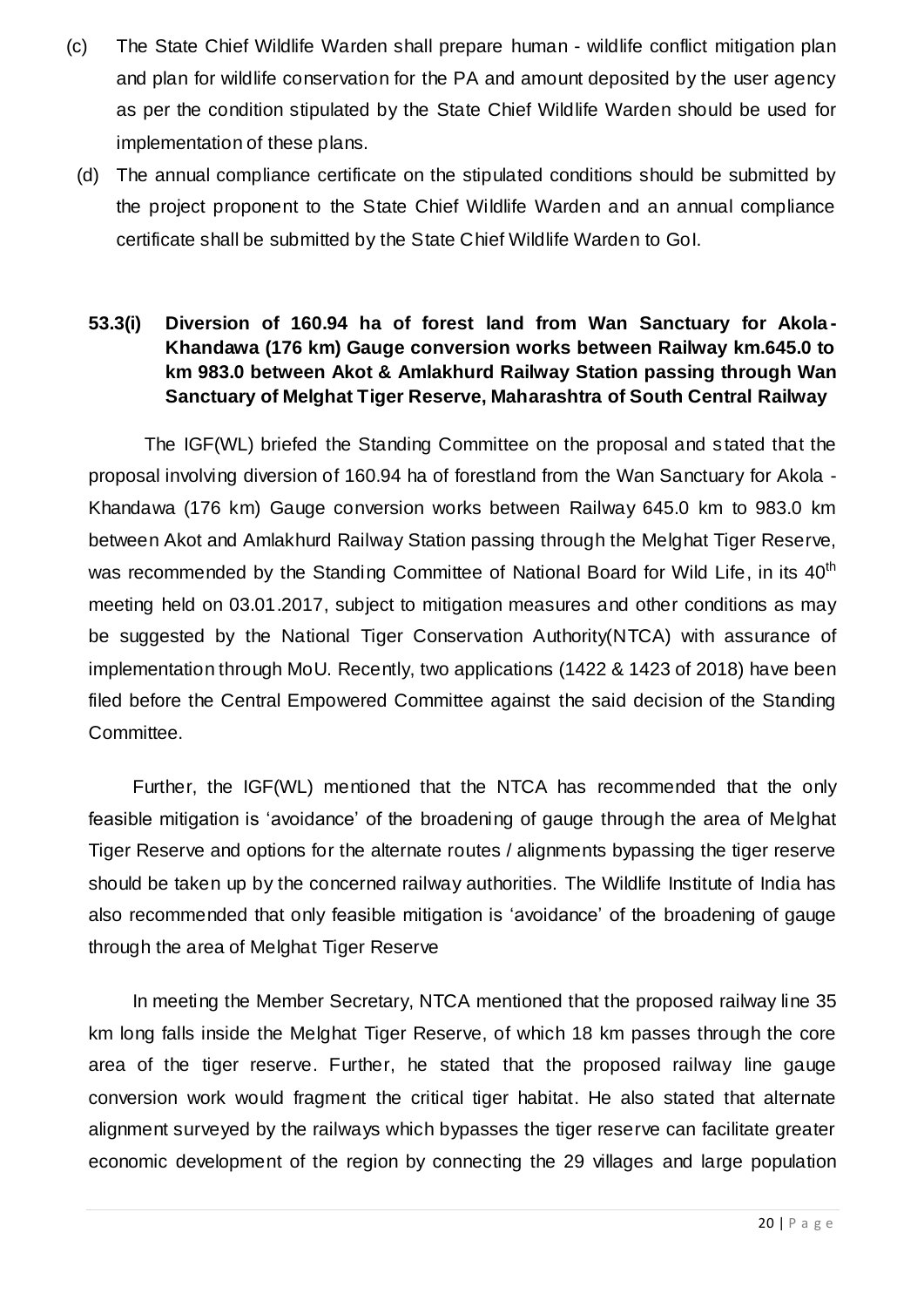- (c) The State Chief Wildlife Warden shall prepare human wildlife conflict mitigation plan and plan for wildlife conservation for the PA and amount deposited by the user agency as per the condition stipulated by the State Chief Wildlife Warden should be used for implementation of these plans.
	- (d) The annual compliance certificate on the stipulated conditions should be submitted by the project proponent to the State Chief Wildlife Warden and an annual compliance certificate shall be submitted by the State Chief Wildlife Warden to GoI.
		- **53.3(i) Diversion of 160.94 ha of forest land from Wan Sanctuary for Akola - Khandawa (176 km) Gauge conversion works between Railway km.645.0 to km 983.0 between Akot & Amlakhurd Railway Station passing through Wan Sanctuary of Melghat Tiger Reserve, Maharashtra of South Central Railway**

The IGF(WL) briefed the Standing Committee on the proposal and s tated that the proposal involving diversion of 160.94 ha of forestland from the Wan Sanctuary for Akola - Khandawa (176 km) Gauge conversion works between Railway 645.0 km to 983.0 km between Akot and Amlakhurd Railway Station passing through the Melghat Tiger Reserve, was recommended by the Standing Committee of National Board for Wild Life, in its 40<sup>th</sup> meeting held on 03.01.2017, subject to mitigation measures and other conditions as may be suggested by the National Tiger Conservation Authority(NTCA) with assurance of implementation through MoU. Recently, two applications (1422 & 1423 of 2018) have been filed before the Central Empowered Committee against the said decision of the Standing Committee.

Further, the IGF(WL) mentioned that the NTCA has recommended that the only feasible mitigation is 'avoidance' of the broadening of gauge through the area of Melghat Tiger Reserve and options for the alternate routes / alignments bypassing the tiger reserve should be taken up by the concerned railway authorities. The Wildlife Institute of India has also recommended that only feasible mitigation is 'avoidance' of the broadening of gauge through the area of Melghat Tiger Reserve

In meeting the Member Secretary, NTCA mentioned that the proposed railway line 35 km long falls inside the Melghat Tiger Reserve, of which 18 km passes through the core area of the tiger reserve. Further, he stated that the proposed railway line gauge conversion work would fragment the critical tiger habitat. He also stated that alternate alignment surveyed by the railways which bypasses the tiger reserve can facilitate greater economic development of the region by connecting the 29 villages and large population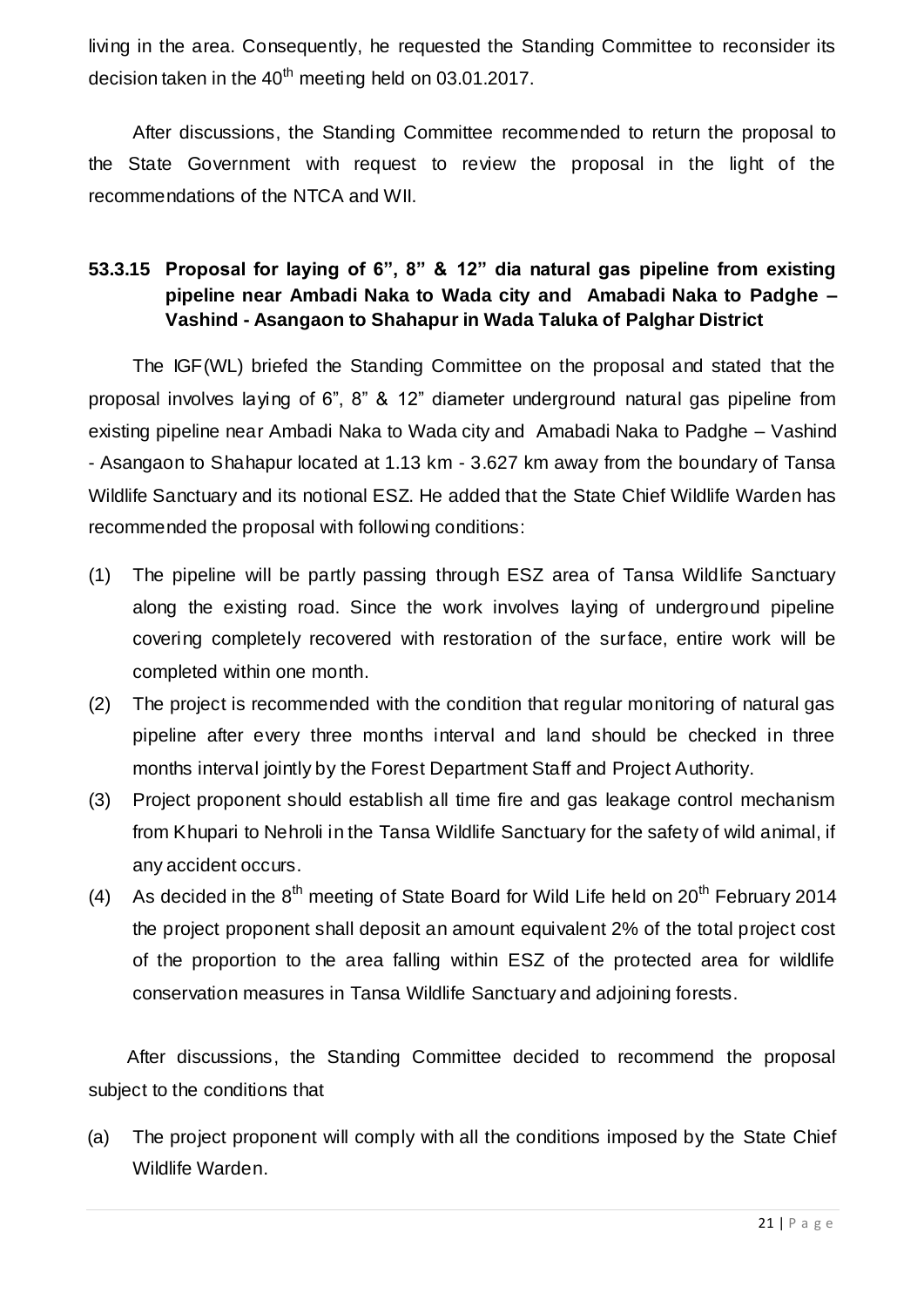living in the area. Consequently, he requested the Standing Committee to reconsider its decision taken in the  $40<sup>th</sup>$  meeting held on 03.01.2017.

After discussions, the Standing Committee recommended to return the proposal to the State Government with request to review the proposal in the light of the recommendations of the NTCA and WII.

### **53.3.15 Proposal for laying of 6", 8" & 12" dia natural gas pipeline from existing pipeline near Ambadi Naka to Wada city and Amabadi Naka to Padghe – Vashind - Asangaon to Shahapur in Wada Taluka of Palghar District**

The IGF(WL) briefed the Standing Committee on the proposal and stated that the proposal involves laying of 6", 8" & 12" diameter underground natural gas pipeline from existing pipeline near Ambadi Naka to Wada city and Amabadi Naka to Padghe – Vashind - Asangaon to Shahapur located at 1.13 km - 3.627 km away from the boundary of Tansa Wildlife Sanctuary and its notional ESZ. He added that the State Chief Wildlife Warden has recommended the proposal with following conditions:

- (1) The pipeline will be partly passing through ESZ area of Tansa Wildlife Sanctuary along the existing road. Since the work involves laying of underground pipeline covering completely recovered with restoration of the surface, entire work will be completed within one month.
- (2) The project is recommended with the condition that regular monitoring of natural gas pipeline after every three months interval and land should be checked in three months interval jointly by the Forest Department Staff and Project Authority.
- (3) Project proponent should establish all time fire and gas leakage control mechanism from Khupari to Nehroli in the Tansa Wildlife Sanctuary for the safety of wild animal, if any accident occurs.
- (4) As decided in the  $8<sup>th</sup>$  meeting of State Board for Wild Life held on  $20<sup>th</sup>$  February 2014 the project proponent shall deposit an amount equivalent 2% of the total project cost of the proportion to the area falling within ESZ of the protected area for wildlife conservation measures in Tansa Wildlife Sanctuary and adjoining forests.

After discussions, the Standing Committee decided to recommend the proposal subject to the conditions that

(a) The project proponent will comply with all the conditions imposed by the State Chief Wildlife Warden.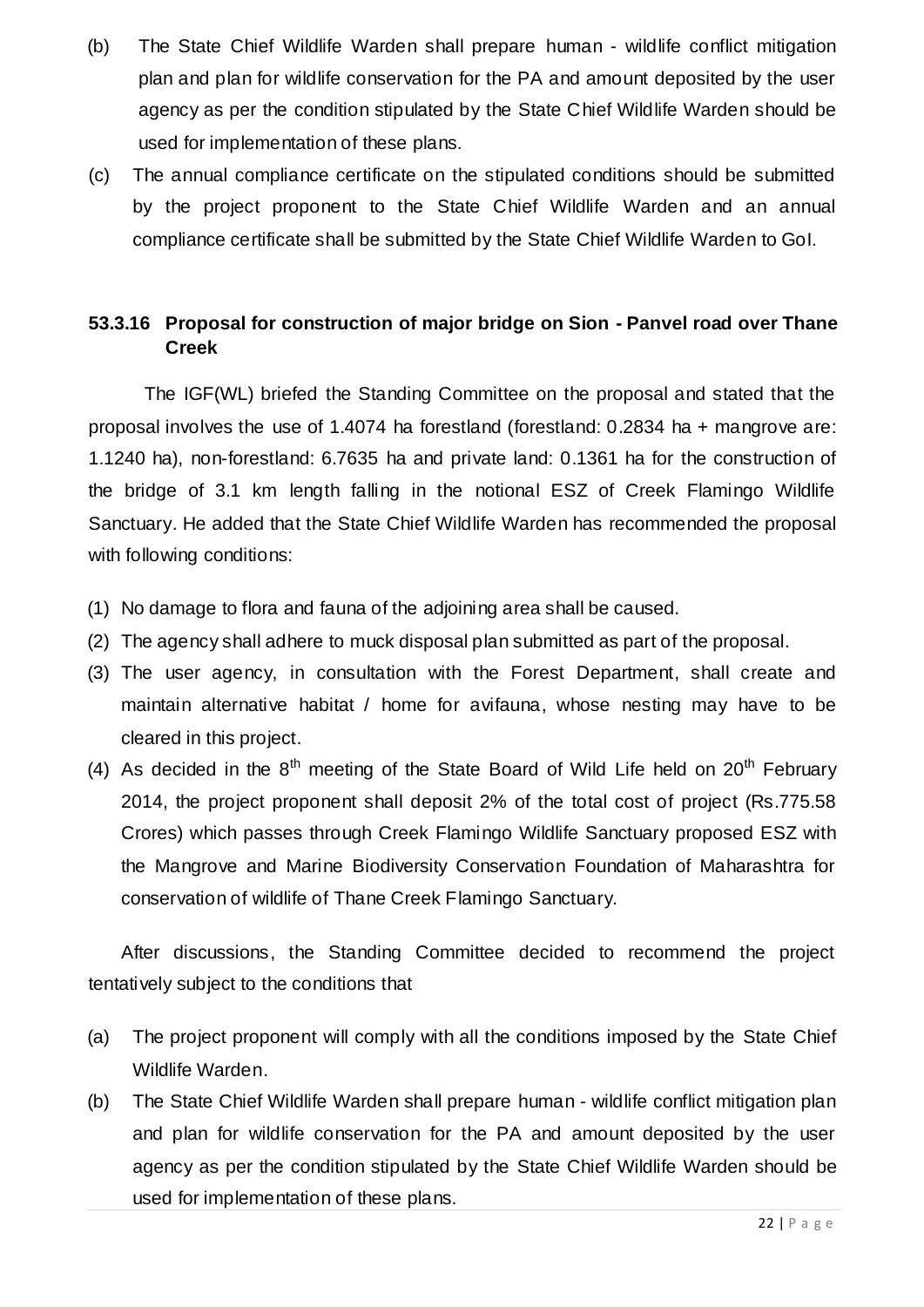- (b) The State Chief Wildlife Warden shall prepare human wildlife conflict mitigation plan and plan for wildlife conservation for the PA and amount deposited by the user agency as per the condition stipulated by the State Chief Wildlife Warden should be used for implementation of these plans.
- (c) The annual compliance certificate on the stipulated conditions should be submitted by the project proponent to the State Chief Wildlife Warden and an annual compliance certificate shall be submitted by the State Chief Wildlife Warden to GoI.

#### **53.3.16 Proposal for construction of major bridge on Sion - Panvel road over Thane Creek**

The IGF(WL) briefed the Standing Committee on the proposal and stated that the proposal involves the use of 1.4074 ha forestland (forestland: 0.2834 ha + mangrove are: 1.1240 ha), non-forestland: 6.7635 ha and private land: 0.1361 ha for the construction of the bridge of 3.1 km length falling in the notional ESZ of Creek Flamingo Wildlife Sanctuary. He added that the State Chief Wildlife Warden has recommended the proposal with following conditions:

- (1) No damage to flora and fauna of the adjoining area shall be caused.
- (2) The agency shall adhere to muck disposal plan submitted as part of the proposal.
- (3) The user agency, in consultation with the Forest Department, shall create and maintain alternative habitat / home for avifauna, whose nesting may have to be cleared in this project.
- (4) As decided in the  $8<sup>th</sup>$  meeting of the State Board of Wild Life held on  $20<sup>th</sup>$  February 2014, the project proponent shall deposit 2% of the total cost of project (Rs.775.58 Crores) which passes through Creek Flamingo Wildlife Sanctuary proposed ESZ with the Mangrove and Marine Biodiversity Conservation Foundation of Maharashtra for conservation of wildlife of Thane Creek Flamingo Sanctuary.

After discussions, the Standing Committee decided to recommend the project tentatively subject to the conditions that

- (a) The project proponent will comply with all the conditions imposed by the State Chief Wildlife Warden.
- (b) The State Chief Wildlife Warden shall prepare human wildlife conflict mitigation plan and plan for wildlife conservation for the PA and amount deposited by the user agency as per the condition stipulated by the State Chief Wildlife Warden should be used for implementation of these plans.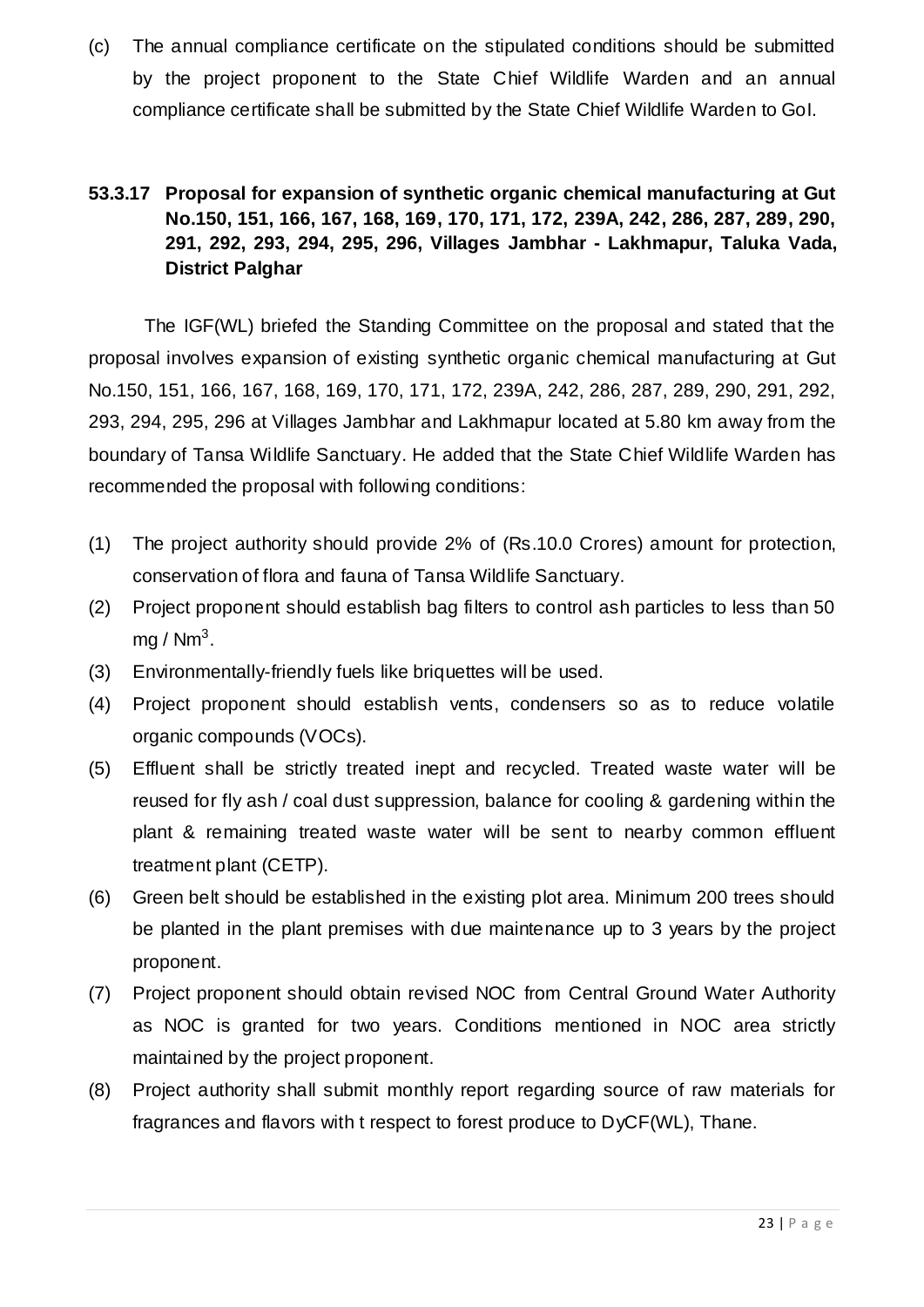(c) The annual compliance certificate on the stipulated conditions should be submitted by the project proponent to the State Chief Wildlife Warden and an annual compliance certificate shall be submitted by the State Chief Wildlife Warden to GoI.

### **53.3.17 Proposal for expansion of synthetic organic chemical manufacturing at Gut No.150, 151, 166, 167, 168, 169, 170, 171, 172, 239A, 242, 286, 287, 289, 290, 291, 292, 293, 294, 295, 296, Villages Jambhar - Lakhmapur, Taluka Vada, District Palghar**

The IGF(WL) briefed the Standing Committee on the proposal and stated that the proposal involves expansion of existing synthetic organic chemical manufacturing at Gut No.150, 151, 166, 167, 168, 169, 170, 171, 172, 239A, 242, 286, 287, 289, 290, 291, 292, 293, 294, 295, 296 at Villages Jambhar and Lakhmapur located at 5.80 km away from the boundary of Tansa Wildlife Sanctuary. He added that the State Chief Wildlife Warden has recommended the proposal with following conditions:

- (1) The project authority should provide 2% of (Rs.10.0 Crores) amount for protection, conservation of flora and fauna of Tansa Wildlife Sanctuary.
- (2) Project proponent should establish bag filters to control ash particles to less than 50 mg / Nm $^3\!.$
- (3) Environmentally-friendly fuels like briquettes will be used.
- (4) Project proponent should establish vents, condensers so as to reduce volatile organic compounds (VOCs).
- (5) Effluent shall be strictly treated inept and recycled. Treated waste water will be reused for fly ash / coal dust suppression, balance for cooling & gardening within the plant & remaining treated waste water will be sent to nearby common effluent treatment plant (CETP).
- (6) Green belt should be established in the existing plot area. Minimum 200 trees should be planted in the plant premises with due maintenance up to 3 years by the project proponent.
- (7) Project proponent should obtain revised NOC from Central Ground Water Authority as NOC is granted for two years. Conditions mentioned in NOC area strictly maintained by the project proponent.
- (8) Project authority shall submit monthly report regarding source of raw materials for fragrances and flavors with t respect to forest produce to DyCF(WL), Thane.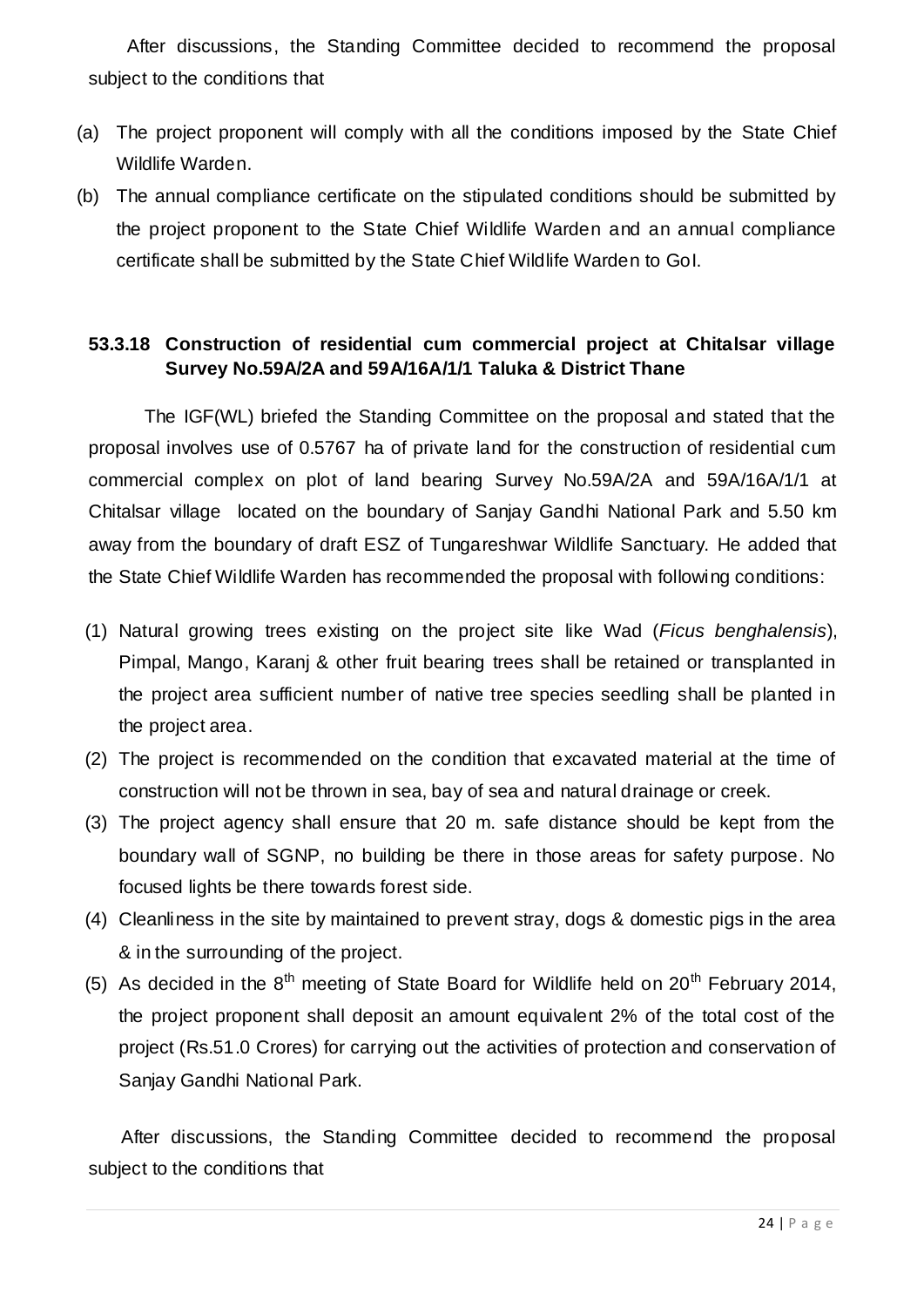After discussions, the Standing Committee decided to recommend the proposal subject to the conditions that

- (a) The project proponent will comply with all the conditions imposed by the State Chief Wildlife Warden.
- (b) The annual compliance certificate on the stipulated conditions should be submitted by the project proponent to the State Chief Wildlife Warden and an annual compliance certificate shall be submitted by the State Chief Wildlife Warden to GoI.

#### **53.3.18 Construction of residential cum commercial project at Chitalsar village Survey No.59A/2A and 59A/16A/1/1 Taluka & District Thane**

The IGF(WL) briefed the Standing Committee on the proposal and stated that the proposal involves use of 0.5767 ha of private land for the construction of residential cum commercial complex on plot of land bearing Survey No.59A/2A and 59A/16A/1/1 at Chitalsar village located on the boundary of Sanjay Gandhi National Park and 5.50 km away from the boundary of draft ESZ of Tungareshwar Wildlife Sanctuary. He added that the State Chief Wildlife Warden has recommended the proposal with following conditions:

- (1) Natural growing trees existing on the project site like Wad (*Ficus benghalensis*), Pimpal, Mango, Karanj & other fruit bearing trees shall be retained or transplanted in the project area sufficient number of native tree species seedling shall be planted in the project area.
- (2) The project is recommended on the condition that excavated material at the time of construction will not be thrown in sea, bay of sea and natural drainage or creek.
- (3) The project agency shall ensure that 20 m. safe distance should be kept from the boundary wall of SGNP, no building be there in those areas for safety purpose. No focused lights be there towards forest side.
- (4) Cleanliness in the site by maintained to prevent stray, dogs & domestic pigs in the area & in the surrounding of the project.
- (5) As decided in the  $8<sup>th</sup>$  meeting of State Board for Wildlife held on  $20<sup>th</sup>$  February 2014, the project proponent shall deposit an amount equivalent 2% of the total cost of the project (Rs.51.0 Crores) for carrying out the activities of protection and conservation of Sanjay Gandhi National Park.

After discussions, the Standing Committee decided to recommend the proposal subject to the conditions that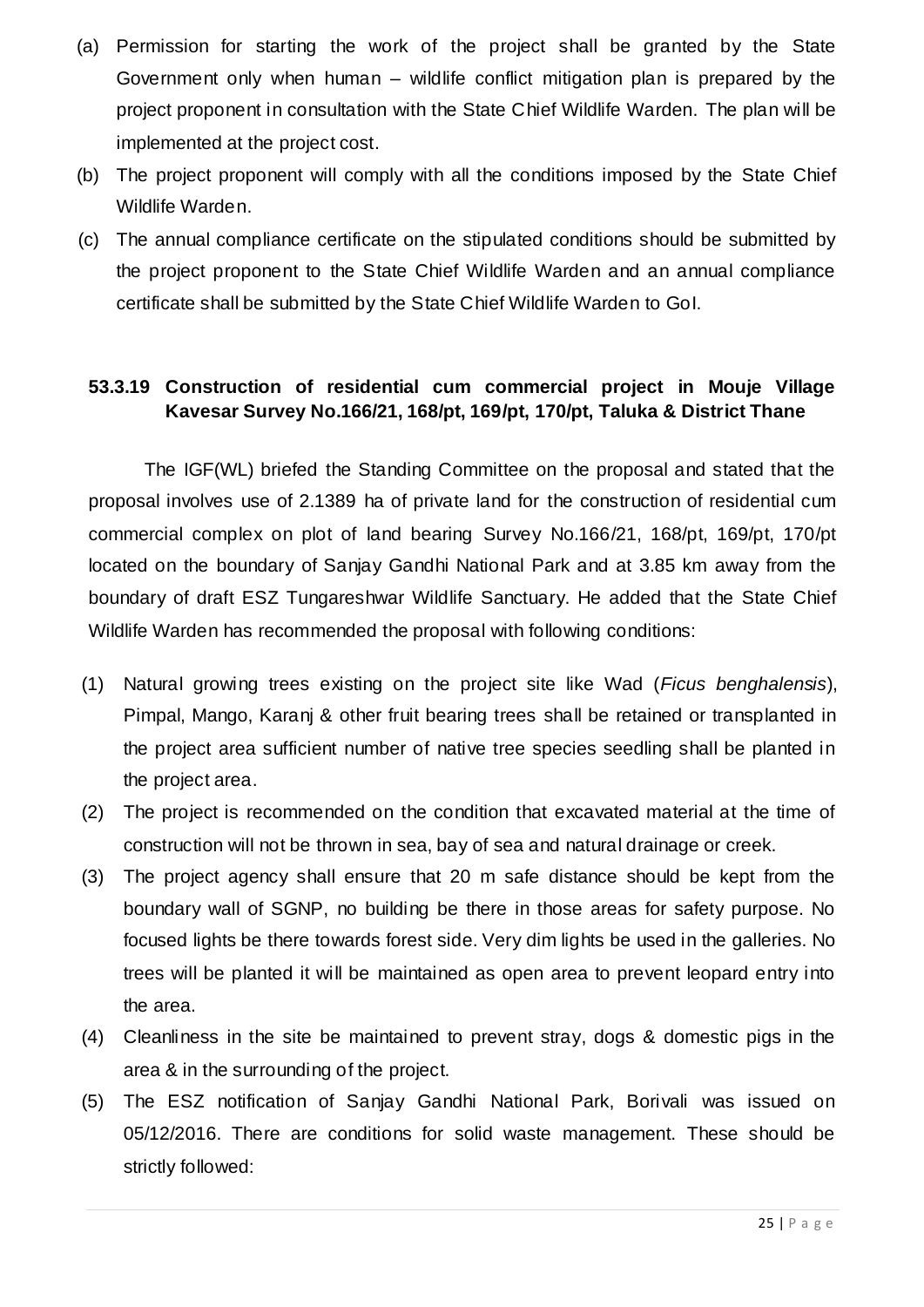- (a) Permission for starting the work of the project shall be granted by the State Government only when human – wildlife conflict mitigation plan is prepared by the project proponent in consultation with the State Chief Wildlife Warden. The plan will be implemented at the project cost.
- (b) The project proponent will comply with all the conditions imposed by the State Chief Wildlife Warden.
- (c) The annual compliance certificate on the stipulated conditions should be submitted by the project proponent to the State Chief Wildlife Warden and an annual compliance certificate shall be submitted by the State Chief Wildlife Warden to GoI.

#### **53.3.19 Construction of residential cum commercial project in Mouje Village Kavesar Survey No.166/21, 168/pt, 169/pt, 170/pt, Taluka & District Thane**

The IGF(WL) briefed the Standing Committee on the proposal and stated that the proposal involves use of 2.1389 ha of private land for the construction of residential cum commercial complex on plot of land bearing Survey No.166/21, 168/pt, 169/pt, 170/pt located on the boundary of Sanjay Gandhi National Park and at 3.85 km away from the boundary of draft ESZ Tungareshwar Wildlife Sanctuary. He added that the State Chief Wildlife Warden has recommended the proposal with following conditions:

- (1) Natural growing trees existing on the project site like Wad (*Ficus benghalensis*), Pimpal, Mango, Karanj & other fruit bearing trees shall be retained or transplanted in the project area sufficient number of native tree species seedling shall be planted in the project area.
- (2) The project is recommended on the condition that excavated material at the time of construction will not be thrown in sea, bay of sea and natural drainage or creek.
- (3) The project agency shall ensure that 20 m safe distance should be kept from the boundary wall of SGNP, no building be there in those areas for safety purpose. No focused lights be there towards forest side. Very dim lights be used in the galleries. No trees will be planted it will be maintained as open area to prevent leopard entry into the area.
- (4) Cleanliness in the site be maintained to prevent stray, dogs & domestic pigs in the area & in the surrounding of the project.
- (5) The ESZ notification of Sanjay Gandhi National Park, Borivali was issued on 05/12/2016. There are conditions for solid waste management. These should be strictly followed: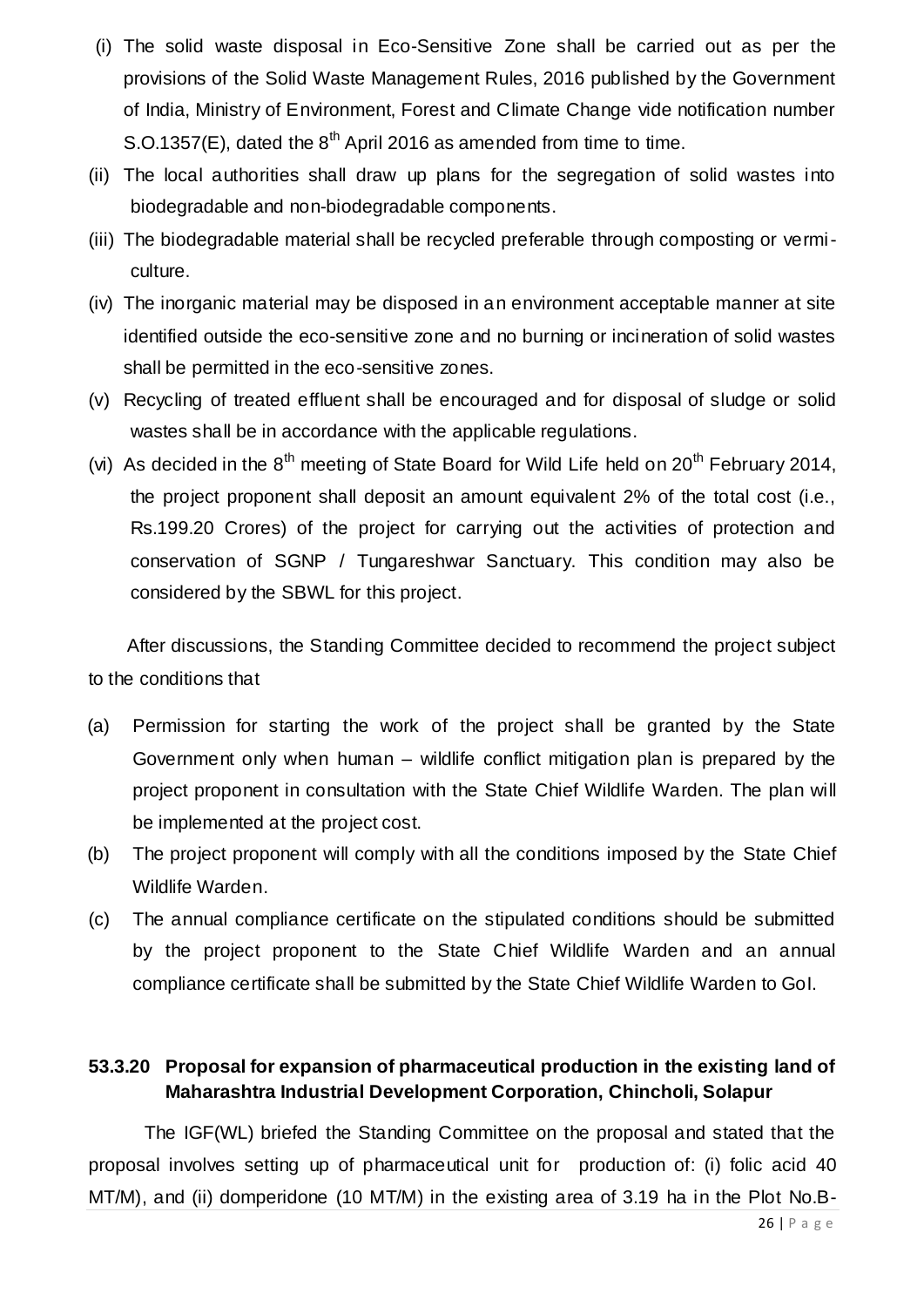- (i) The solid waste disposal in Eco-Sensitive Zone shall be carried out as per the provisions of the Solid Waste Management Rules, 2016 published by the Government of India, Ministry of Environment, Forest and Climate Change vide notification number S.O.1357(E), dated the  $8<sup>th</sup>$  April 2016 as amended from time to time.
- (ii) The local authorities shall draw up plans for the segregation of solid wastes into biodegradable and non-biodegradable components.
- (iii) The biodegradable material shall be recycled preferable through composting or vermiculture.
- (iv) The inorganic material may be disposed in an environment acceptable manner at site identified outside the eco-sensitive zone and no burning or incineration of solid wastes shall be permitted in the eco-sensitive zones.
- (v) Recycling of treated effluent shall be encouraged and for disposal of sludge or solid wastes shall be in accordance with the applicable regulations.
- (vi) As decided in the  $8<sup>th</sup>$  meeting of State Board for Wild Life held on  $20<sup>th</sup>$  February 2014, the project proponent shall deposit an amount equivalent 2% of the total cost (i.e., Rs.199.20 Crores) of the project for carrying out the activities of protection and conservation of SGNP / Tungareshwar Sanctuary. This condition may also be considered by the SBWL for this project.

After discussions, the Standing Committee decided to recommend the project subject to the conditions that

- (a) Permission for starting the work of the project shall be granted by the State Government only when human – wildlife conflict mitigation plan is prepared by the project proponent in consultation with the State Chief Wildlife Warden. The plan will be implemented at the project cost.
- (b) The project proponent will comply with all the conditions imposed by the State Chief Wildlife Warden.
- (c) The annual compliance certificate on the stipulated conditions should be submitted by the project proponent to the State Chief Wildlife Warden and an annual compliance certificate shall be submitted by the State Chief Wildlife Warden to GoI.

### **53.3.20 Proposal for expansion of pharmaceutical production in the existing land of Maharashtra Industrial Development Corporation, Chincholi, Solapur**

The IGF(WL) briefed the Standing Committee on the proposal and stated that the proposal involves setting up of pharmaceutical unit for production of: (i) folic acid 40 MT/M), and (ii) domperidone (10 MT/M) in the existing area of 3.19 ha in the Plot No.B-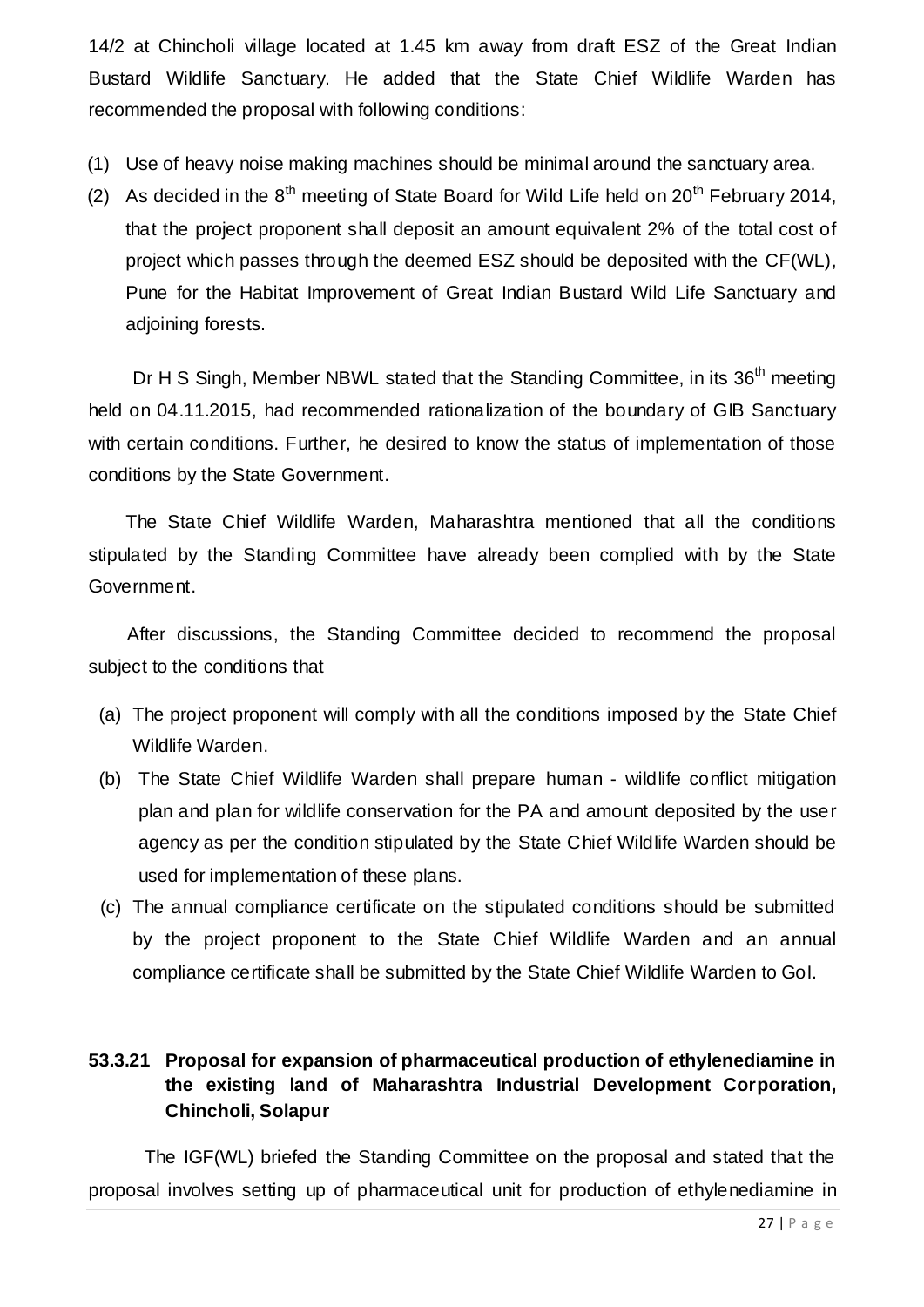14/2 at Chincholi village located at 1.45 km away from draft ESZ of the Great Indian Bustard Wildlife Sanctuary. He added that the State Chief Wildlife Warden has recommended the proposal with following conditions:

- (1) Use of heavy noise making machines should be minimal around the sanctuary area.
- (2) As decided in the  $8<sup>th</sup>$  meeting of State Board for Wild Life held on  $20<sup>th</sup>$  February 2014, that the project proponent shall deposit an amount equivalent 2% of the total cost of project which passes through the deemed ESZ should be deposited with the CF(WL), Pune for the Habitat Improvement of Great Indian Bustard Wild Life Sanctuary and adjoining forests.

Dr H S Singh, Member NBWL stated that the Standing Committee, in its 36<sup>th</sup> meeting held on 04.11.2015, had recommended rationalization of the boundary of GIB Sanctuary with certain conditions. Further, he desired to know the status of implementation of those conditions by the State Government.

The State Chief Wildlife Warden, Maharashtra mentioned that all the conditions stipulated by the Standing Committee have already been complied with by the State Government.

After discussions, the Standing Committee decided to recommend the proposal subject to the conditions that

- (a) The project proponent will comply with all the conditions imposed by the State Chief Wildlife Warden.
- (b) The State Chief Wildlife Warden shall prepare human wildlife conflict mitigation plan and plan for wildlife conservation for the PA and amount deposited by the user agency as per the condition stipulated by the State Chief Wildlife Warden should be used for implementation of these plans.
- (c) The annual compliance certificate on the stipulated conditions should be submitted by the project proponent to the State Chief Wildlife Warden and an annual compliance certificate shall be submitted by the State Chief Wildlife Warden to GoI.

#### **53.3.21 Proposal for expansion of pharmaceutical production of ethylenediamine in the existing land of Maharashtra Industrial Development Corporation, Chincholi, Solapur**

The IGF(WL) briefed the Standing Committee on the proposal and stated that the proposal involves setting up of pharmaceutical unit for production of ethylenediamine in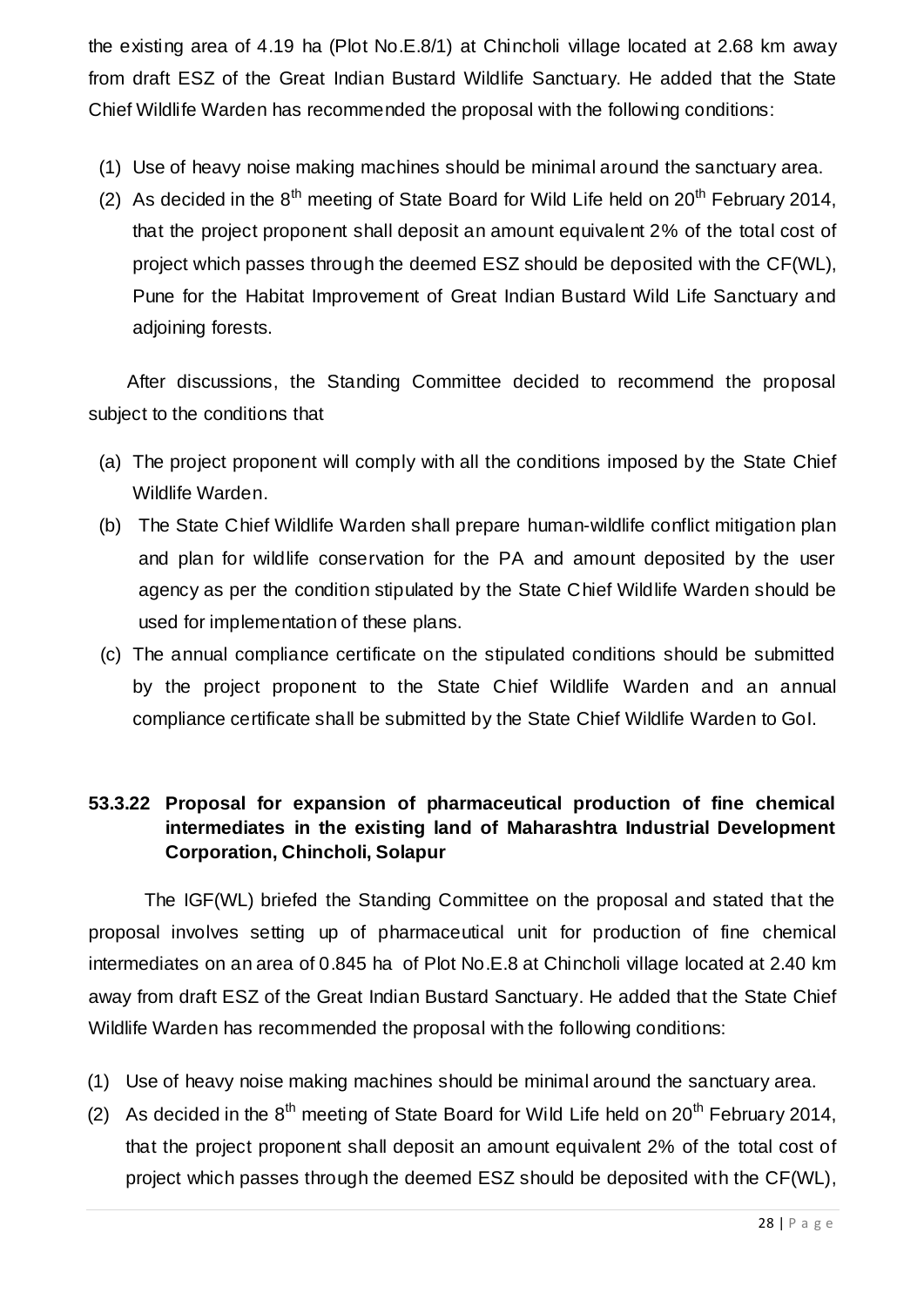the existing area of 4.19 ha (Plot No.E.8/1) at Chincholi village located at 2.68 km away from draft ESZ of the Great Indian Bustard Wildlife Sanctuary. He added that the State Chief Wildlife Warden has recommended the proposal with the following conditions:

- (1) Use of heavy noise making machines should be minimal around the sanctuary area.
- (2) As decided in the  $8<sup>th</sup>$  meeting of State Board for Wild Life held on  $20<sup>th</sup>$  February 2014, that the project proponent shall deposit an amount equivalent 2% of the total cost of project which passes through the deemed ESZ should be deposited with the CF(WL), Pune for the Habitat Improvement of Great Indian Bustard Wild Life Sanctuary and adjoining forests.

After discussions, the Standing Committee decided to recommend the proposal subject to the conditions that

- (a) The project proponent will comply with all the conditions imposed by the State Chief Wildlife Warden.
- (b) The State Chief Wildlife Warden shall prepare human-wildlife conflict mitigation plan and plan for wildlife conservation for the PA and amount deposited by the user agency as per the condition stipulated by the State Chief Wildlife Warden should be used for implementation of these plans.
- (c) The annual compliance certificate on the stipulated conditions should be submitted by the project proponent to the State Chief Wildlife Warden and an annual compliance certificate shall be submitted by the State Chief Wildlife Warden to GoI.

### **53.3.22 Proposal for expansion of pharmaceutical production of fine chemical intermediates in the existing land of Maharashtra Industrial Development Corporation, Chincholi, Solapur**

The IGF(WL) briefed the Standing Committee on the proposal and stated that the proposal involves setting up of pharmaceutical unit for production of fine chemical intermediates on an area of 0.845 ha of Plot No.E.8 at Chincholi village located at 2.40 km away from draft ESZ of the Great Indian Bustard Sanctuary. He added that the State Chief Wildlife Warden has recommended the proposal with the following conditions:

- (1) Use of heavy noise making machines should be minimal around the sanctuary area.
- (2) As decided in the  $8<sup>th</sup>$  meeting of State Board for Wild Life held on  $20<sup>th</sup>$  February 2014, that the project proponent shall deposit an amount equivalent 2% of the total cost of project which passes through the deemed ESZ should be deposited with the CF(WL),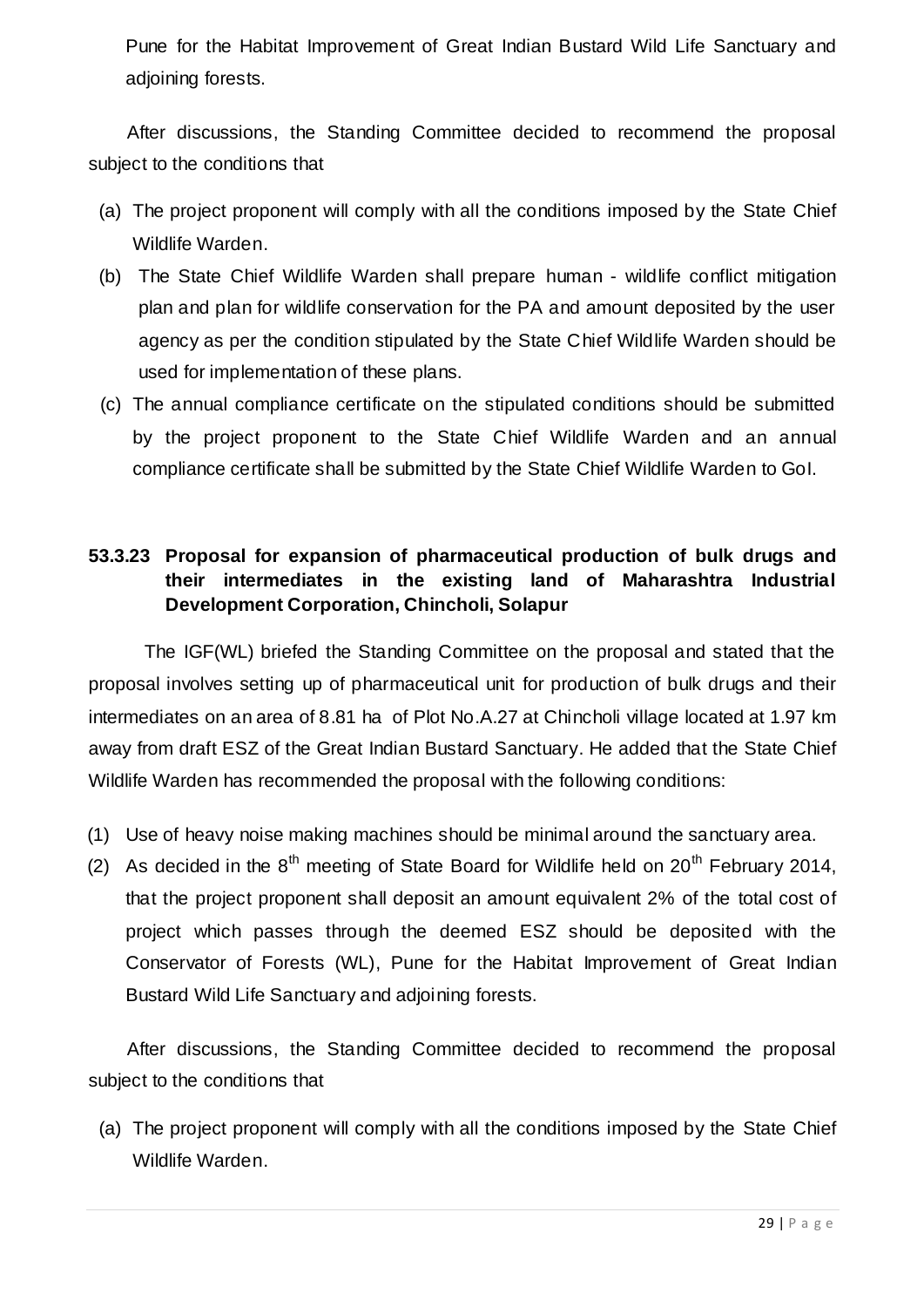Pune for the Habitat Improvement of Great Indian Bustard Wild Life Sanctuary and adjoining forests.

After discussions, the Standing Committee decided to recommend the proposal subject to the conditions that

- (a) The project proponent will comply with all the conditions imposed by the State Chief Wildlife Warden.
- (b) The State Chief Wildlife Warden shall prepare human wildlife conflict mitigation plan and plan for wildlife conservation for the PA and amount deposited by the user agency as per the condition stipulated by the State Chief Wildlife Warden should be used for implementation of these plans.
- (c) The annual compliance certificate on the stipulated conditions should be submitted by the project proponent to the State Chief Wildlife Warden and an annual compliance certificate shall be submitted by the State Chief Wildlife Warden to GoI.

### **53.3.23 Proposal for expansion of pharmaceutical production of bulk drugs and their intermediates in the existing land of Maharashtra Industrial Development Corporation, Chincholi, Solapur**

The IGF(WL) briefed the Standing Committee on the proposal and stated that the proposal involves setting up of pharmaceutical unit for production of bulk drugs and their intermediates on an area of 8.81 ha of Plot No.A.27 at Chincholi village located at 1.97 km away from draft ESZ of the Great Indian Bustard Sanctuary. He added that the State Chief Wildlife Warden has recommended the proposal with the following conditions:

- (1) Use of heavy noise making machines should be minimal around the sanctuary area.
- (2) As decided in the  $8<sup>th</sup>$  meeting of State Board for Wildlife held on  $20<sup>th</sup>$  February 2014, that the project proponent shall deposit an amount equivalent 2% of the total cost of project which passes through the deemed ESZ should be deposited with the Conservator of Forests (WL), Pune for the Habitat Improvement of Great Indian Bustard Wild Life Sanctuary and adjoining forests.

After discussions, the Standing Committee decided to recommend the proposal subject to the conditions that

(a) The project proponent will comply with all the conditions imposed by the State Chief Wildlife Warden.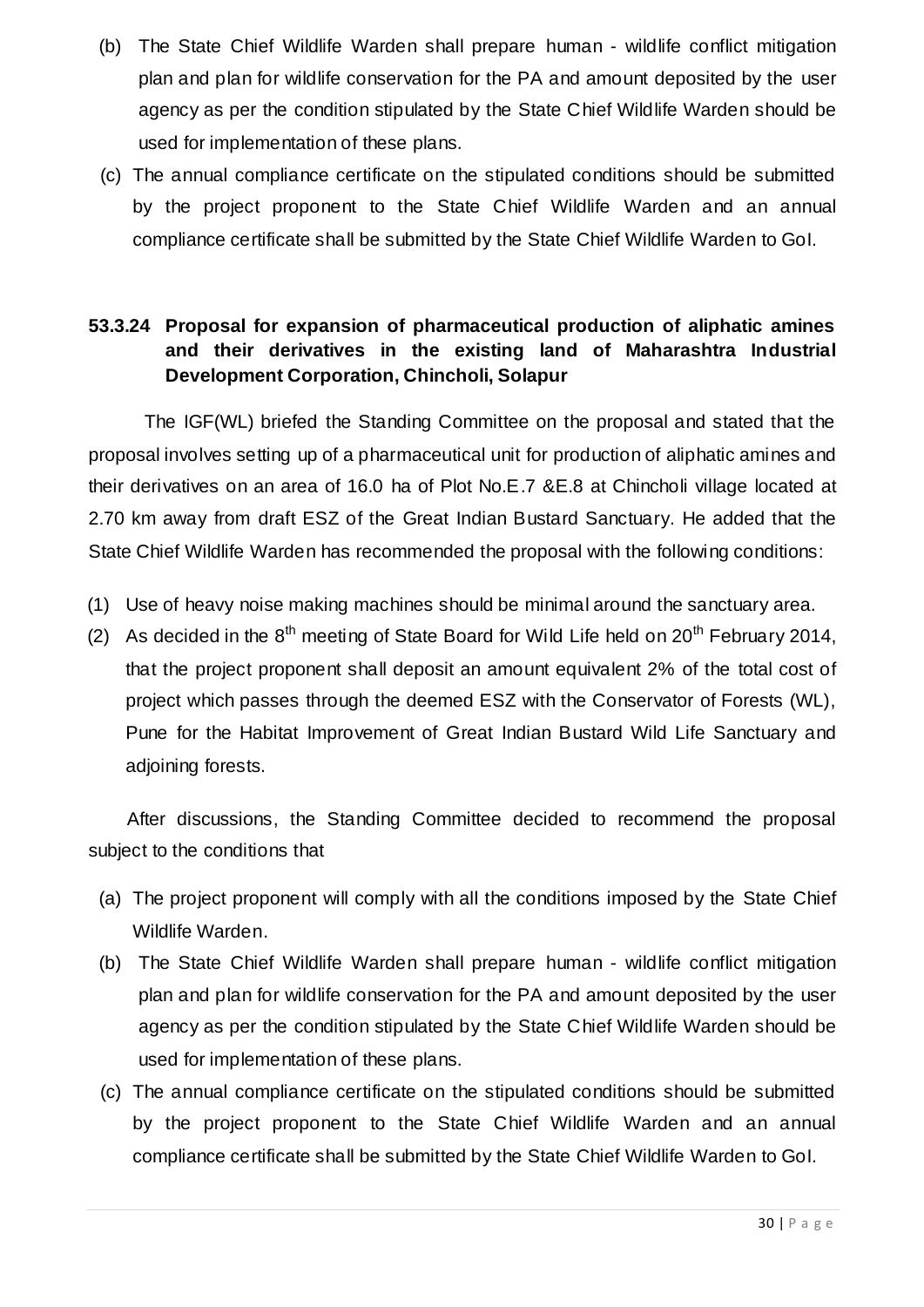- (b) The State Chief Wildlife Warden shall prepare human wildlife conflict mitigation plan and plan for wildlife conservation for the PA and amount deposited by the user agency as per the condition stipulated by the State Chief Wildlife Warden should be used for implementation of these plans.
- (c) The annual compliance certificate on the stipulated conditions should be submitted by the project proponent to the State Chief Wildlife Warden and an annual compliance certificate shall be submitted by the State Chief Wildlife Warden to GoI.

### **53.3.24 Proposal for expansion of pharmaceutical production of aliphatic amines and their derivatives in the existing land of Maharashtra Industrial Development Corporation, Chincholi, Solapur**

The IGF(WL) briefed the Standing Committee on the proposal and stated that the proposal involves setting up of a pharmaceutical unit for production of aliphatic amines and their derivatives on an area of 16.0 ha of Plot No.E.7 &E.8 at Chincholi village located at 2.70 km away from draft ESZ of the Great Indian Bustard Sanctuary. He added that the State Chief Wildlife Warden has recommended the proposal with the following conditions:

- (1) Use of heavy noise making machines should be minimal around the sanctuary area.
- (2) As decided in the  $8<sup>th</sup>$  meeting of State Board for Wild Life held on  $20<sup>th</sup>$  February 2014, that the project proponent shall deposit an amount equivalent 2% of the total cost of project which passes through the deemed ESZ with the Conservator of Forests (WL), Pune for the Habitat Improvement of Great Indian Bustard Wild Life Sanctuary and adjoining forests.

After discussions, the Standing Committee decided to recommend the proposal subject to the conditions that

- (a) The project proponent will comply with all the conditions imposed by the State Chief Wildlife Warden.
- (b) The State Chief Wildlife Warden shall prepare human wildlife conflict mitigation plan and plan for wildlife conservation for the PA and amount deposited by the user agency as per the condition stipulated by the State Chief Wildlife Warden should be used for implementation of these plans.
- (c) The annual compliance certificate on the stipulated conditions should be submitted by the project proponent to the State Chief Wildlife Warden and an annual compliance certificate shall be submitted by the State Chief Wildlife Warden to GoI.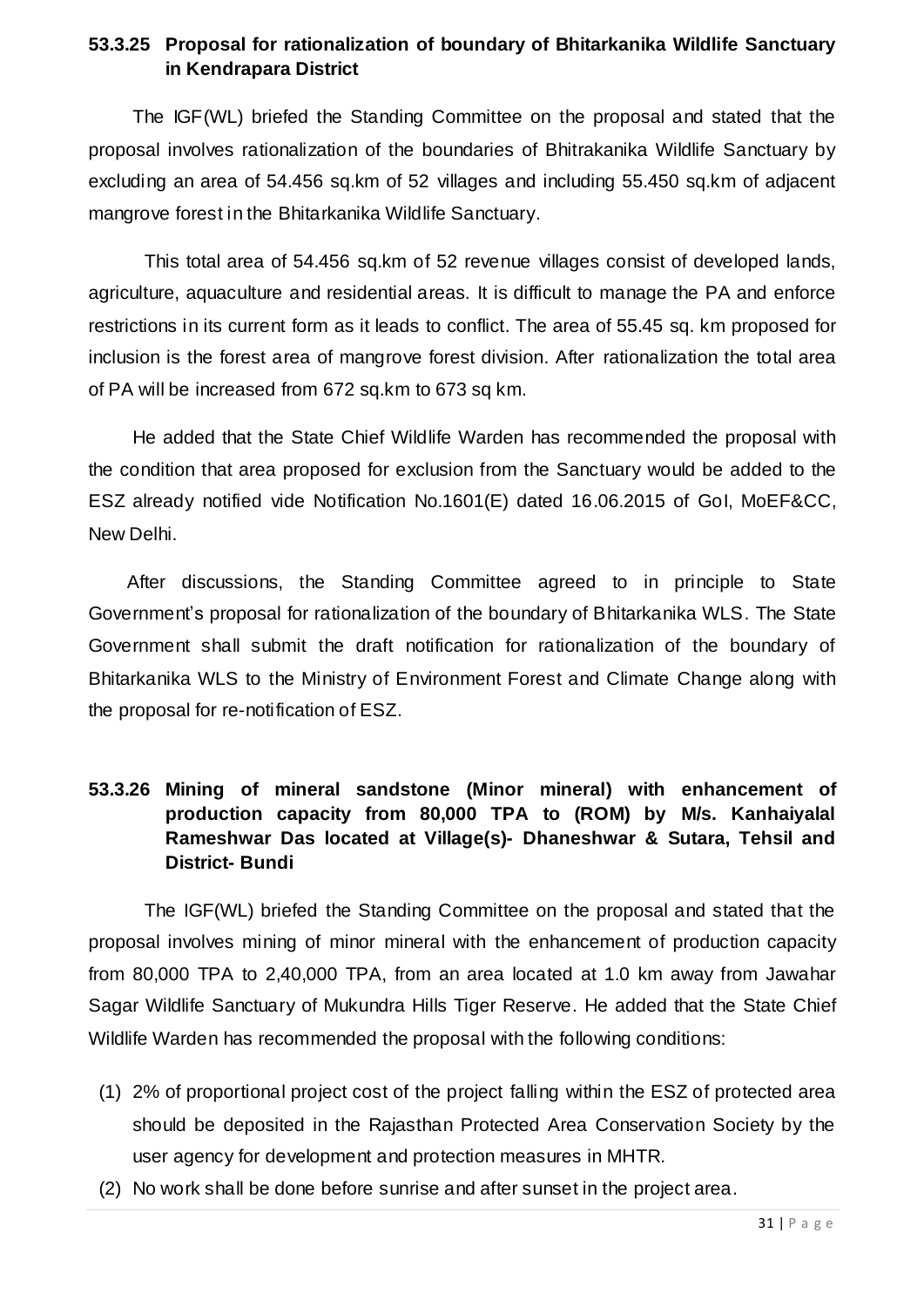#### **53.3.25 Proposal for rationalization of boundary of Bhitarkanika Wildlife Sanctuary in Kendrapara District**

The IGF(WL) briefed the Standing Committee on the proposal and stated that the proposal involves rationalization of the boundaries of Bhitrakanika Wildlife Sanctuary by excluding an area of 54.456 sq.km of 52 villages and including 55.450 sq.km of adjacent mangrove forest in the Bhitarkanika Wildlife Sanctuary.

This total area of 54.456 sq.km of 52 revenue villages consist of developed lands, agriculture, aquaculture and residential areas. It is difficult to manage the PA and enforce restrictions in its current form as it leads to conflict. The area of 55.45 sq. km proposed for inclusion is the forest area of mangrove forest division. After rationalization the total area of PA will be increased from 672 sq.km to 673 sq km.

He added that the State Chief Wildlife Warden has recommended the proposal with the condition that area proposed for exclusion from the Sanctuary would be added to the ESZ already notified vide Notification No.1601(E) dated 16.06.2015 of GoI, MoEF&CC, New Delhi.

After discussions, the Standing Committee agreed to in principle to State Government's proposal for rationalization of the boundary of Bhitarkanika WLS. The State Government shall submit the draft notification for rationalization of the boundary of Bhitarkanika WLS to the Ministry of Environment Forest and Climate Change along with the proposal for re-notification of ESZ.

### **53.3.26 Mining of mineral sandstone (Minor mineral) with enhancement of production capacity from 80,000 TPA to (ROM) by M/s. Kanhaiyalal Rameshwar Das located at Village(s)- Dhaneshwar & Sutara, Tehsil and District- Bundi**

The IGF(WL) briefed the Standing Committee on the proposal and stated that the proposal involves mining of minor mineral with the enhancement of production capacity from 80,000 TPA to 2,40,000 TPA, from an area located at 1.0 km away from Jawahar Sagar Wildlife Sanctuary of Mukundra Hills Tiger Reserve. He added that the State Chief Wildlife Warden has recommended the proposal with the following conditions:

- (1) 2% of proportional project cost of the project falling within the ESZ of protected area should be deposited in the Rajasthan Protected Area Conservation Society by the user agency for development and protection measures in MHTR.
- (2) No work shall be done before sunrise and after sunset in the project area.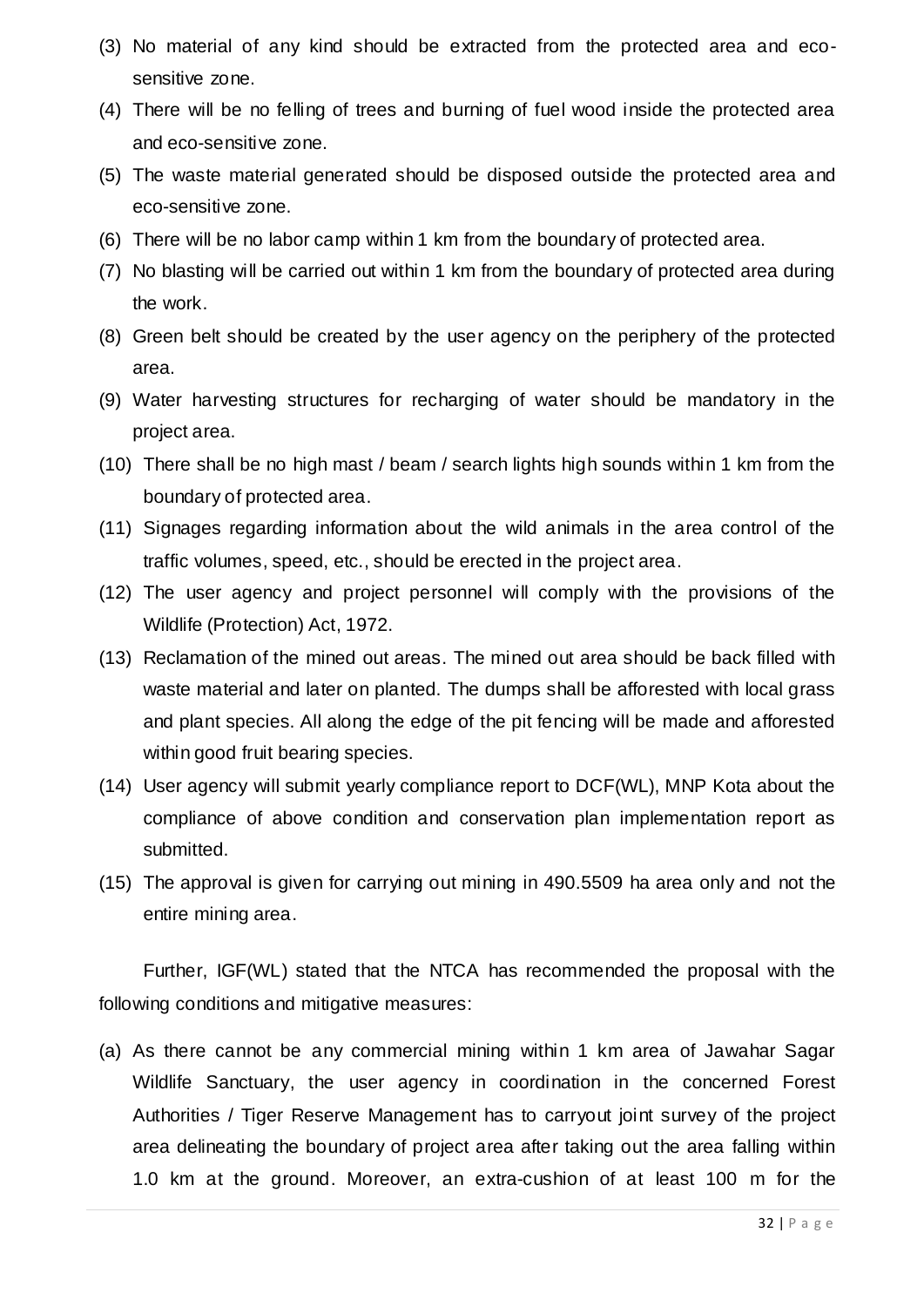- (3) No material of any kind should be extracted from the protected area and ecosensitive zone.
- (4) There will be no felling of trees and burning of fuel wood inside the protected area and eco-sensitive zone.
- (5) The waste material generated should be disposed outside the protected area and eco-sensitive zone.
- (6) There will be no labor camp within 1 km from the boundary of protected area.
- (7) No blasting will be carried out within 1 km from the boundary of protected area during the work.
- (8) Green belt should be created by the user agency on the periphery of the protected area.
- (9) Water harvesting structures for recharging of water should be mandatory in the project area.
- (10) There shall be no high mast / beam / search lights high sounds within 1 km from the boundary of protected area.
- (11) Signages regarding information about the wild animals in the area control of the traffic volumes, speed, etc., should be erected in the project area.
- (12) The user agency and project personnel will comply with the provisions of the Wildlife (Protection) Act, 1972.
- (13) Reclamation of the mined out areas. The mined out area should be back filled with waste material and later on planted. The dumps shall be afforested with local grass and plant species. All along the edge of the pit fencing will be made and afforested within good fruit bearing species.
- (14) User agency will submit yearly compliance report to DCF(WL), MNP Kota about the compliance of above condition and conservation plan implementation report as submitted.
- (15) The approval is given for carrying out mining in 490.5509 ha area only and not the entire mining area.

Further, IGF(WL) stated that the NTCA has recommended the proposal with the following conditions and mitigative measures:

(a) As there cannot be any commercial mining within 1 km area of Jawahar Sagar Wildlife Sanctuary, the user agency in coordination in the concerned Forest Authorities / Tiger Reserve Management has to carryout joint survey of the project area delineating the boundary of project area after taking out the area falling within 1.0 km at the ground. Moreover, an extra-cushion of at least 100 m for the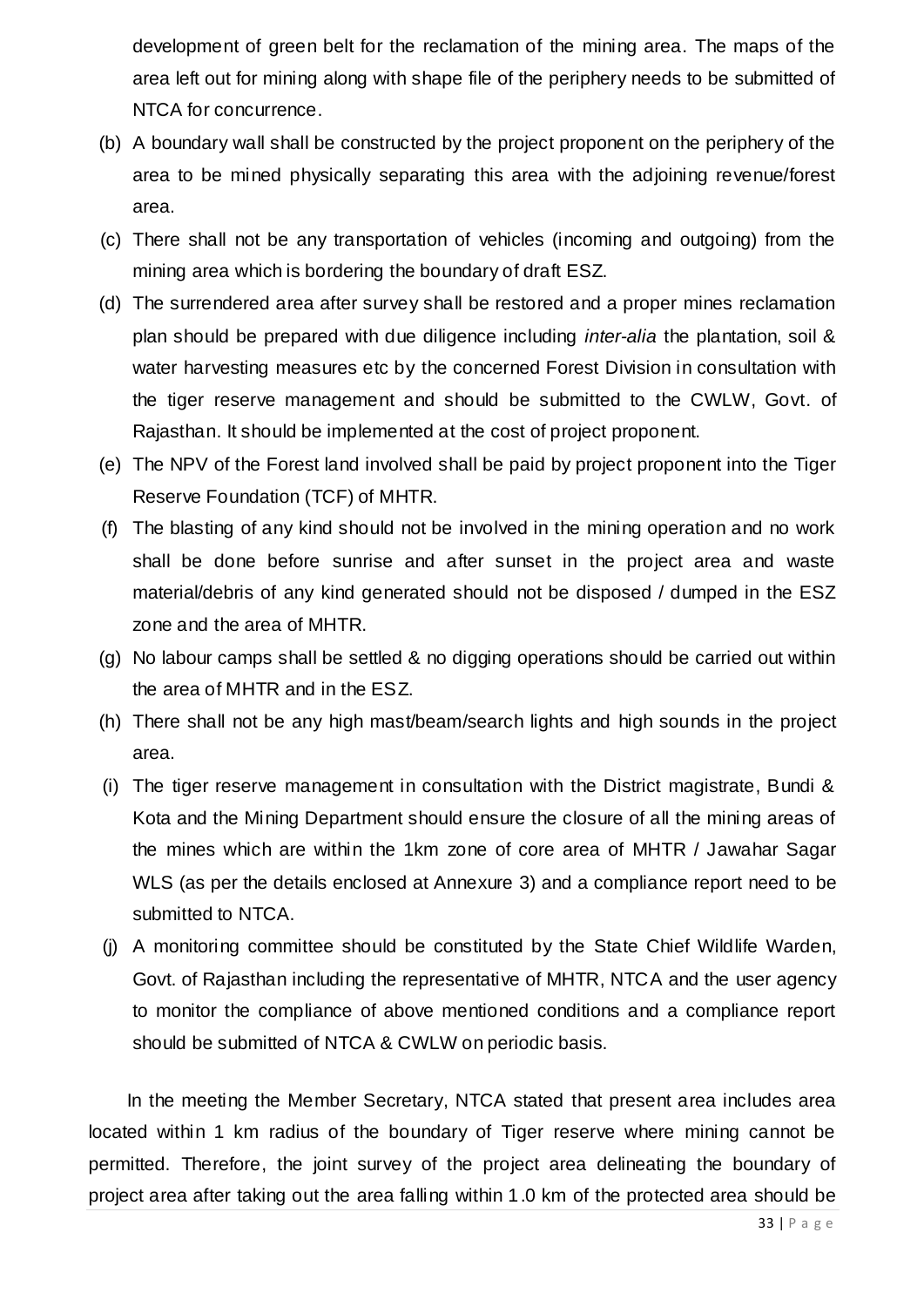development of green belt for the reclamation of the mining area. The maps of the area left out for mining along with shape file of the periphery needs to be submitted of NTCA for concurrence.

- (b) A boundary wall shall be constructed by the project proponent on the periphery of the area to be mined physically separating this area with the adjoining revenue/forest area.
- (c) There shall not be any transportation of vehicles (incoming and outgoing) from the mining area which is bordering the boundary of draft ESZ.
- (d) The surrendered area after survey shall be restored and a proper mines reclamation plan should be prepared with due diligence including *inter-alia* the plantation, soil & water harvesting measures etc by the concerned Forest Division in consultation with the tiger reserve management and should be submitted to the CWLW, Govt. of Rajasthan. It should be implemented at the cost of project proponent.
- (e) The NPV of the Forest land involved shall be paid by project proponent into the Tiger Reserve Foundation (TCF) of MHTR.
- (f) The blasting of any kind should not be involved in the mining operation and no work shall be done before sunrise and after sunset in the project area and waste material/debris of any kind generated should not be disposed / dumped in the ESZ zone and the area of MHTR.
- (g) No labour camps shall be settled & no digging operations should be carried out within the area of MHTR and in the ESZ.
- (h) There shall not be any high mast/beam/search lights and high sounds in the project area.
- (i) The tiger reserve management in consultation with the District magistrate, Bundi & Kota and the Mining Department should ensure the closure of all the mining areas of the mines which are within the 1km zone of core area of MHTR / Jawahar Sagar WLS (as per the details enclosed at Annexure 3) and a compliance report need to be submitted to NTCA.
- (j) A monitoring committee should be constituted by the State Chief Wildlife Warden, Govt. of Rajasthan including the representative of MHTR, NTCA and the user agency to monitor the compliance of above mentioned conditions and a compliance report should be submitted of NTCA & CWLW on periodic basis.

In the meeting the Member Secretary, NTCA stated that present area includes area located within 1 km radius of the boundary of Tiger reserve where mining cannot be permitted. Therefore, the joint survey of the project area delineating the boundary of project area after taking out the area falling within 1.0 km of the protected area should be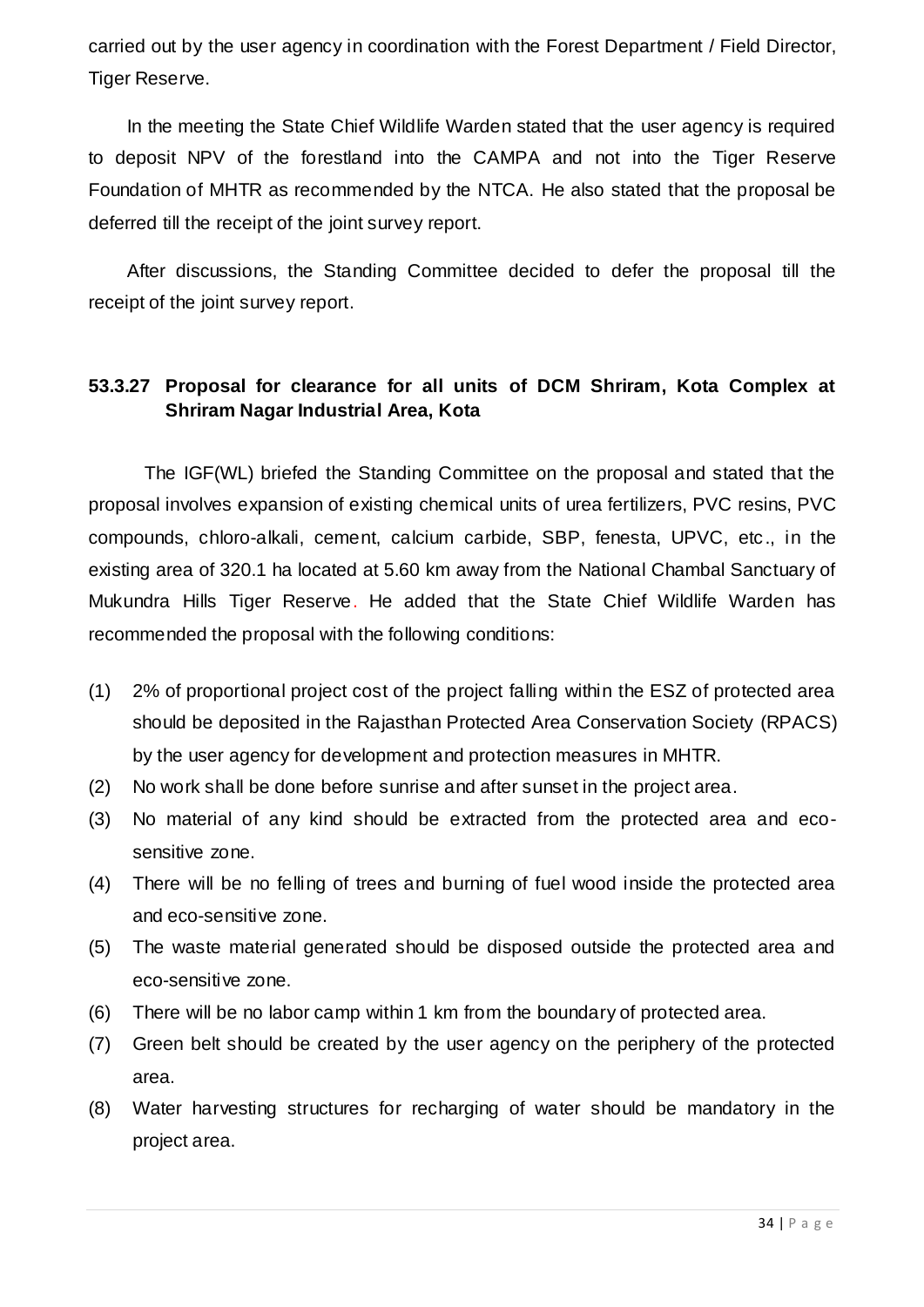carried out by the user agency in coordination with the Forest Department / Field Director, Tiger Reserve.

In the meeting the State Chief Wildlife Warden stated that the user agency is required to deposit NPV of the forestland into the CAMPA and not into the Tiger Reserve Foundation of MHTR as recommended by the NTCA. He also stated that the proposal be deferred till the receipt of the joint survey report.

After discussions, the Standing Committee decided to defer the proposal till the receipt of the joint survey report.

#### **53.3.27 Proposal for clearance for all units of DCM Shriram, Kota Complex at Shriram Nagar Industrial Area, Kota**

The IGF(WL) briefed the Standing Committee on the proposal and stated that the proposal involves expansion of existing chemical units of urea fertilizers, PVC resins, PVC compounds, chloro-alkali, cement, calcium carbide, SBP, fenesta, UPVC, etc., in the existing area of 320.1 ha located at 5.60 km away from the National Chambal Sanctuary of Mukundra Hills Tiger Reserve. He added that the State Chief Wildlife Warden has recommended the proposal with the following conditions:

- (1) 2% of proportional project cost of the project falling within the ESZ of protected area should be deposited in the Rajasthan Protected Area Conservation Society (RPACS) by the user agency for development and protection measures in MHTR.
- (2) No work shall be done before sunrise and after sunset in the project area.
- (3) No material of any kind should be extracted from the protected area and ecosensitive zone.
- (4) There will be no felling of trees and burning of fuel wood inside the protected area and eco-sensitive zone.
- (5) The waste material generated should be disposed outside the protected area and eco-sensitive zone.
- (6) There will be no labor camp within 1 km from the boundary of protected area.
- (7) Green belt should be created by the user agency on the periphery of the protected area.
- (8) Water harvesting structures for recharging of water should be mandatory in the project area.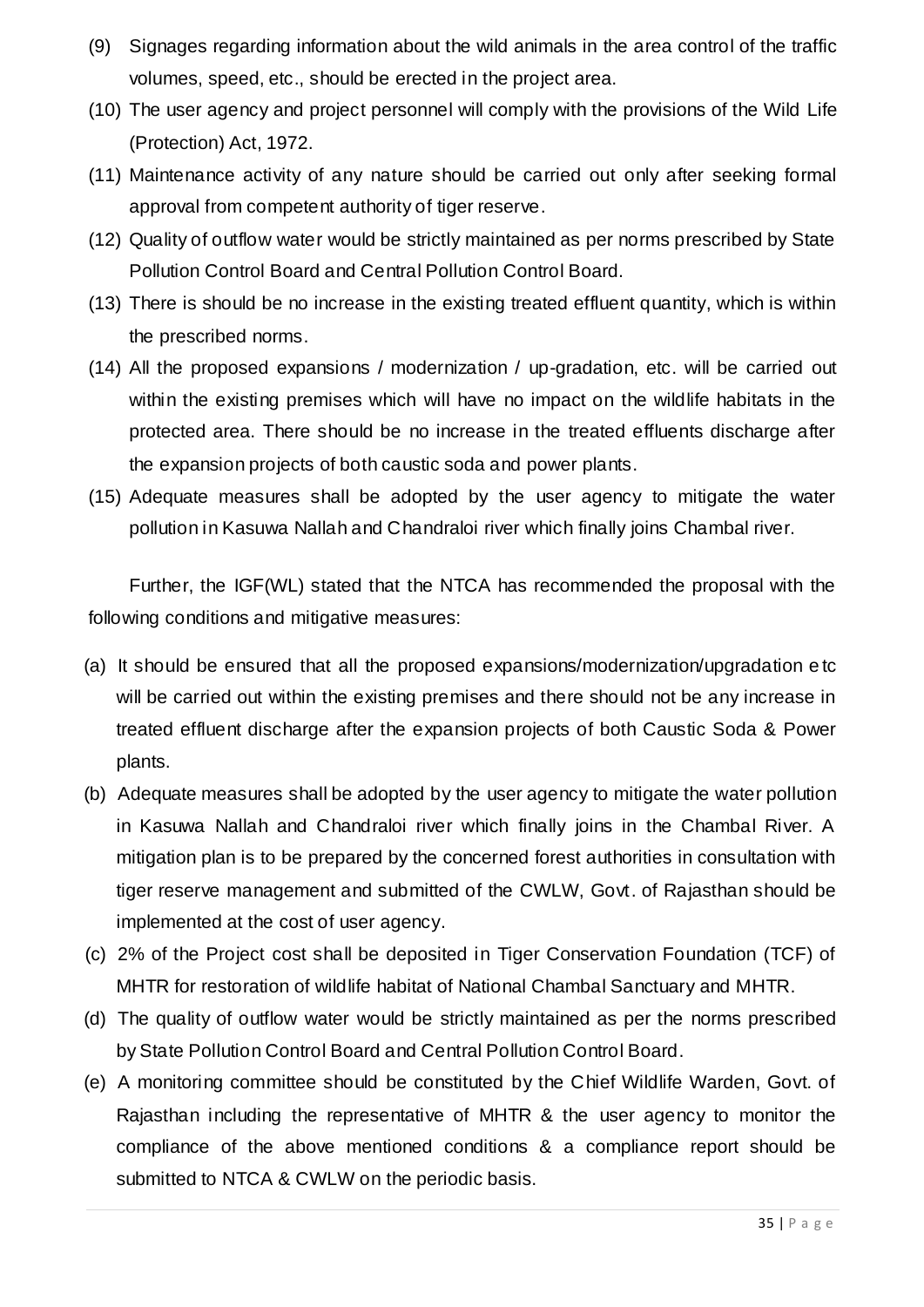- (9) Signages regarding information about the wild animals in the area control of the traffic volumes, speed, etc., should be erected in the project area.
- (10) The user agency and project personnel will comply with the provisions of the Wild Life (Protection) Act, 1972.
- (11) Maintenance activity of any nature should be carried out only after seeking formal approval from competent authority of tiger reserve.
- (12) Quality of outflow water would be strictly maintained as per norms prescribed by State Pollution Control Board and Central Pollution Control Board.
- (13) There is should be no increase in the existing treated effluent quantity, which is within the prescribed norms.
- (14) All the proposed expansions / modernization / up-gradation, etc. will be carried out within the existing premises which will have no impact on the wildlife habitats in the protected area. There should be no increase in the treated effluents discharge after the expansion projects of both caustic soda and power plants.
- (15) Adequate measures shall be adopted by the user agency to mitigate the water pollution in Kasuwa Nallah and Chandraloi river which finally joins Chambal river.

Further, the IGF(WL) stated that the NTCA has recommended the proposal with the following conditions and mitigative measures:

- (a) It should be ensured that all the proposed expansions/modernization/upgradation e tc will be carried out within the existing premises and there should not be any increase in treated effluent discharge after the expansion projects of both Caustic Soda & Power plants.
- (b) Adequate measures shall be adopted by the user agency to mitigate the water pollution in Kasuwa Nallah and Chandraloi river which finally joins in the Chambal River. A mitigation plan is to be prepared by the concerned forest authorities in consultation with tiger reserve management and submitted of the CWLW, Govt. of Rajasthan should be implemented at the cost of user agency.
- (c) 2% of the Project cost shall be deposited in Tiger Conservation Foundation (TCF) of MHTR for restoration of wildlife habitat of National Chambal Sanctuary and MHTR.
- (d) The quality of outflow water would be strictly maintained as per the norms prescribed by State Pollution Control Board and Central Pollution Control Board.
- (e) A monitoring committee should be constituted by the Chief Wildlife Warden, Govt. of Rajasthan including the representative of MHTR & the user agency to monitor the compliance of the above mentioned conditions & a compliance report should be submitted to NTCA & CWLW on the periodic basis.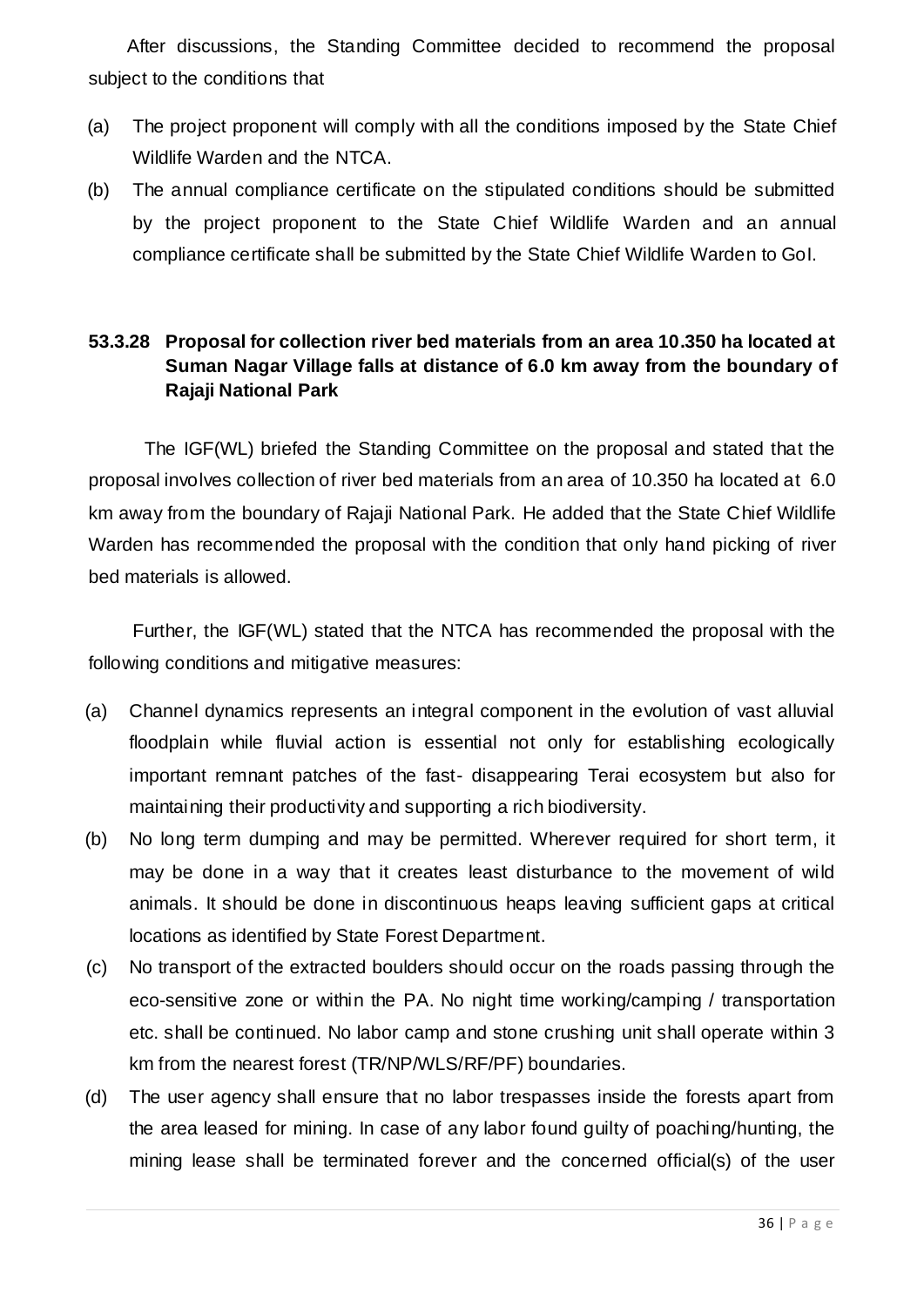After discussions, the Standing Committee decided to recommend the proposal subject to the conditions that

- (a) The project proponent will comply with all the conditions imposed by the State Chief Wildlife Warden and the NTCA.
- (b) The annual compliance certificate on the stipulated conditions should be submitted by the project proponent to the State Chief Wildlife Warden and an annual compliance certificate shall be submitted by the State Chief Wildlife Warden to GoI.

#### **53.3.28 Proposal for collection river bed materials from an area 10.350 ha located at Suman Nagar Village falls at distance of 6.0 km away from the boundary of Rajaji National Park**

The IGF(WL) briefed the Standing Committee on the proposal and stated that the proposal involves collection of river bed materials from an area of 10.350 ha located at 6.0 km away from the boundary of Rajaji National Park. He added that the State Chief Wildlife Warden has recommended the proposal with the condition that only hand picking of river bed materials is allowed.

Further, the IGF(WL) stated that the NTCA has recommended the proposal with the following conditions and mitigative measures:

- (a) Channel dynamics represents an integral component in the evolution of vast alluvial floodplain while fluvial action is essential not only for establishing ecologically important remnant patches of the fast- disappearing Terai ecosystem but also for maintaining their productivity and supporting a rich biodiversity.
- (b) No long term dumping and may be permitted. Wherever required for short term, it may be done in a way that it creates least disturbance to the movement of wild animals. It should be done in discontinuous heaps leaving sufficient gaps at critical locations as identified by State Forest Department.
- (c) No transport of the extracted boulders should occur on the roads passing through the eco-sensitive zone or within the PA. No night time working/camping / transportation etc. shall be continued. No labor camp and stone crushing unit shall operate within 3 km from the nearest forest (TR/NP/WLS/RF/PF) boundaries.
- (d) The user agency shall ensure that no labor trespasses inside the forests apart from the area leased for mining. In case of any labor found guilty of poaching/hunting, the mining lease shall be terminated forever and the concerned official(s) of the user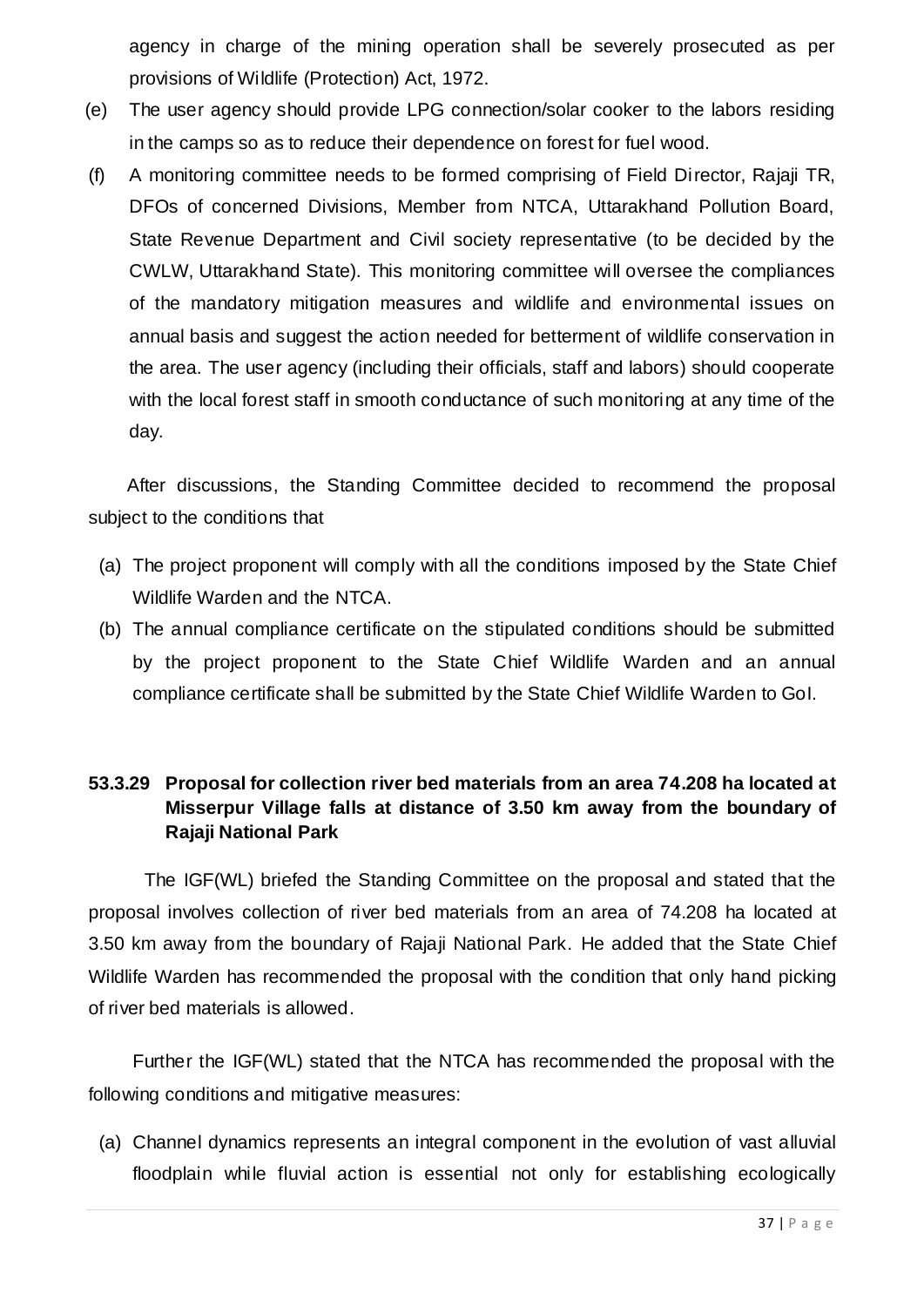agency in charge of the mining operation shall be severely prosecuted as per provisions of Wildlife (Protection) Act, 1972.

- (e) The user agency should provide LPG connection/solar cooker to the labors residing in the camps so as to reduce their dependence on forest for fuel wood.
- (f) A monitoring committee needs to be formed comprising of Field Director, Rajaji TR, DFOs of concerned Divisions, Member from NTCA, Uttarakhand Pollution Board, State Revenue Department and Civil society representative (to be decided by the CWLW, Uttarakhand State). This monitoring committee will oversee the compliances of the mandatory mitigation measures and wildlife and environmental issues on annual basis and suggest the action needed for betterment of wildlife conservation in the area. The user agency (including their officials, staff and labors) should cooperate with the local forest staff in smooth conductance of such monitoring at any time of the day.

After discussions, the Standing Committee decided to recommend the proposal subject to the conditions that

- (a) The project proponent will comply with all the conditions imposed by the State Chief Wildlife Warden and the NTCA.
- (b) The annual compliance certificate on the stipulated conditions should be submitted by the project proponent to the State Chief Wildlife Warden and an annual compliance certificate shall be submitted by the State Chief Wildlife Warden to GoI.

#### **53.3.29 Proposal for collection river bed materials from an area 74.208 ha located at Misserpur Village falls at distance of 3.50 km away from the boundary of Rajaji National Park**

The IGF(WL) briefed the Standing Committee on the proposal and stated that the proposal involves collection of river bed materials from an area of 74.208 ha located at 3.50 km away from the boundary of Rajaji National Park. He added that the State Chief Wildlife Warden has recommended the proposal with the condition that only hand picking of river bed materials is allowed.

Further the IGF(WL) stated that the NTCA has recommended the proposal with the following conditions and mitigative measures:

(a) Channel dynamics represents an integral component in the evolution of vast alluvial floodplain while fluvial action is essential not only for establishing ecologically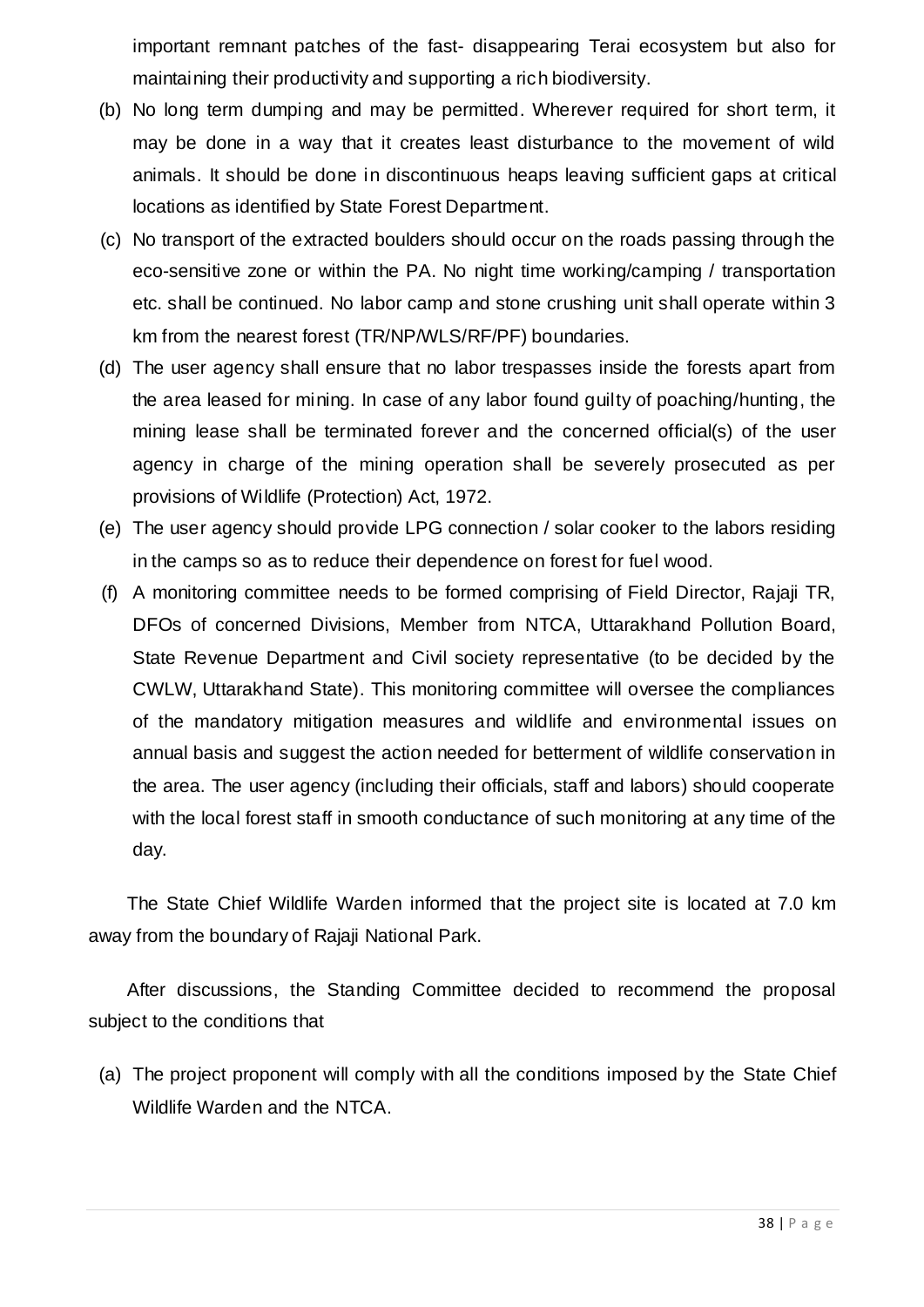important remnant patches of the fast- disappearing Terai ecosystem but also for maintaining their productivity and supporting a rich biodiversity.

- (b) No long term dumping and may be permitted. Wherever required for short term, it may be done in a way that it creates least disturbance to the movement of wild animals. It should be done in discontinuous heaps leaving sufficient gaps at critical locations as identified by State Forest Department.
- (c) No transport of the extracted boulders should occur on the roads passing through the eco-sensitive zone or within the PA. No night time working/camping / transportation etc. shall be continued. No labor camp and stone crushing unit shall operate within 3 km from the nearest forest (TR/NP/WLS/RF/PF) boundaries.
- (d) The user agency shall ensure that no labor trespasses inside the forests apart from the area leased for mining. In case of any labor found guilty of poaching/hunting, the mining lease shall be terminated forever and the concerned official(s) of the user agency in charge of the mining operation shall be severely prosecuted as per provisions of Wildlife (Protection) Act, 1972.
- (e) The user agency should provide LPG connection / solar cooker to the labors residing in the camps so as to reduce their dependence on forest for fuel wood.
- (f) A monitoring committee needs to be formed comprising of Field Director, Rajaji TR, DFOs of concerned Divisions, Member from NTCA, Uttarakhand Pollution Board, State Revenue Department and Civil society representative (to be decided by the CWLW, Uttarakhand State). This monitoring committee will oversee the compliances of the mandatory mitigation measures and wildlife and environmental issues on annual basis and suggest the action needed for betterment of wildlife conservation in the area. The user agency (including their officials, staff and labors) should cooperate with the local forest staff in smooth conductance of such monitoring at any time of the day.

The State Chief Wildlife Warden informed that the project site is located at 7.0 km away from the boundary of Rajaji National Park.

After discussions, the Standing Committee decided to recommend the proposal subject to the conditions that

(a) The project proponent will comply with all the conditions imposed by the State Chief Wildlife Warden and the NTCA.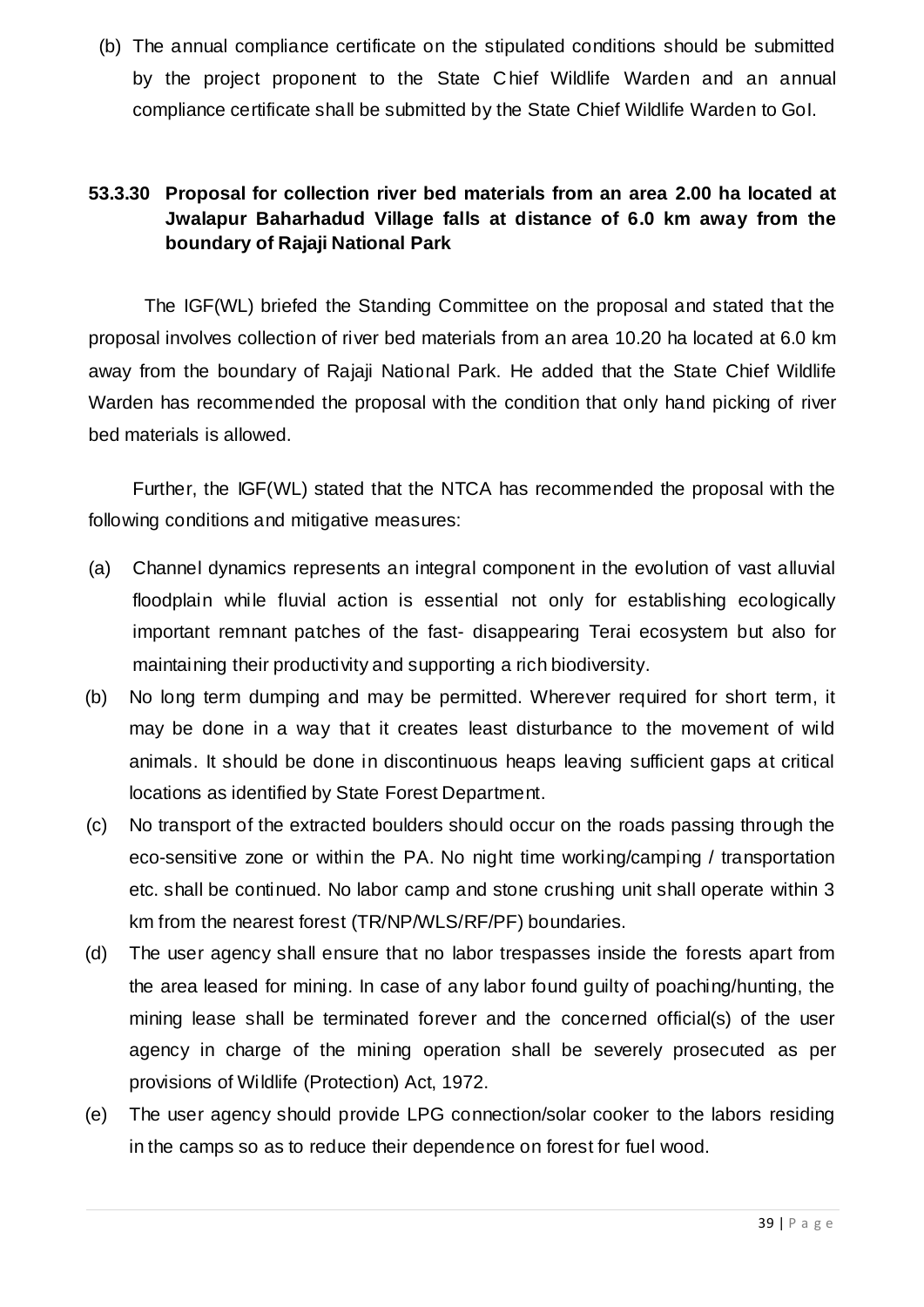(b) The annual compliance certificate on the stipulated conditions should be submitted by the project proponent to the State Chief Wildlife Warden and an annual compliance certificate shall be submitted by the State Chief Wildlife Warden to GoI.

### **53.3.30 Proposal for collection river bed materials from an area 2.00 ha located at Jwalapur Baharhadud Village falls at distance of 6.0 km away from the boundary of Rajaji National Park**

The IGF(WL) briefed the Standing Committee on the proposal and stated that the proposal involves collection of river bed materials from an area 10.20 ha located at 6.0 km away from the boundary of Rajaji National Park. He added that the State Chief Wildlife Warden has recommended the proposal with the condition that only hand picking of river bed materials is allowed.

Further, the IGF(WL) stated that the NTCA has recommended the proposal with the following conditions and mitigative measures:

- (a) Channel dynamics represents an integral component in the evolution of vast alluvial floodplain while fluvial action is essential not only for establishing ecologically important remnant patches of the fast- disappearing Terai ecosystem but also for maintaining their productivity and supporting a rich biodiversity.
- (b) No long term dumping and may be permitted. Wherever required for short term, it may be done in a way that it creates least disturbance to the movement of wild animals. It should be done in discontinuous heaps leaving sufficient gaps at critical locations as identified by State Forest Department.
- (c) No transport of the extracted boulders should occur on the roads passing through the eco-sensitive zone or within the PA. No night time working/camping / transportation etc. shall be continued. No labor camp and stone crushing unit shall operate within 3 km from the nearest forest (TR/NP/WLS/RF/PF) boundaries.
- (d) The user agency shall ensure that no labor trespasses inside the forests apart from the area leased for mining. In case of any labor found guilty of poaching/hunting, the mining lease shall be terminated forever and the concerned official(s) of the user agency in charge of the mining operation shall be severely prosecuted as per provisions of Wildlife (Protection) Act, 1972.
- (e) The user agency should provide LPG connection/solar cooker to the labors residing in the camps so as to reduce their dependence on forest for fuel wood.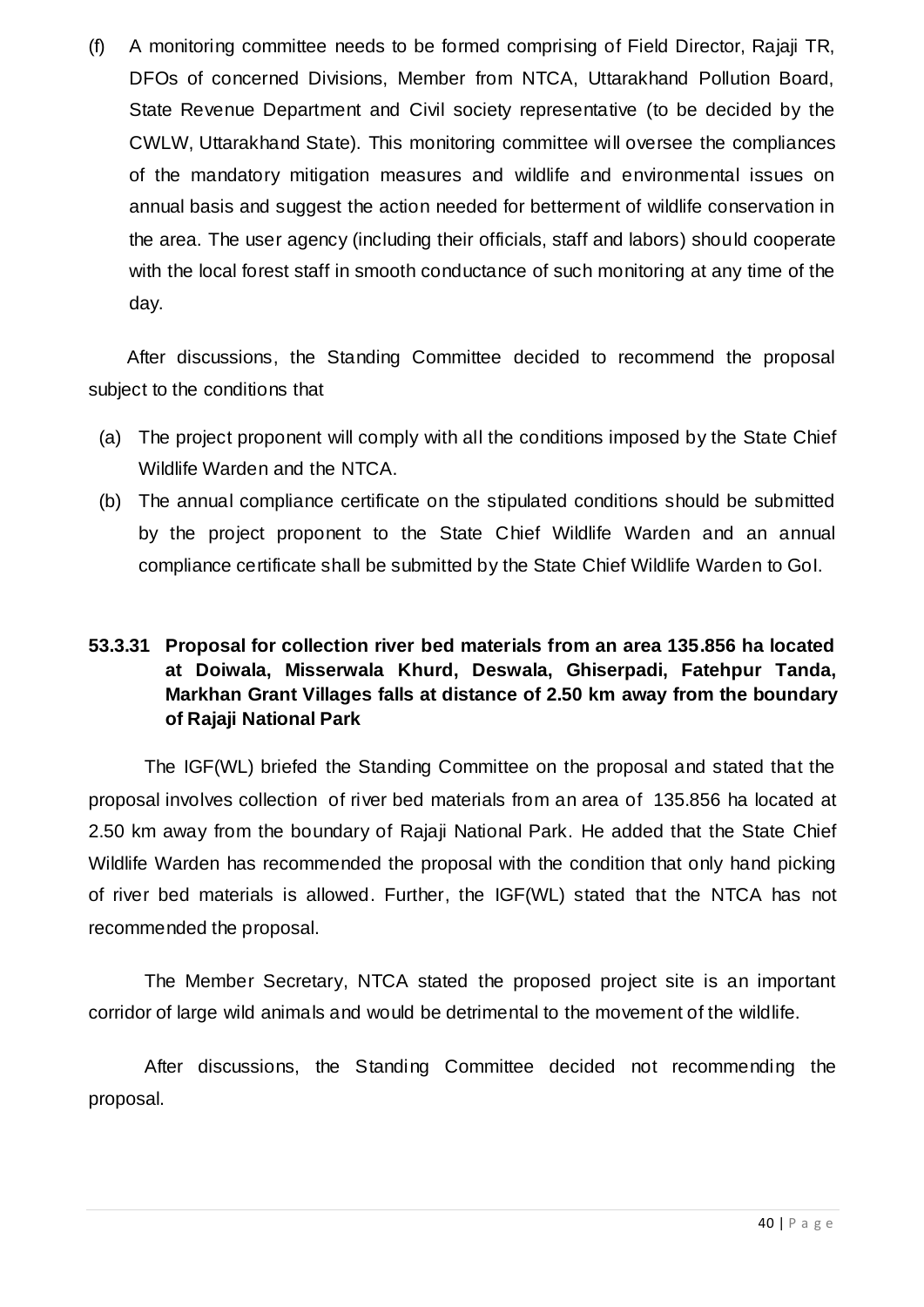(f) A monitoring committee needs to be formed comprising of Field Director, Rajaji TR, DFOs of concerned Divisions, Member from NTCA, Uttarakhand Pollution Board, State Revenue Department and Civil society representative (to be decided by the CWLW, Uttarakhand State). This monitoring committee will oversee the compliances of the mandatory mitigation measures and wildlife and environmental issues on annual basis and suggest the action needed for betterment of wildlife conservation in the area. The user agency (including their officials, staff and labors) should cooperate with the local forest staff in smooth conductance of such monitoring at any time of the day.

After discussions, the Standing Committee decided to recommend the proposal subject to the conditions that

- (a) The project proponent will comply with all the conditions imposed by the State Chief Wildlife Warden and the NTCA.
- (b) The annual compliance certificate on the stipulated conditions should be submitted by the project proponent to the State Chief Wildlife Warden and an annual compliance certificate shall be submitted by the State Chief Wildlife Warden to GoI.

### **53.3.31 Proposal for collection river bed materials from an area 135.856 ha located at Doiwala, Misserwala Khurd, Deswala, Ghiserpadi, Fatehpur Tanda, Markhan Grant Villages falls at distance of 2.50 km away from the boundary of Rajaji National Park**

The IGF(WL) briefed the Standing Committee on the proposal and stated that the proposal involves collection of river bed materials from an area of 135.856 ha located at 2.50 km away from the boundary of Rajaji National Park. He added that the State Chief Wildlife Warden has recommended the proposal with the condition that only hand picking of river bed materials is allowed. Further, the IGF(WL) stated that the NTCA has not recommended the proposal.

The Member Secretary, NTCA stated the proposed project site is an important corridor of large wild animals and would be detrimental to the movement of the wildlife.

After discussions, the Standing Committee decided not recommending the proposal.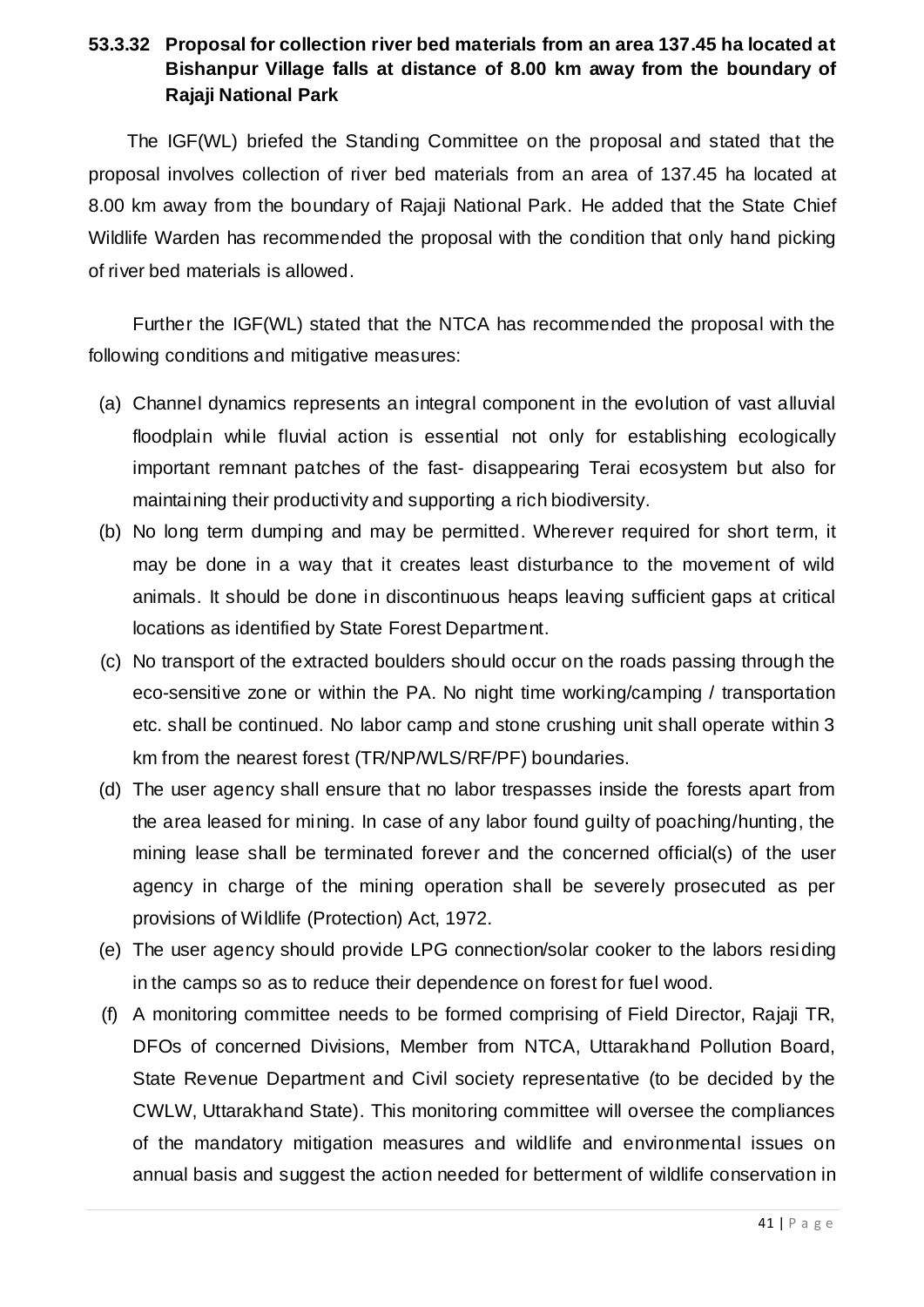#### **53.3.32 Proposal for collection river bed materials from an area 137.45 ha located at Bishanpur Village falls at distance of 8.00 km away from the boundary of Rajaji National Park**

The IGF(WL) briefed the Standing Committee on the proposal and stated that the proposal involves collection of river bed materials from an area of 137.45 ha located at 8.00 km away from the boundary of Rajaji National Park. He added that the State Chief Wildlife Warden has recommended the proposal with the condition that only hand picking of river bed materials is allowed.

Further the IGF(WL) stated that the NTCA has recommended the proposal with the following conditions and mitigative measures:

- (a) Channel dynamics represents an integral component in the evolution of vast alluvial floodplain while fluvial action is essential not only for establishing ecologically important remnant patches of the fast- disappearing Terai ecosystem but also for maintaining their productivity and supporting a rich biodiversity.
- (b) No long term dumping and may be permitted. Wherever required for short term, it may be done in a way that it creates least disturbance to the movement of wild animals. It should be done in discontinuous heaps leaving sufficient gaps at critical locations as identified by State Forest Department.
- (c) No transport of the extracted boulders should occur on the roads passing through the eco-sensitive zone or within the PA. No night time working/camping / transportation etc. shall be continued. No labor camp and stone crushing unit shall operate within 3 km from the nearest forest (TR/NP/WLS/RF/PF) boundaries.
- (d) The user agency shall ensure that no labor trespasses inside the forests apart from the area leased for mining. In case of any labor found guilty of poaching/hunting, the mining lease shall be terminated forever and the concerned official(s) of the user agency in charge of the mining operation shall be severely prosecuted as per provisions of Wildlife (Protection) Act, 1972.
- (e) The user agency should provide LPG connection/solar cooker to the labors residing in the camps so as to reduce their dependence on forest for fuel wood.
- (f) A monitoring committee needs to be formed comprising of Field Director, Rajaji TR, DFOs of concerned Divisions, Member from NTCA, Uttarakhand Pollution Board, State Revenue Department and Civil society representative (to be decided by the CWLW, Uttarakhand State). This monitoring committee will oversee the compliances of the mandatory mitigation measures and wildlife and environmental issues on annual basis and suggest the action needed for betterment of wildlife conservation in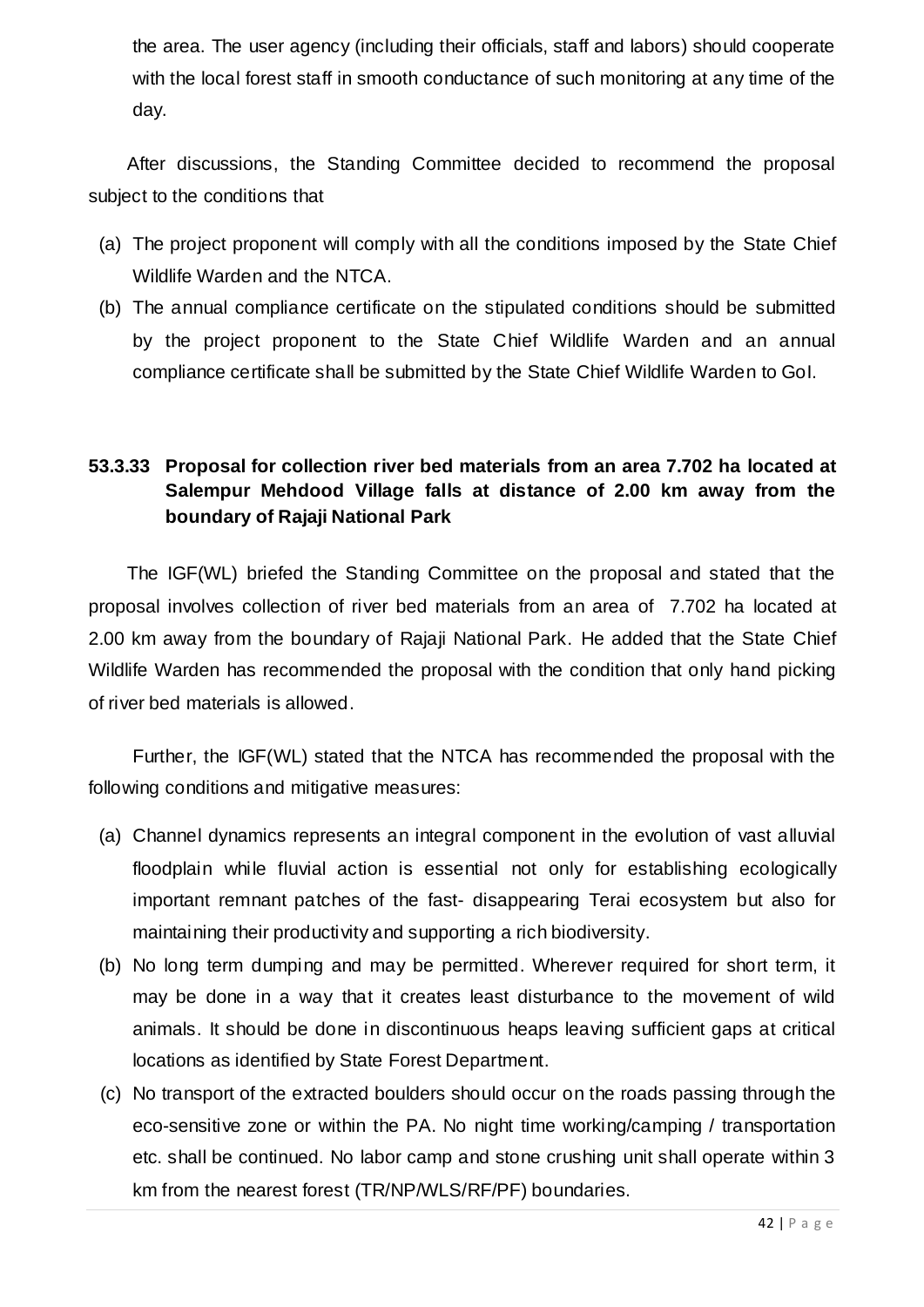the area. The user agency (including their officials, staff and labors) should cooperate with the local forest staff in smooth conductance of such monitoring at any time of the day.

After discussions, the Standing Committee decided to recommend the proposal subject to the conditions that

- (a) The project proponent will comply with all the conditions imposed by the State Chief Wildlife Warden and the NTCA.
- (b) The annual compliance certificate on the stipulated conditions should be submitted by the project proponent to the State Chief Wildlife Warden and an annual compliance certificate shall be submitted by the State Chief Wildlife Warden to GoI.

### **53.3.33 Proposal for collection river bed materials from an area 7.702 ha located at Salempur Mehdood Village falls at distance of 2.00 km away from the boundary of Rajaji National Park**

The IGF(WL) briefed the Standing Committee on the proposal and stated that the proposal involves collection of river bed materials from an area of 7.702 ha located at 2.00 km away from the boundary of Rajaji National Park. He added that the State Chief Wildlife Warden has recommended the proposal with the condition that only hand picking of river bed materials is allowed.

Further, the IGF(WL) stated that the NTCA has recommended the proposal with the following conditions and mitigative measures:

- (a) Channel dynamics represents an integral component in the evolution of vast alluvial floodplain while fluvial action is essential not only for establishing ecologically important remnant patches of the fast- disappearing Terai ecosystem but also for maintaining their productivity and supporting a rich biodiversity.
- (b) No long term dumping and may be permitted. Wherever required for short term, it may be done in a way that it creates least disturbance to the movement of wild animals. It should be done in discontinuous heaps leaving sufficient gaps at critical locations as identified by State Forest Department.
- (c) No transport of the extracted boulders should occur on the roads passing through the eco-sensitive zone or within the PA. No night time working/camping / transportation etc. shall be continued. No labor camp and stone crushing unit shall operate within 3 km from the nearest forest (TR/NP/WLS/RF/PF) boundaries.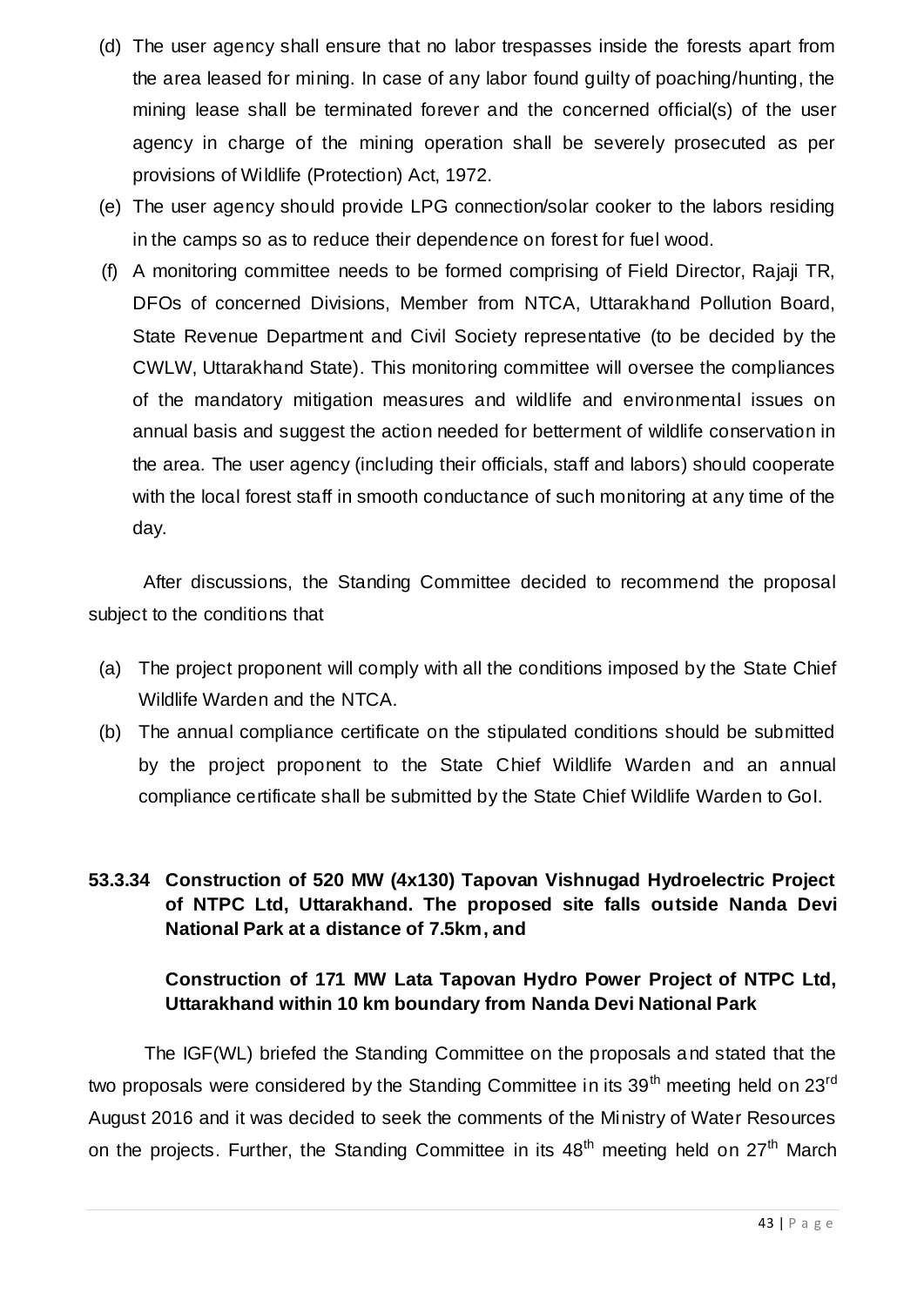- (d) The user agency shall ensure that no labor trespasses inside the forests apart from the area leased for mining. In case of any labor found guilty of poaching/hunting, the mining lease shall be terminated forever and the concerned official(s) of the user agency in charge of the mining operation shall be severely prosecuted as per provisions of Wildlife (Protection) Act, 1972.
- (e) The user agency should provide LPG connection/solar cooker to the labors residing in the camps so as to reduce their dependence on forest for fuel wood.
- (f) A monitoring committee needs to be formed comprising of Field Director, Rajaji TR, DFOs of concerned Divisions, Member from NTCA, Uttarakhand Pollution Board, State Revenue Department and Civil Society representative (to be decided by the CWLW, Uttarakhand State). This monitoring committee will oversee the compliances of the mandatory mitigation measures and wildlife and environmental issues on annual basis and suggest the action needed for betterment of wildlife conservation in the area. The user agency (including their officials, staff and labors) should cooperate with the local forest staff in smooth conductance of such monitoring at any time of the day.

After discussions, the Standing Committee decided to recommend the proposal subject to the conditions that

- (a) The project proponent will comply with all the conditions imposed by the State Chief Wildlife Warden and the NTCA.
- (b) The annual compliance certificate on the stipulated conditions should be submitted by the project proponent to the State Chief Wildlife Warden and an annual compliance certificate shall be submitted by the State Chief Wildlife Warden to GoI.

### **53.3.34 Construction of 520 MW (4x130) Tapovan Vishnugad Hydroelectric Project of NTPC Ltd, Uttarakhand. The proposed site falls outside Nanda Devi National Park at a distance of 7.5km, and**

### **Construction of 171 MW Lata Tapovan Hydro Power Project of NTPC Ltd, Uttarakhand within 10 km boundary from Nanda Devi National Park**

The IGF(WL) briefed the Standing Committee on the proposals and stated that the two proposals were considered by the Standing Committee in its  $39<sup>th</sup>$  meeting held on  $23<sup>rd</sup>$ August 2016 and it was decided to seek the comments of the Ministry of Water Resources on the projects. Further, the Standing Committee in its  $48<sup>th</sup>$  meeting held on  $27<sup>th</sup>$  March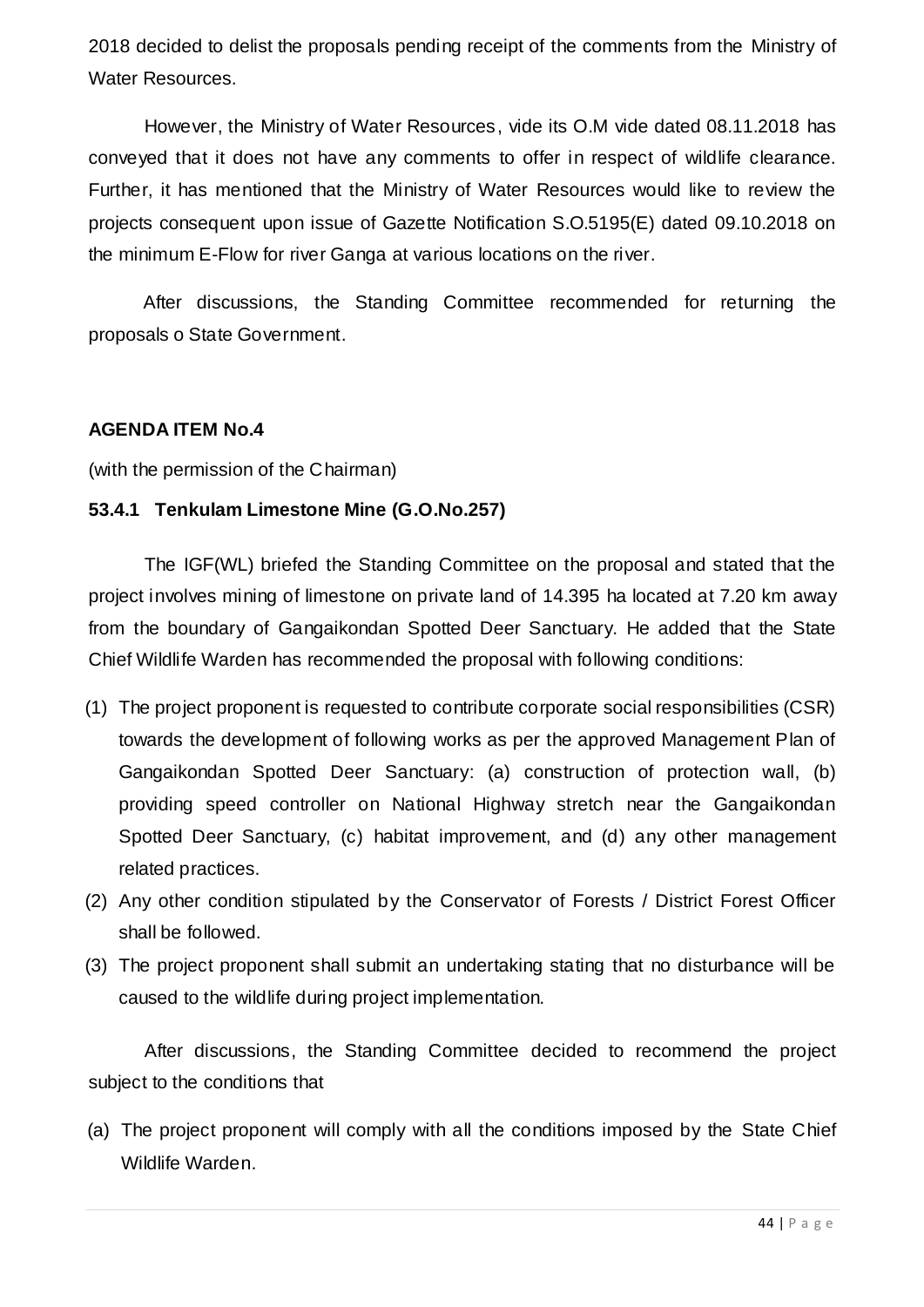2018 decided to delist the proposals pending receipt of the comments from the Ministry of Water Resources.

However, the Ministry of Water Resources, vide its O.M vide dated 08.11.2018 has conveyed that it does not have any comments to offer in respect of wildlife clearance. Further, it has mentioned that the Ministry of Water Resources would like to review the projects consequent upon issue of Gazette Notification S.O.5195(E) dated 09.10.2018 on the minimum E-Flow for river Ganga at various locations on the river.

After discussions, the Standing Committee recommended for returning the proposals o State Government.

#### **AGENDA ITEM No.4**

(with the permission of the Chairman)

#### **53.4.1 Tenkulam Limestone Mine (G.O.No.257)**

The IGF(WL) briefed the Standing Committee on the proposal and stated that the project involves mining of limestone on private land of 14.395 ha located at 7.20 km away from the boundary of Gangaikondan Spotted Deer Sanctuary. He added that the State Chief Wildlife Warden has recommended the proposal with following conditions:

- (1) The project proponent is requested to contribute corporate social responsibilities (CSR) towards the development of following works as per the approved Management Plan of Gangaikondan Spotted Deer Sanctuary: (a) construction of protection wall, (b) providing speed controller on National Highway stretch near the Gangaikondan Spotted Deer Sanctuary, (c) habitat improvement, and (d) any other management related practices.
- (2) Any other condition stipulated by the Conservator of Forests / District Forest Officer shall be followed.
- (3) The project proponent shall submit an undertaking stating that no disturbance will be caused to the wildlife during project implementation.

After discussions, the Standing Committee decided to recommend the project subject to the conditions that

(a) The project proponent will comply with all the conditions imposed by the State Chief Wildlife Warden.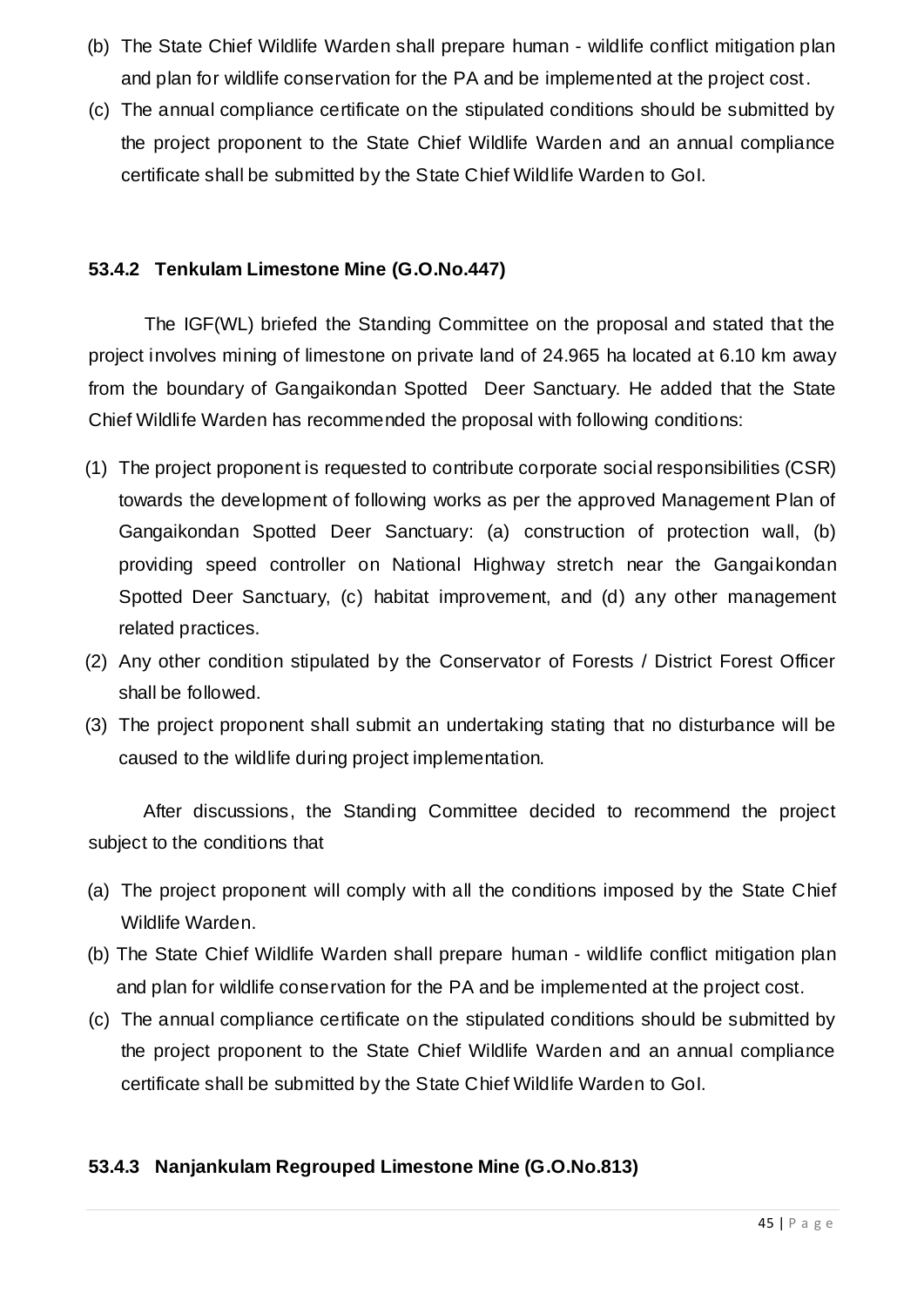- (b) The State Chief Wildlife Warden shall prepare human wildlife conflict mitigation plan and plan for wildlife conservation for the PA and be implemented at the project cost.
- (c) The annual compliance certificate on the stipulated conditions should be submitted by the project proponent to the State Chief Wildlife Warden and an annual compliance certificate shall be submitted by the State Chief Wildlife Warden to GoI.

#### **53.4.2 Tenkulam Limestone Mine (G.O.No.447)**

The IGF(WL) briefed the Standing Committee on the proposal and stated that the project involves mining of limestone on private land of 24.965 ha located at 6.10 km away from the boundary of Gangaikondan Spotted Deer Sanctuary. He added that the State Chief Wildlife Warden has recommended the proposal with following conditions:

- (1) The project proponent is requested to contribute corporate social responsibilities (CSR) towards the development of following works as per the approved Management Plan of Gangaikondan Spotted Deer Sanctuary: (a) construction of protection wall, (b) providing speed controller on National Highway stretch near the Gangaikondan Spotted Deer Sanctuary, (c) habitat improvement, and (d) any other management related practices.
- (2) Any other condition stipulated by the Conservator of Forests / District Forest Officer shall be followed.
- (3) The project proponent shall submit an undertaking stating that no disturbance will be caused to the wildlife during project implementation.

After discussions, the Standing Committee decided to recommend the project subject to the conditions that

- (a) The project proponent will comply with all the conditions imposed by the State Chief Wildlife Warden.
- (b) The State Chief Wildlife Warden shall prepare human wildlife conflict mitigation plan and plan for wildlife conservation for the PA and be implemented at the project cost.
- (c) The annual compliance certificate on the stipulated conditions should be submitted by the project proponent to the State Chief Wildlife Warden and an annual compliance certificate shall be submitted by the State Chief Wildlife Warden to GoI.

#### **53.4.3 Nanjankulam Regrouped Limestone Mine (G.O.No.813)**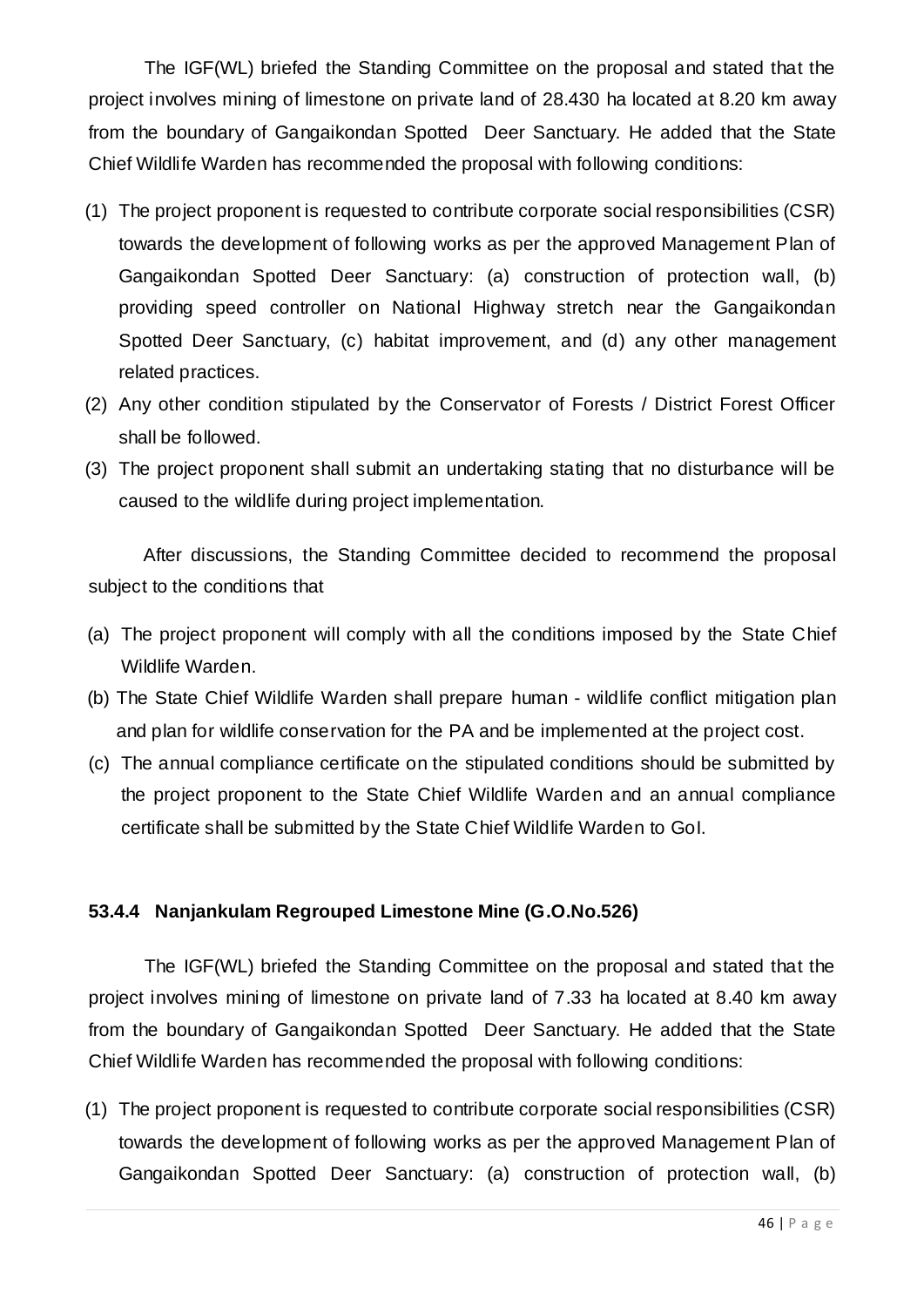The IGF(WL) briefed the Standing Committee on the proposal and stated that the project involves mining of limestone on private land of 28.430 ha located at 8.20 km away from the boundary of Gangaikondan Spotted Deer Sanctuary. He added that the State Chief Wildlife Warden has recommended the proposal with following conditions:

- (1) The project proponent is requested to contribute corporate social responsibilities (CSR) towards the development of following works as per the approved Management Plan of Gangaikondan Spotted Deer Sanctuary: (a) construction of protection wall, (b) providing speed controller on National Highway stretch near the Gangaikondan Spotted Deer Sanctuary, (c) habitat improvement, and (d) any other management related practices.
- (2) Any other condition stipulated by the Conservator of Forests / District Forest Officer shall be followed.
- (3) The project proponent shall submit an undertaking stating that no disturbance will be caused to the wildlife during project implementation.

After discussions, the Standing Committee decided to recommend the proposal subject to the conditions that

- (a) The project proponent will comply with all the conditions imposed by the State Chief Wildlife Warden.
- (b) The State Chief Wildlife Warden shall prepare human wildlife conflict mitigation plan and plan for wildlife conservation for the PA and be implemented at the project cost.
- (c) The annual compliance certificate on the stipulated conditions should be submitted by the project proponent to the State Chief Wildlife Warden and an annual compliance certificate shall be submitted by the State Chief Wildlife Warden to GoI.

#### **53.4.4 Nanjankulam Regrouped Limestone Mine (G.O.No.526)**

The IGF(WL) briefed the Standing Committee on the proposal and stated that the project involves mining of limestone on private land of 7.33 ha located at 8.40 km away from the boundary of Gangaikondan Spotted Deer Sanctuary. He added that the State Chief Wildlife Warden has recommended the proposal with following conditions:

(1) The project proponent is requested to contribute corporate social responsibilities (CSR) towards the development of following works as per the approved Management Plan of Gangaikondan Spotted Deer Sanctuary: (a) construction of protection wall, (b)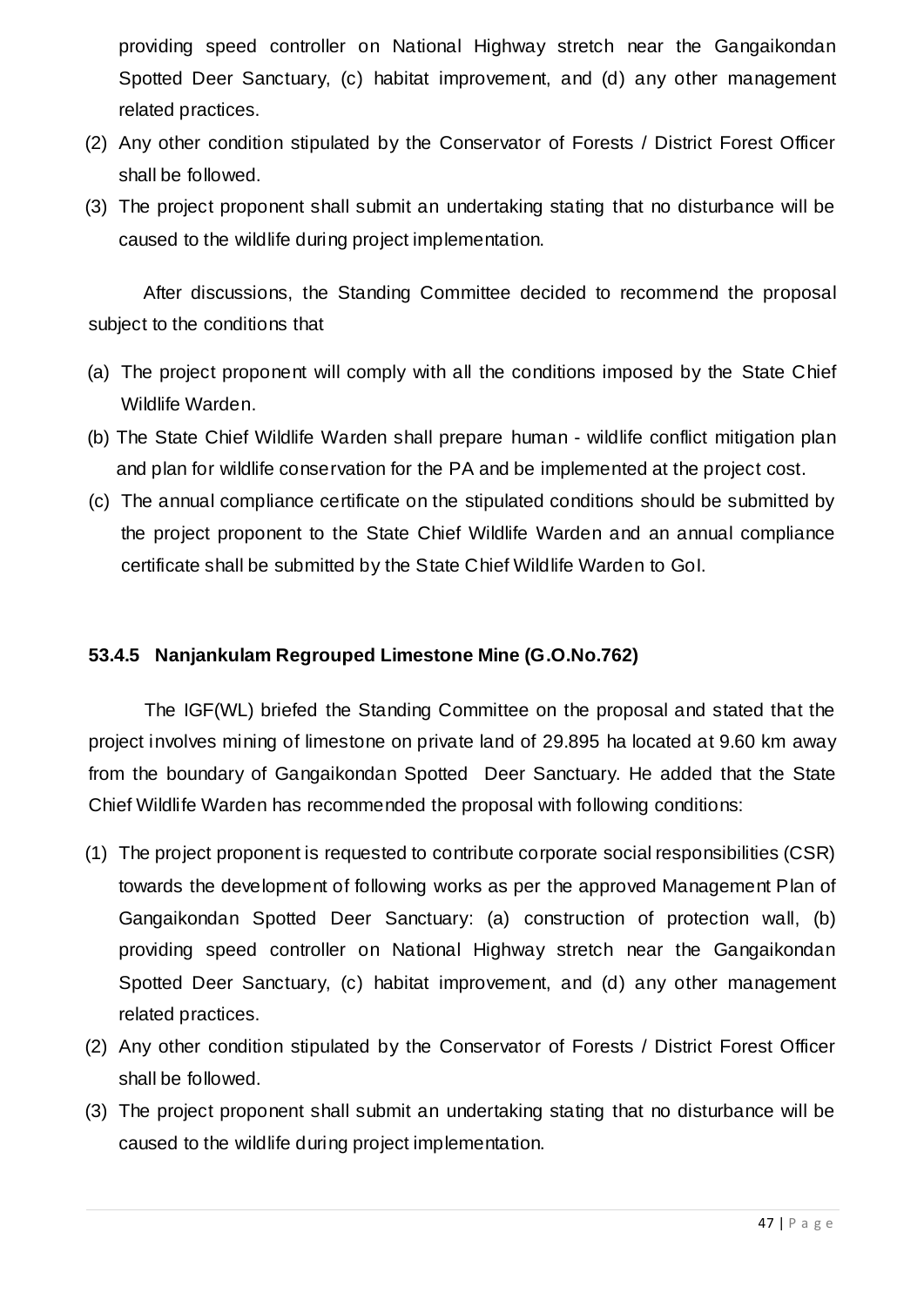providing speed controller on National Highway stretch near the Gangaikondan Spotted Deer Sanctuary, (c) habitat improvement, and (d) any other management related practices.

- (2) Any other condition stipulated by the Conservator of Forests / District Forest Officer shall be followed.
- (3) The project proponent shall submit an undertaking stating that no disturbance will be caused to the wildlife during project implementation.

After discussions, the Standing Committee decided to recommend the proposal subject to the conditions that

- (a) The project proponent will comply with all the conditions imposed by the State Chief Wildlife Warden.
- (b) The State Chief Wildlife Warden shall prepare human wildlife conflict mitigation plan and plan for wildlife conservation for the PA and be implemented at the project cost.
- (c) The annual compliance certificate on the stipulated conditions should be submitted by the project proponent to the State Chief Wildlife Warden and an annual compliance certificate shall be submitted by the State Chief Wildlife Warden to GoI.

#### **53.4.5 Nanjankulam Regrouped Limestone Mine (G.O.No.762)**

The IGF(WL) briefed the Standing Committee on the proposal and stated that the project involves mining of limestone on private land of 29.895 ha located at 9.60 km away from the boundary of Gangaikondan Spotted Deer Sanctuary. He added that the State Chief Wildlife Warden has recommended the proposal with following conditions:

- (1) The project proponent is requested to contribute corporate social responsibilities (CSR) towards the development of following works as per the approved Management Plan of Gangaikondan Spotted Deer Sanctuary: (a) construction of protection wall, (b) providing speed controller on National Highway stretch near the Gangaikondan Spotted Deer Sanctuary, (c) habitat improvement, and (d) any other management related practices.
- (2) Any other condition stipulated by the Conservator of Forests / District Forest Officer shall be followed.
- (3) The project proponent shall submit an undertaking stating that no disturbance will be caused to the wildlife during project implementation.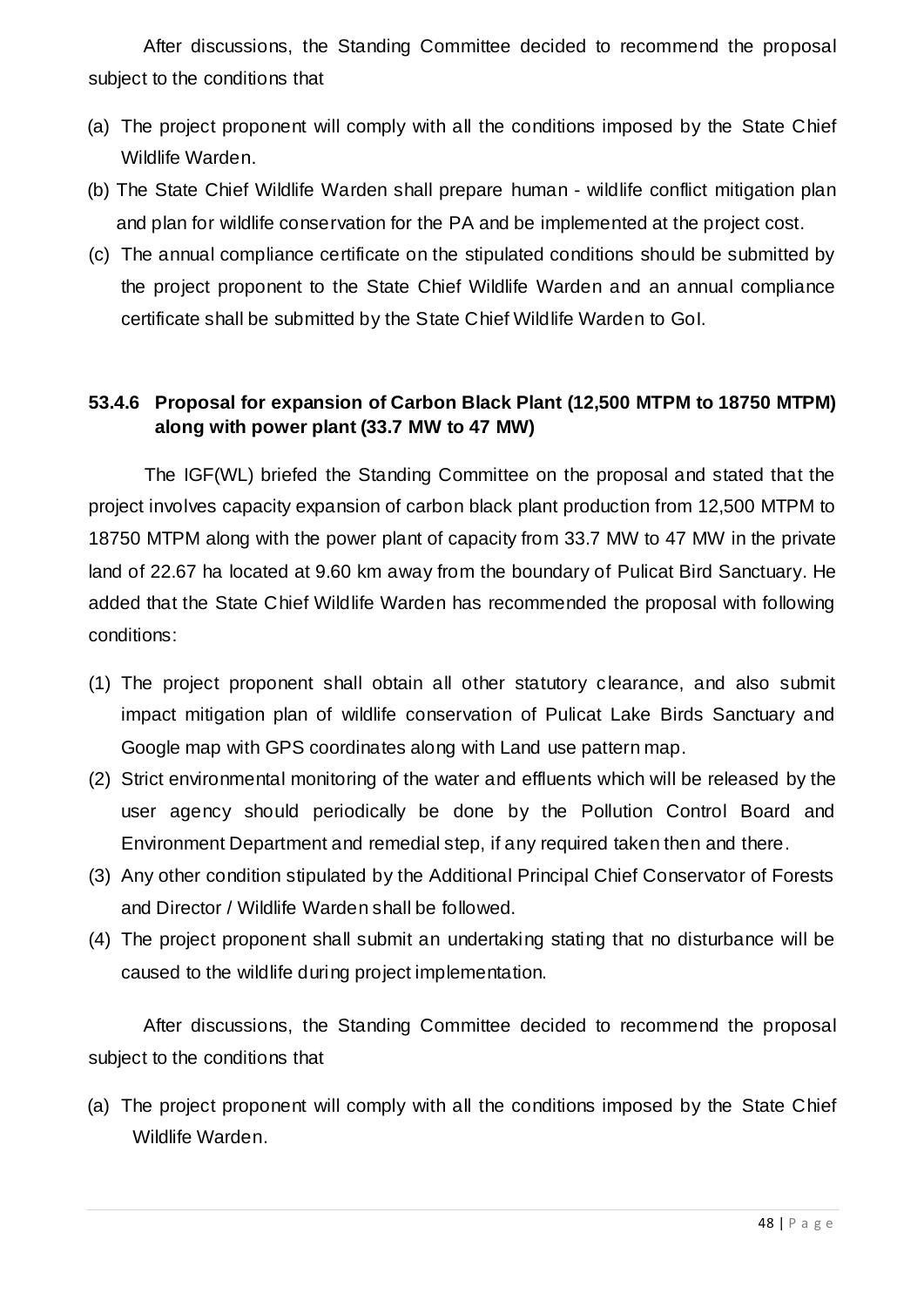After discussions, the Standing Committee decided to recommend the proposal subject to the conditions that

- (a) The project proponent will comply with all the conditions imposed by the State Chief Wildlife Warden.
- (b) The State Chief Wildlife Warden shall prepare human wildlife conflict mitigation plan and plan for wildlife conservation for the PA and be implemented at the project cost.
- (c) The annual compliance certificate on the stipulated conditions should be submitted by the project proponent to the State Chief Wildlife Warden and an annual compliance certificate shall be submitted by the State Chief Wildlife Warden to GoI.

#### **53.4.6 Proposal for expansion of Carbon Black Plant (12,500 MTPM to 18750 MTPM) along with power plant (33.7 MW to 47 MW)**

The IGF(WL) briefed the Standing Committee on the proposal and stated that the project involves capacity expansion of carbon black plant production from 12,500 MTPM to 18750 MTPM along with the power plant of capacity from 33.7 MW to 47 MW in the private land of 22.67 ha located at 9.60 km away from the boundary of Pulicat Bird Sanctuary. He added that the State Chief Wildlife Warden has recommended the proposal with following conditions:

- (1) The project proponent shall obtain all other statutory clearance, and also submit impact mitigation plan of wildlife conservation of Pulicat Lake Birds Sanctuary and Google map with GPS coordinates along with Land use pattern map.
- (2) Strict environmental monitoring of the water and effluents which will be released by the user agency should periodically be done by the Pollution Control Board and Environment Department and remedial step, if any required taken then and there.
- (3) Any other condition stipulated by the Additional Principal Chief Conservator of Forests and Director / Wildlife Warden shall be followed.
- (4) The project proponent shall submit an undertaking stating that no disturbance will be caused to the wildlife during project implementation.

After discussions, the Standing Committee decided to recommend the proposal subject to the conditions that

(a) The project proponent will comply with all the conditions imposed by the State Chief Wildlife Warden.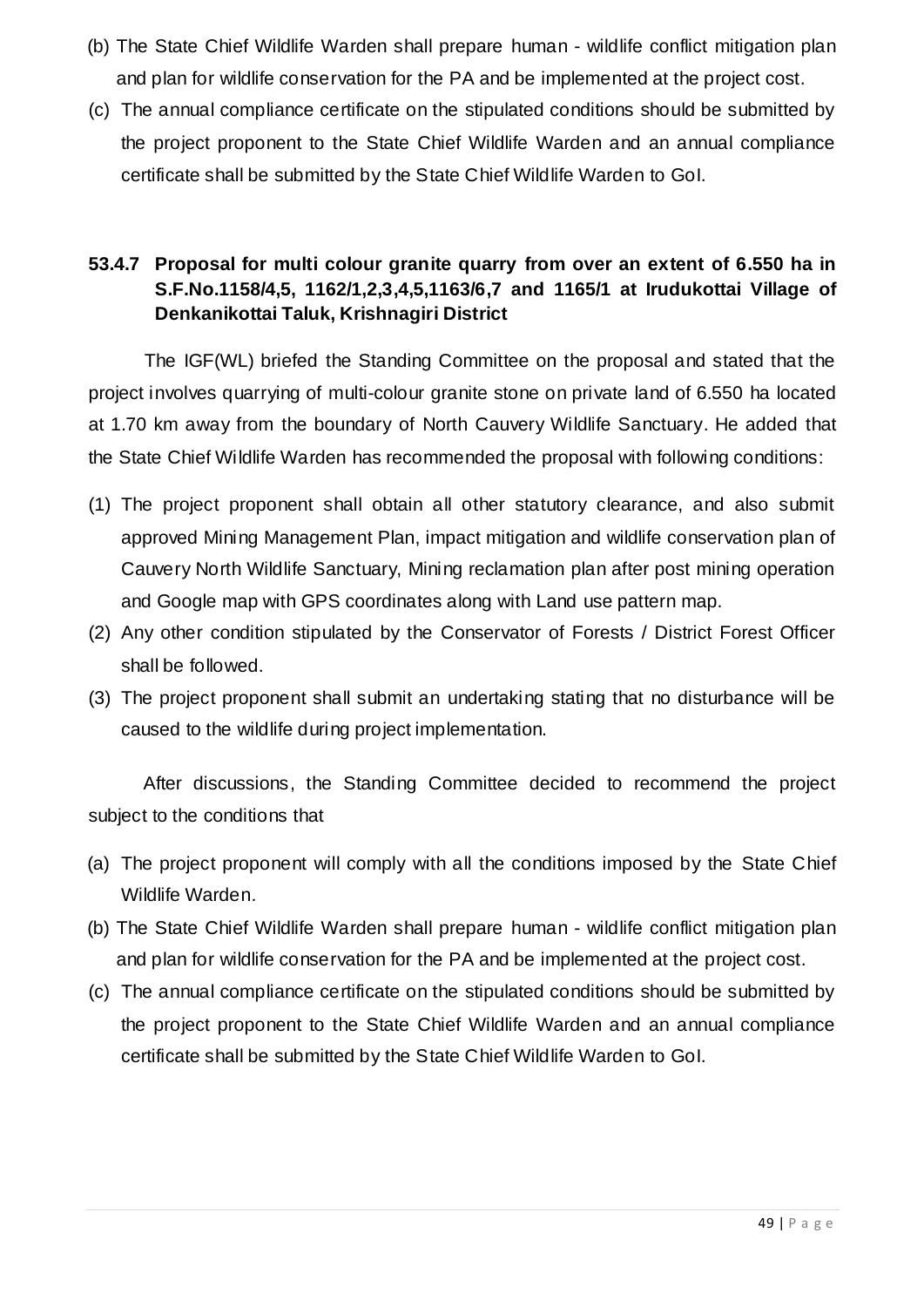- (b) The State Chief Wildlife Warden shall prepare human wildlife conflict mitigation plan and plan for wildlife conservation for the PA and be implemented at the project cost.
- (c) The annual compliance certificate on the stipulated conditions should be submitted by the project proponent to the State Chief Wildlife Warden and an annual compliance certificate shall be submitted by the State Chief Wildlife Warden to GoI.

### **53.4.7 Proposal for multi colour granite quarry from over an extent of 6.550 ha in S.F.No.1158/4,5, 1162/1,2,3,4,5,1163/6,7 and 1165/1 at Irudukottai Village of Denkanikottai Taluk, Krishnagiri District**

The IGF(WL) briefed the Standing Committee on the proposal and stated that the project involves quarrying of multi-colour granite stone on private land of 6.550 ha located at 1.70 km away from the boundary of North Cauvery Wildlife Sanctuary. He added that the State Chief Wildlife Warden has recommended the proposal with following conditions:

- (1) The project proponent shall obtain all other statutory clearance, and also submit approved Mining Management Plan, impact mitigation and wildlife conservation plan of Cauvery North Wildlife Sanctuary, Mining reclamation plan after post mining operation and Google map with GPS coordinates along with Land use pattern map.
- (2) Any other condition stipulated by the Conservator of Forests / District Forest Officer shall be followed.
- (3) The project proponent shall submit an undertaking stating that no disturbance will be caused to the wildlife during project implementation.

After discussions, the Standing Committee decided to recommend the project subject to the conditions that

- (a) The project proponent will comply with all the conditions imposed by the State Chief Wildlife Warden.
- (b) The State Chief Wildlife Warden shall prepare human wildlife conflict mitigation plan and plan for wildlife conservation for the PA and be implemented at the project cost.
- (c) The annual compliance certificate on the stipulated conditions should be submitted by the project proponent to the State Chief Wildlife Warden and an annual compliance certificate shall be submitted by the State Chief Wildlife Warden to GoI.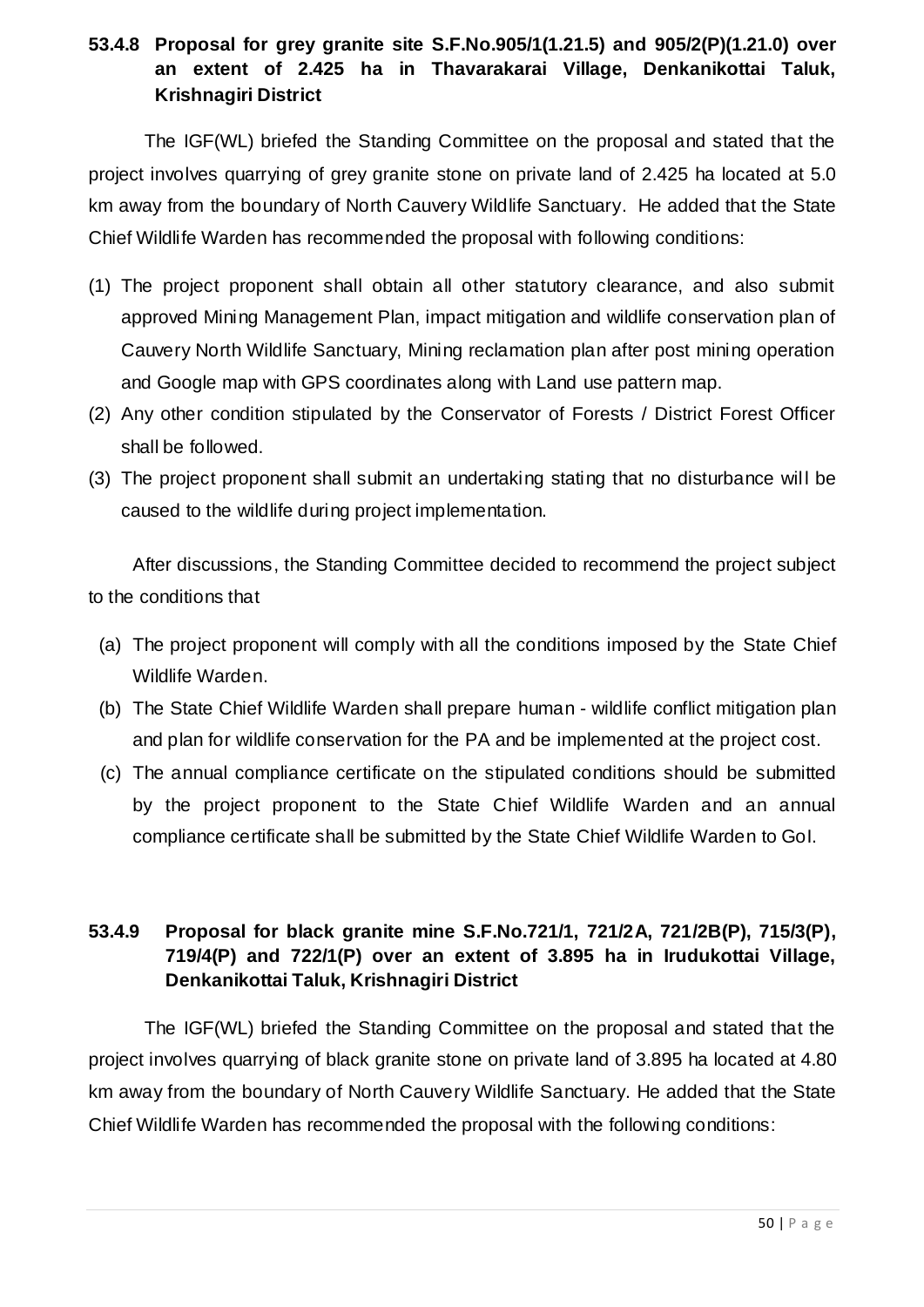#### **53.4.8 Proposal for grey granite site S.F.No.905/1(1.21.5) and 905/2(P)(1.21.0) over an extent of 2.425 ha in Thavarakarai Village, Denkanikottai Taluk, Krishnagiri District**

The IGF(WL) briefed the Standing Committee on the proposal and stated that the project involves quarrying of grey granite stone on private land of 2.425 ha located at 5.0 km away from the boundary of North Cauvery Wildlife Sanctuary. He added that the State Chief Wildlife Warden has recommended the proposal with following conditions:

- (1) The project proponent shall obtain all other statutory clearance, and also submit approved Mining Management Plan, impact mitigation and wildlife conservation plan of Cauvery North Wildlife Sanctuary, Mining reclamation plan after post mining operation and Google map with GPS coordinates along with Land use pattern map.
- (2) Any other condition stipulated by the Conservator of Forests / District Forest Officer shall be followed.
- (3) The project proponent shall submit an undertaking stating that no disturbance wil l be caused to the wildlife during project implementation.

After discussions, the Standing Committee decided to recommend the project subject to the conditions that

- (a) The project proponent will comply with all the conditions imposed by the State Chief Wildlife Warden.
- (b) The State Chief Wildlife Warden shall prepare human wildlife conflict mitigation plan and plan for wildlife conservation for the PA and be implemented at the project cost.
- (c) The annual compliance certificate on the stipulated conditions should be submitted by the project proponent to the State Chief Wildlife Warden and an annual compliance certificate shall be submitted by the State Chief Wildlife Warden to GoI.

### **53.4.9 Proposal for black granite mine S.F.No.721/1, 721/2A, 721/2B(P), 715/3(P), 719/4(P) and 722/1(P) over an extent of 3.895 ha in Irudukottai Village, Denkanikottai Taluk, Krishnagiri District**

The IGF(WL) briefed the Standing Committee on the proposal and stated that the project involves quarrying of black granite stone on private land of 3.895 ha located at 4.80 km away from the boundary of North Cauvery Wildlife Sanctuary. He added that the State Chief Wildlife Warden has recommended the proposal with the following conditions: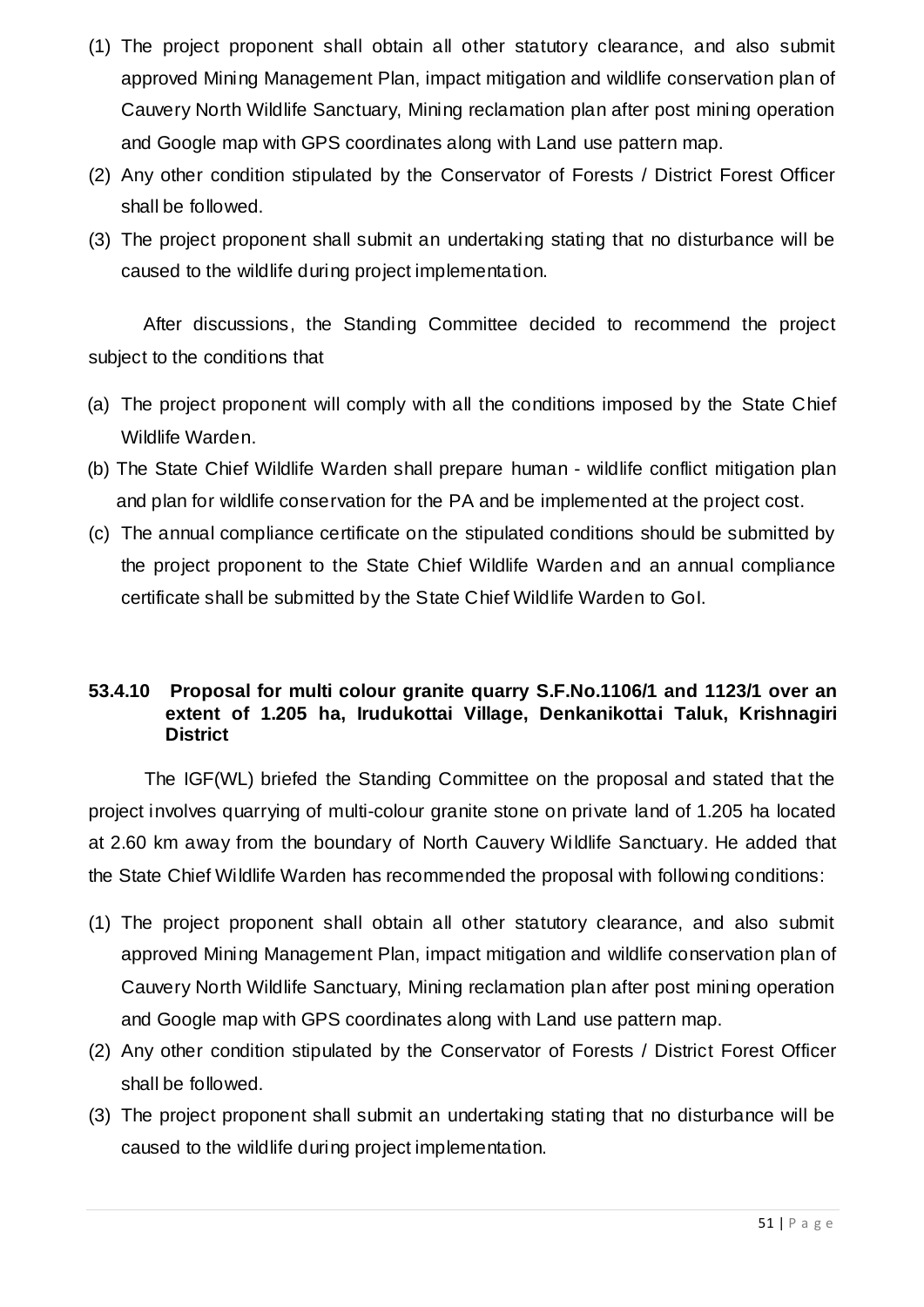- (1) The project proponent shall obtain all other statutory clearance, and also submit approved Mining Management Plan, impact mitigation and wildlife conservation plan of Cauvery North Wildlife Sanctuary, Mining reclamation plan after post mining operation and Google map with GPS coordinates along with Land use pattern map.
- (2) Any other condition stipulated by the Conservator of Forests / District Forest Officer shall be followed.
- (3) The project proponent shall submit an undertaking stating that no disturbance will be caused to the wildlife during project implementation.

After discussions, the Standing Committee decided to recommend the project subject to the conditions that

- (a) The project proponent will comply with all the conditions imposed by the State Chief Wildlife Warden.
- (b) The State Chief Wildlife Warden shall prepare human wildlife conflict mitigation plan and plan for wildlife conservation for the PA and be implemented at the project cost.
- (c) The annual compliance certificate on the stipulated conditions should be submitted by the project proponent to the State Chief Wildlife Warden and an annual compliance certificate shall be submitted by the State Chief Wildlife Warden to GoI.

#### **53.4.10 Proposal for multi colour granite quarry S.F.No.1106/1 and 1123/1 over an extent of 1.205 ha, Irudukottai Village, Denkanikottai Taluk, Krishnagiri District**

The IGF(WL) briefed the Standing Committee on the proposal and stated that the project involves quarrying of multi-colour granite stone on private land of 1.205 ha located at 2.60 km away from the boundary of North Cauvery Wildlife Sanctuary. He added that the State Chief Wildlife Warden has recommended the proposal with following conditions:

- (1) The project proponent shall obtain all other statutory clearance, and also submit approved Mining Management Plan, impact mitigation and wildlife conservation plan of Cauvery North Wildlife Sanctuary, Mining reclamation plan after post mining operation and Google map with GPS coordinates along with Land use pattern map.
- (2) Any other condition stipulated by the Conservator of Forests / District Forest Officer shall be followed.
- (3) The project proponent shall submit an undertaking stating that no disturbance will be caused to the wildlife during project implementation.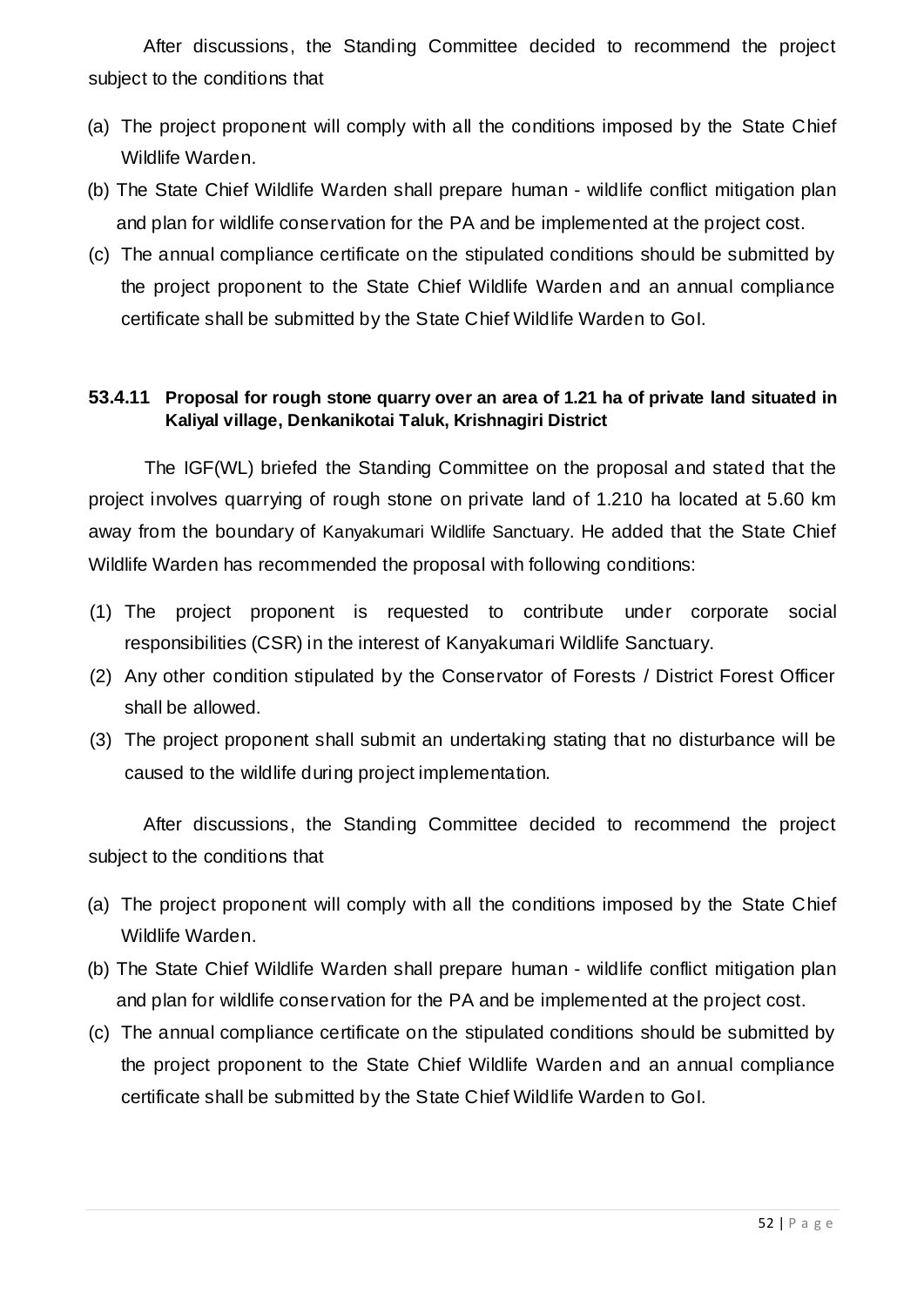After discussions, the Standing Committee decided to recommend the project subject to the conditions that

- (a) The project proponent will comply with all the conditions imposed by the State Chief Wildlife Warden.
- (b) The State Chief Wildlife Warden shall prepare human wildlife conflict mitigation plan and plan for wildlife conservation for the PA and be implemented at the project cost.
- (c) The annual compliance certificate on the stipulated conditions should be submitted by the project proponent to the State Chief Wildlife Warden and an annual compliance certificate shall be submitted by the State Chief Wildlife Warden to GoI.

#### **53.4.11 Proposal for rough stone quarry over an area of 1.21 ha of private land situated in Kaliyal village, Denkanikotai Taluk, Krishnagiri District**

The IGF(WL) briefed the Standing Committee on the proposal and stated that the project involves quarrying of rough stone on private land of 1.210 ha located at 5.60 km away from the boundary of Kanyakumari Wildlife Sanctuary. He added that the State Chief Wildlife Warden has recommended the proposal with following conditions:

- (1) The project proponent is requested to contribute under corporate social responsibilities (CSR) in the interest of Kanyakumari Wildlife Sanctuary.
- (2) Any other condition stipulated by the Conservator of Forests / District Forest Officer shall be allowed.
- (3) The project proponent shall submit an undertaking stating that no disturbance will be caused to the wildlife during project implementation.

After discussions, the Standing Committee decided to recommend the project subject to the conditions that

- (a) The project proponent will comply with all the conditions imposed by the State Chief Wildlife Warden.
- (b) The State Chief Wildlife Warden shall prepare human wildlife conflict mitigation plan and plan for wildlife conservation for the PA and be implemented at the project cost.
- (c) The annual compliance certificate on the stipulated conditions should be submitted by the project proponent to the State Chief Wildlife Warden and an annual compliance certificate shall be submitted by the State Chief Wildlife Warden to GoI.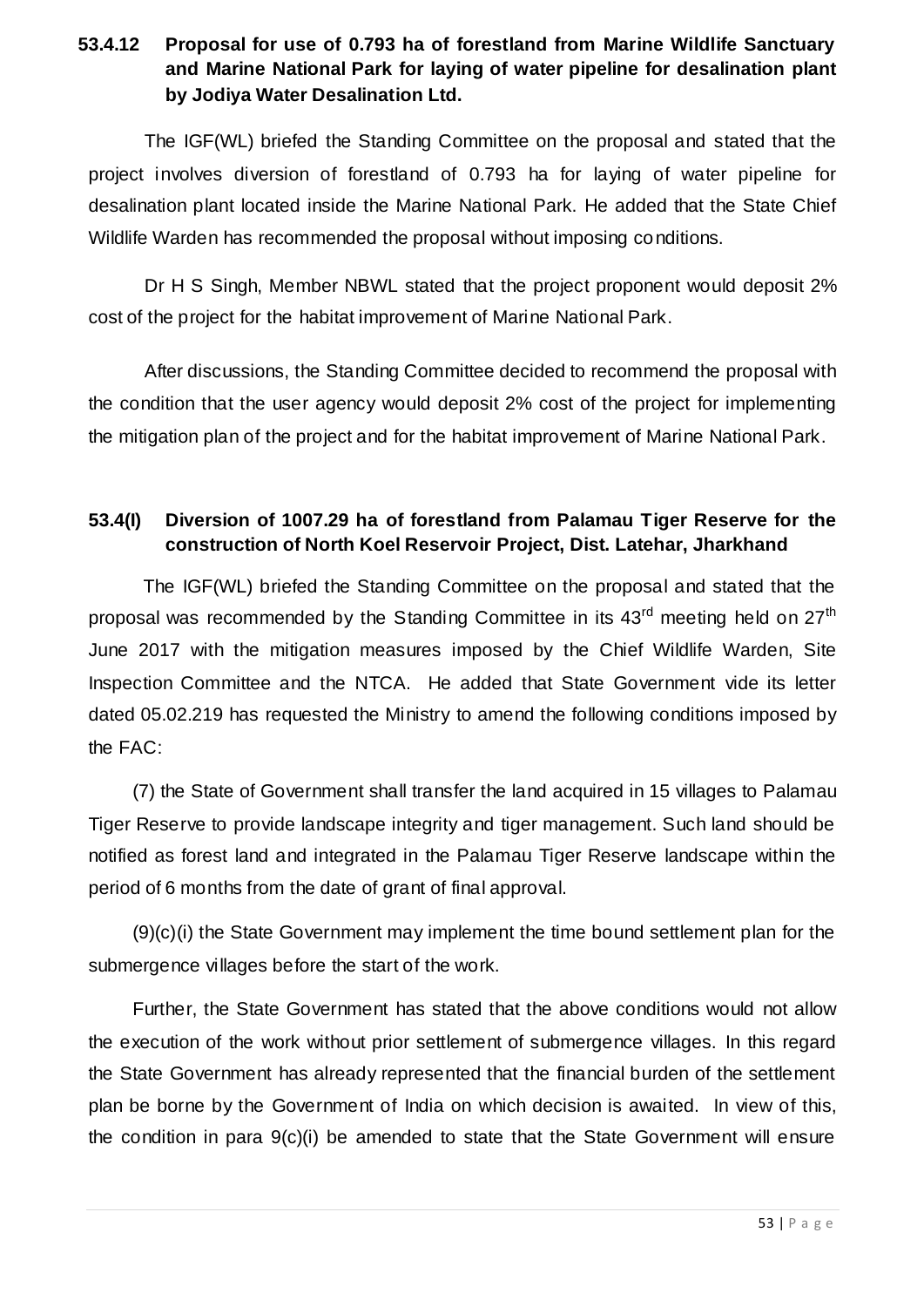#### **53.4.12 Proposal for use of 0.793 ha of forestland from Marine Wildlife Sanctuary and Marine National Park for laying of water pipeline for desalination plant by Jodiya Water Desalination Ltd.**

The IGF(WL) briefed the Standing Committee on the proposal and stated that the project involves diversion of forestland of 0.793 ha for laying of water pipeline for desalination plant located inside the Marine National Park. He added that the State Chief Wildlife Warden has recommended the proposal without imposing conditions.

Dr H S Singh, Member NBWL stated that the project proponent would deposit 2% cost of the project for the habitat improvement of Marine National Park.

After discussions, the Standing Committee decided to recommend the proposal with the condition that the user agency would deposit 2% cost of the project for implementing the mitigation plan of the project and for the habitat improvement of Marine National Park.

#### **53.4(I) Diversion of 1007.29 ha of forestland from Palamau Tiger Reserve for the construction of North Koel Reservoir Project, Dist. Latehar, Jharkhand**

The IGF(WL) briefed the Standing Committee on the proposal and stated that the proposal was recommended by the Standing Committee in its 43<sup>rd</sup> meeting held on 27<sup>th</sup> June 2017 with the mitigation measures imposed by the Chief Wildlife Warden, Site Inspection Committee and the NTCA. He added that State Government vide its letter dated 05.02.219 has requested the Ministry to amend the following conditions imposed by the FAC:

(7) the State of Government shall transfer the land acquired in 15 villages to Palamau Tiger Reserve to provide landscape integrity and tiger management. Such land should be notified as forest land and integrated in the Palamau Tiger Reserve landscape within the period of 6 months from the date of grant of final approval.

(9)(c)(i) the State Government may implement the time bound settlement plan for the submergence villages before the start of the work.

Further, the State Government has stated that the above conditions would not allow the execution of the work without prior settlement of submergence villages. In this regard the State Government has already represented that the financial burden of the settlement plan be borne by the Government of India on which decision is awaited. In view of this, the condition in para 9(c)(i) be amended to state that the State Government will ensure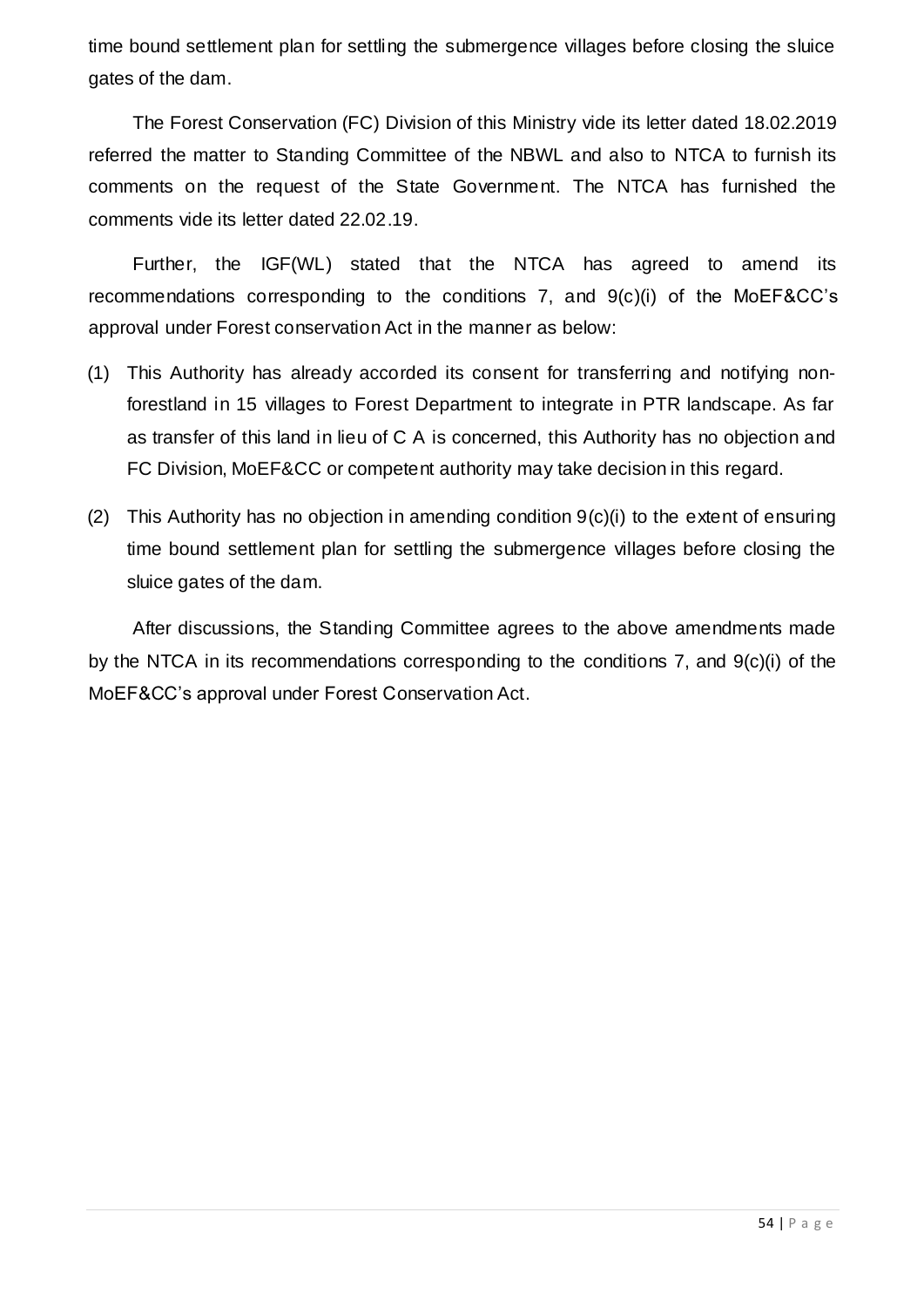time bound settlement plan for settling the submergence villages before closing the sluice gates of the dam.

The Forest Conservation (FC) Division of this Ministry vide its letter dated 18.02.2019 referred the matter to Standing Committee of the NBWL and also to NTCA to furnish its comments on the request of the State Government. The NTCA has furnished the comments vide its letter dated 22.02.19.

Further, the IGF(WL) stated that the NTCA has agreed to amend its recommendations corresponding to the conditions 7, and 9(c)(i) of the MoEF&CC's approval under Forest conservation Act in the manner as below:

- (1) This Authority has already accorded its consent for transferring and notifying nonforestland in 15 villages to Forest Department to integrate in PTR landscape. As far as transfer of this land in lieu of C A is concerned, this Authority has no objection and FC Division, MoEF&CC or competent authority may take decision in this regard.
- (2) This Authority has no objection in amending condition 9(c)(i) to the extent of ensuring time bound settlement plan for settling the submergence villages before closing the sluice gates of the dam.

After discussions, the Standing Committee agrees to the above amendments made by the NTCA in its recommendations corresponding to the conditions 7, and 9(c)(i) of the MoEF&CC's approval under Forest Conservation Act.